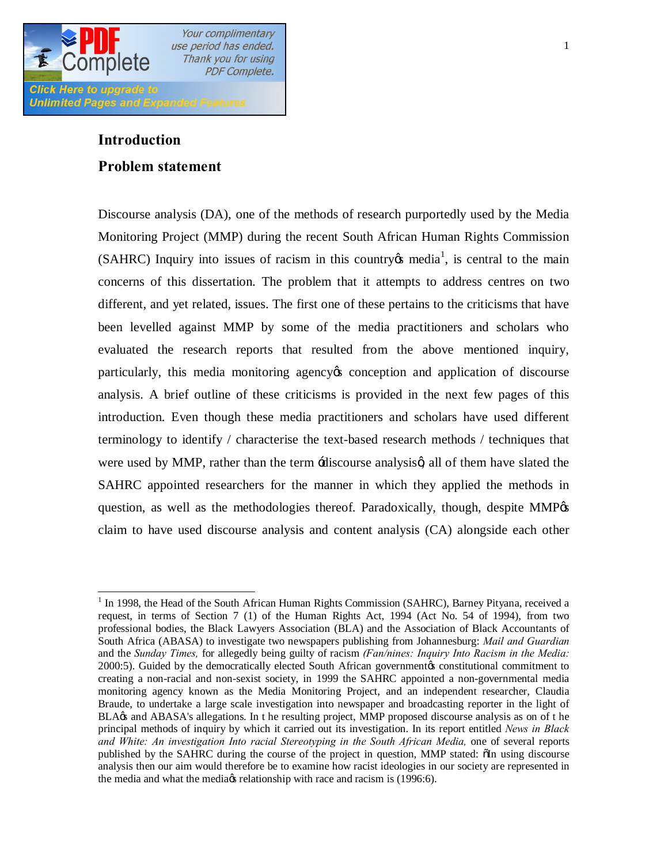

## **Introduction**

### **Problem statement**

Discourse analysis (DA), one of the methods of research purportedly used by the Media Monitoring Project (MMP) during the recent South African Human Rights Commission (SAHRC) Inquiry into issues of racism in this country  $\alpha$  media<sup>1</sup>, is central to the main concerns of this dissertation. The problem that it attempts to address centres on two different, and yet related, issues. The first one of these pertains to the criticisms that have been levelled against MMP by some of the media practitioners and scholars who evaluated the research reports that resulted from the above mentioned inquiry, particularly, this media monitoring agency to conception and application of discourse analysis. A brief outline of these criticisms is provided in the next few pages of this introduction. Even though these media practitioners and scholars have used different terminology to identify / characterise the text-based research methods / techniques that were used by MMP, rather than the term  $\pm$ discourse analysisg, all of them have slated the SAHRC appointed researchers for the manner in which they applied the methods in question, as well as the methodologies thereof. Paradoxically, though, despite MMP% claim to have used discourse analysis and content analysis (CA) alongside each other

<sup>&</sup>lt;sup>1</sup> In 1998, the Head of the South African Human Rights Commission (SAHRC), Barney Pityana, received a request, in terms of Section 7 (1) of the Human Rights Act, 1994 (Act No. 54 of 1994), from two professional bodies, the Black Lawyers Association (BLA) and the Association of Black Accountants of South Africa (ABASA) to investigate two newspapers publishing from Johannesburg: *Mail and Guardian*  and the *Sunday Times,* for allegedly being guilty of racism *(Fan/nines: Inquiry Into Racism in the Media:*  2000:5). Guided by the democratically elected South African government $\alpha$  constitutional commitment to creating a non-racial and non-sexist society, in 1999 the SAHRC appointed a non-governmental media monitoring agency known as the Media Monitoring Project, and an independent researcher, Claudia Braude, to undertake a large scale investigation into newspaper and broadcasting reporter in the light of BLA $\alpha$  and ABASA's allegations. In t he resulting project, MMP proposed discourse analysis as on of t he principal methods of inquiry by which it carried out its investigation. In its report entitled *News in Black*  and White: An investigation Into racial Stereotyping in the South African Media, one of several reports published by the SAHRC during the course of the project in question, MMP stated:  $\delta$ In using discourse analysis then our aim would therefore be to examine how racist ideologies in our society are represented in the media and what the media *is* relationship with race and racism is (1996:6).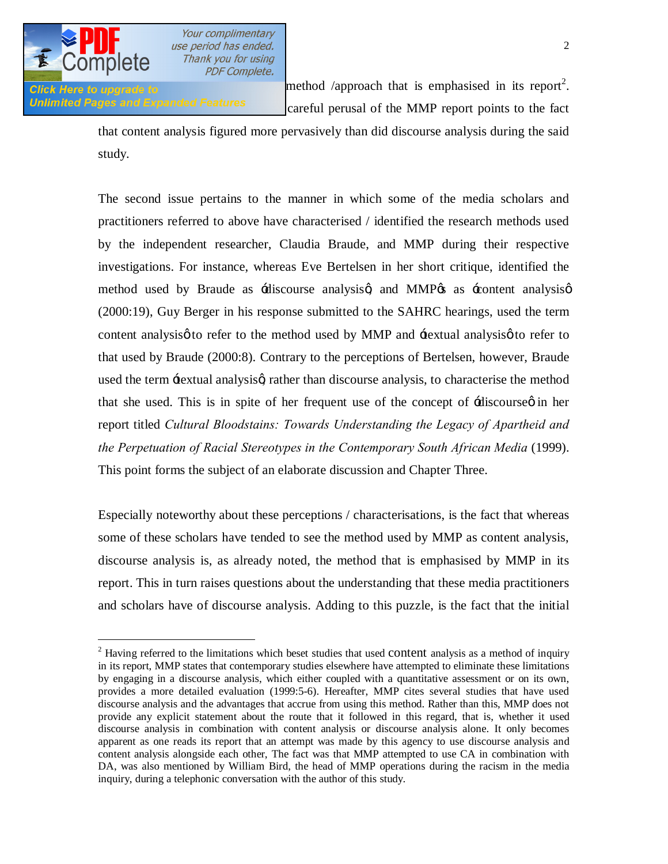

Unlimited Pages and Expanded Features careful perusal of the MMP report points to the fact

 $\mu$  is the formulation in the formulation of the formulation in its report<sup>2</sup>.

that content analysis figured more pervasively than did discourse analysis during the said study.

The second issue pertains to the manner in which some of the media scholars and practitioners referred to above have characterised / identified the research methods used by the independent researcher, Claudia Braude, and MMP during their respective investigations. For instance, whereas Eve Bertelsen in her short critique, identified the method used by Braude as  $\div$ discourse analysisg and MMP $\&$  as  $\div$ content analysisg (2000:19), Guy Berger in his response submitted to the SAHRC hearings, used the term content analysis  $\phi$  to refer to the method used by MMP and  $\pm$ extual analysis  $\phi$  to refer to that used by Braude (2000:8). Contrary to the perceptions of Bertelsen, however, Braude used the term  $\pm$ extual analysisg rather than discourse analysis, to characterise the method that she used. This is in spite of her frequent use of the concept of  $\pm$ discourse  $\varphi$  in her report titled *Cultural Bloodstains: Towards Understanding the Legacy of Apartheid and the Perpetuation of Racial Stereotypes in the Contemporary South African Media* (1999). This point forms the subject of an elaborate discussion and Chapter Three.

Especially noteworthy about these perceptions / characterisations, is the fact that whereas some of these scholars have tended to see the method used by MMP as content analysis, discourse analysis is, as already noted, the method that is emphasised by MMP in its report. This in turn raises questions about the understanding that these media practitioners and scholars have of discourse analysis. Adding to this puzzle, is the fact that the initial

 $2$  Having referred to the limitations which beset studies that used content analysis as a method of inquiry in its report, MMP states that contemporary studies elsewhere have attempted to eliminate these limitations by engaging in a discourse analysis, which either coupled with a quantitative assessment or on its own, provides a more detailed evaluation (1999:5-6). Hereafter, MMP cites several studies that have used discourse analysis and the advantages that accrue from using this method. Rather than this, MMP does not provide any explicit statement about the route that it followed in this regard, that is, whether it used discourse analysis in combination with content analysis or discourse analysis alone. It only becomes apparent as one reads its report that an attempt was made by this agency to use discourse analysis and content analysis alongside each other, The fact was that MMP attempted to use CA in combination with DA, was also mentioned by William Bird, the head of MMP operations during the racism in the media inquiry, during a telephonic conversation with the author of this study.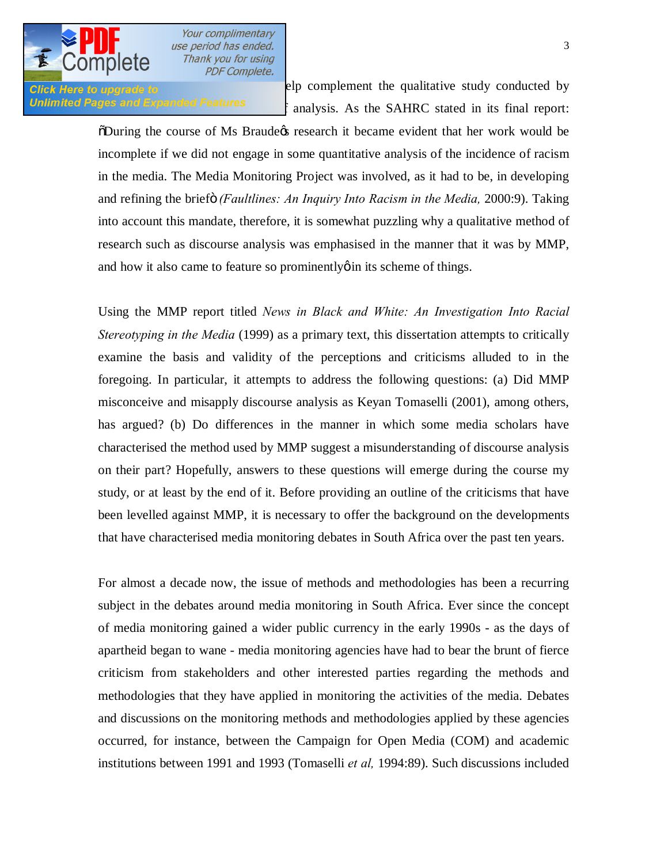

**Click Here to upgrade to manufacture** elp complement the qualitative study conducted by Unlimited Pages and Expanded Features  $\epsilon$  analysis. As the SAHRC stated in its final report:

> $\delta$ During the course of Ms Braudegs research it became evident that her work would be incomplete if we did not engage in some quantitative analysis of the incidence of racism in the media. The Media Monitoring Project was involved, as it had to be, in developing and refining the brief *(Faultlines: An Inquiry Into Racism in the Media,* 2000:9). Taking into account this mandate, therefore, it is somewhat puzzling why a qualitative method of research such as discourse analysis was emphasised in the manner that it was by MMP, and how it also came to feature so prominently  $\phi$  in its scheme of things.

> Using the MMP report titled *News in Black and White: An Investigation Into Racial Stereotyping in the Media* (1999) as a primary text, this dissertation attempts to critically examine the basis and validity of the perceptions and criticisms alluded to in the foregoing. In particular, it attempts to address the following questions: (a) Did MMP misconceive and misapply discourse analysis as Keyan Tomaselli (2001), among others, has argued? (b) Do differences in the manner in which some media scholars have characterised the method used by MMP suggest a misunderstanding of discourse analysis on their part? Hopefully, answers to these questions will emerge during the course my study, or at least by the end of it. Before providing an outline of the criticisms that have been levelled against MMP, it is necessary to offer the background on the developments that have characterised media monitoring debates in South Africa over the past ten years.

> For almost a decade now, the issue of methods and methodologies has been a recurring subject in the debates around media monitoring in South Africa. Ever since the concept of media monitoring gained a wider public currency in the early 1990s - as the days of apartheid began to wane - media monitoring agencies have had to bear the brunt of fierce criticism from stakeholders and other interested parties regarding the methods and methodologies that they have applied in monitoring the activities of the media. Debates and discussions on the monitoring methods and methodologies applied by these agencies occurred, for instance, between the Campaign for Open Media (COM) and academic institutions between 1991 and 1993 (Tomaselli *et al,* 1994:89). Such discussions included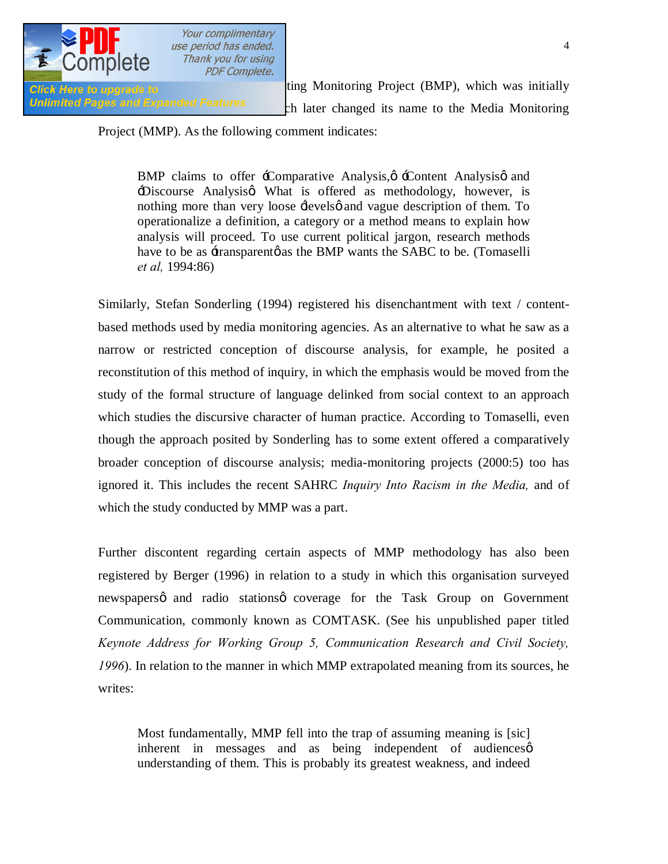

Click Here to upgrade to **Extract Click Here to upgrade to** the theory of the theory ting Monitoring Project (BMP), which was initially Unlimited Pages and Expanded Features only at the Changed its name to the Media Monitoring

### Project (MMP). As the following comment indicates:

BMP claims to offer  $\pm$ Comparative Analysis, $\phi$   $\pm$ Content Analysis $\phi$  and Discourse Analysisg What is offered as methodology, however, is nothing more than very loose  $\pm$ evelsø and vague description of them. To operationalize a definition, a category or a method means to explain how analysis will proceed. To use current political jargon, research methods have to be as  $\pm$ ransparentø as the BMP wants the SABC to be. (Tomaselli *et al,* 1994:86)

Similarly, Stefan Sonderling (1994) registered his disenchantment with text / contentbased methods used by media monitoring agencies. As an alternative to what he saw as a narrow or restricted conception of discourse analysis, for example, he posited a reconstitution of this method of inquiry, in which the emphasis would be moved from the study of the formal structure of language delinked from social context to an approach which studies the discursive character of human practice. According to Tomaselli, even though the approach posited by Sonderling has to some extent offered a comparatively broader conception of discourse analysis; media-monitoring projects (2000:5) too has ignored it. This includes the recent SAHRC *Inquiry Into Racism in the Media,* and of which the study conducted by MMP was a part.

Further discontent regarding certain aspects of MMP methodology has also been registered by Berger (1996) in relation to a study in which this organisation surveyed newspapers q and radio stations q coverage for the Task Group on Government Communication, commonly known as COMTASK. (See his unpublished paper titled *Keynote Address for Working Group 5, Communication Research and Civil Society, 1996*). In relation to the manner in which MMP extrapolated meaning from its sources, he writes:

Most fundamentally, MMP fell into the trap of assuming meaning is [sic] inherent in messages and as being independent of audiences $\varphi$ understanding of them. This is probably its greatest weakness, and indeed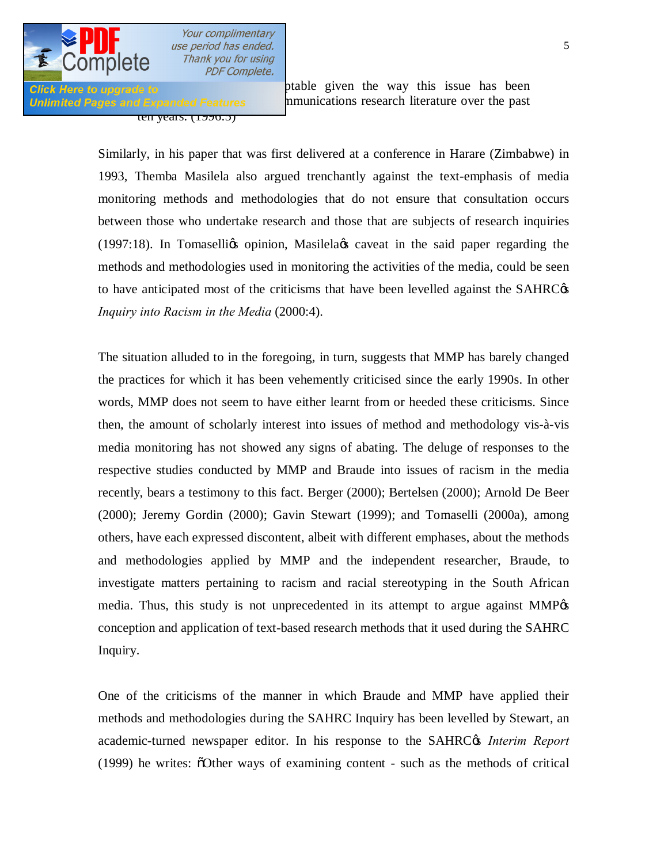

ten years. (1990.3)

**Click Here to upgrade to Example 10 one of the unacceptable given** the way this issue has been Unlimited Pages and Expanded Features munications research literature over the past

> Similarly, in his paper that was first delivered at a conference in Harare (Zimbabwe) in 1993, Themba Masilela also argued trenchantly against the text-emphasis of media monitoring methods and methodologies that do not ensure that consultation occurs between those who undertake research and those that are subjects of research inquiries  $(1997:18)$ . In Tomaselligs opinion, Masilelags caveat in the said paper regarding the methods and methodologies used in monitoring the activities of the media, could be seen to have anticipated most of the criticisms that have been levelled against the SAHRC $\alpha$ *Inquiry into Racism in the Media* (2000:4).

> The situation alluded to in the foregoing, in turn, suggests that MMP has barely changed the practices for which it has been vehemently criticised since the early 1990s. In other words, MMP does not seem to have either learnt from or heeded these criticisms. Since then, the amount of scholarly interest into issues of method and methodology vis-à-vis media monitoring has not showed any signs of abating. The deluge of responses to the respective studies conducted by MMP and Braude into issues of racism in the media recently, bears a testimony to this fact. Berger (2000); Bertelsen (2000); Arnold De Beer (2000); Jeremy Gordin (2000); Gavin Stewart (1999); and Tomaselli (2000a), among others, have each expressed discontent, albeit with different emphases, about the methods and methodologies applied by MMP and the independent researcher, Braude, to investigate matters pertaining to racism and racial stereotyping in the South African media. Thus, this study is not unprecedented in its attempt to argue against MMP $\alpha$ conception and application of text-based research methods that it used during the SAHRC Inquiry.

> One of the criticisms of the manner in which Braude and MMP have applied their methods and methodologies during the SAHRC Inquiry has been levelled by Stewart, an academic-turned newspaper editor. In his response to the SAHRC $\alpha$  *Interim Report* (1999) he writes: "Other ways of examining content - such as the methods of critical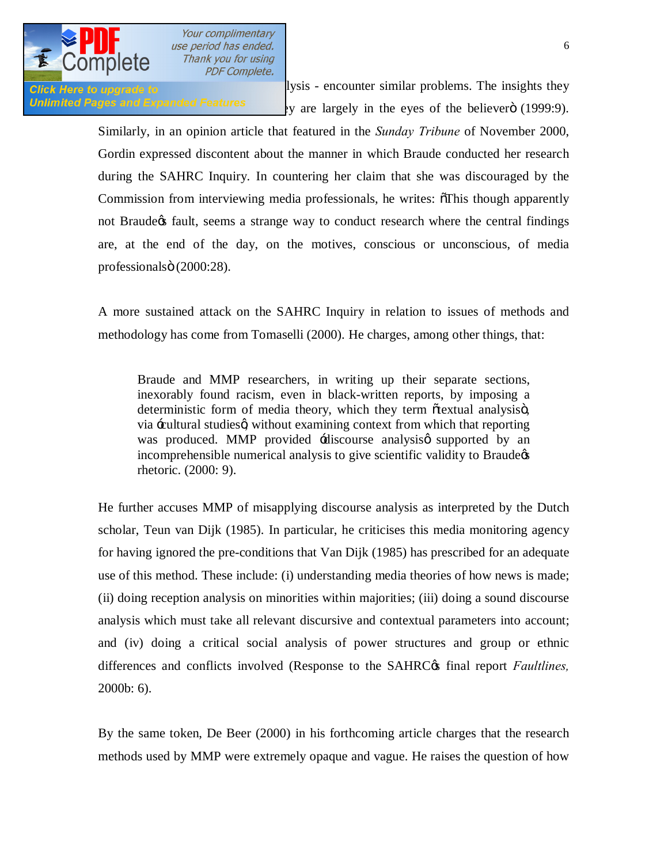

Click Here to upgrade to **Structural analysis** - encounter similar problems. The insights they **Unlimited Pages and Expanded Features**  $\cdot y$  are largely in the eyes of the believer (1999:9).

> Similarly, in an opinion article that featured in the *Sunday Tribune* of November 2000, Gordin expressed discontent about the manner in which Braude conducted her research during the SAHRC Inquiry. In countering her claim that she was discouraged by the Commission from interviewing media professionals, he writes:  $\delta$ This though apparently not Braude tault, seems a strange way to conduct research where the central findings are, at the end of the day, on the motives, conscious or unconscious, of media professionalsö (2000:28).

> A more sustained attack on the SAHRC Inquiry in relation to issues of methods and methodology has come from Tomaselli (2000). He charges, among other things, that:

Braude and MMP researchers, in writing up their separate sections, inexorably found racism, even in black-written reports, by imposing a deterministic form of media theory, which they term  $\tilde{\alpha}$  textual analysis $\ddot{\alpha}$ , via -cultural studies o without examining context from which that reporting was produced. MMP provided  $\overline{\mathcal{A}}$  iscourse analysis supported by an incomprehensible numerical analysis to give scientific validity to Braude¢s rhetoric. (2000: 9).

He further accuses MMP of misapplying discourse analysis as interpreted by the Dutch scholar, Teun van Dijk (1985). In particular, he criticises this media monitoring agency for having ignored the pre-conditions that Van Dijk (1985) has prescribed for an adequate use of this method. These include: (i) understanding media theories of how news is made; (ii) doing reception analysis on minorities within majorities; (iii) doing a sound discourse analysis which must take all relevant discursive and contextual parameters into account; and (iv) doing a critical social analysis of power structures and group or ethnic differences and conflicts involved (Response to the SAHRC<sub>®</sub> final report *Faultlines*, 2000b: 6).

By the same token, De Beer (2000) in his forthcoming article charges that the research methods used by MMP were extremely opaque and vague. He raises the question of how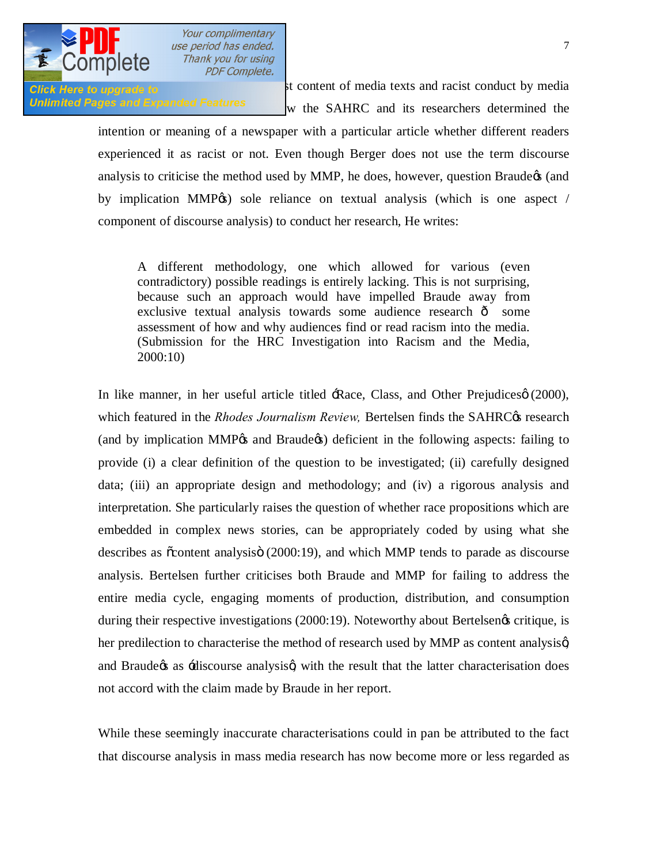

Click Here to upgrade to **the link material racist** content of media texts and racist conduct by media Unlimited Pages and Expanded Features  $\mathbf w$  the SAHRC and its researchers determined the

> intention or meaning of a newspaper with a particular article whether different readers experienced it as racist or not. Even though Berger does not use the term discourse analysis to criticise the method used by MMP, he does, however, question Braude $\alpha$  (and by implication MMP $\circ$ ) sole reliance on textual analysis (which is one aspect / component of discourse analysis) to conduct her research, He writes:

A different methodology, one which allowed for various (even contradictory) possible readings is entirely lacking. This is not surprising, because such an approach would have impelled Braude away from exclusive textual analysis towards some audience research  $\hat{o}$  some assessment of how and why audiences find or read racism into the media. (Submission for the HRC Investigation into Racism and the Media, 2000:10)

In like manner, in her useful article titled  $\exists$ Race, Class, and Other Prejudices $\varnothing$  (2000), which featured in the *Rhodes Journalism Review*, Bertelsen finds the SAHRC<sub>C</sub>'s research (and by implication MMP $\alpha$  and Braude $\alpha$ ) deficient in the following aspects: failing to provide (i) a clear definition of the question to be investigated; (ii) carefully designed data; (iii) an appropriate design and methodology; and (iv) a rigorous analysis and interpretation. She particularly raises the question of whether race propositions which are embedded in complex news stories, can be appropriately coded by using what she describes as  $\ddot{\text{c}}$  content analysis (2000:19), and which MMP tends to parade as discourse analysis. Bertelsen further criticises both Braude and MMP for failing to address the entire media cycle, engaging moments of production, distribution, and consumption during their respective investigations (2000:19). Noteworthy about Bertelsengs critique, is her predilection to characterise the method of research used by MMP as content analysisg and Braude as  $\pm$ discourse analysis with the result that the latter characterisation does not accord with the claim made by Braude in her report.

While these seemingly inaccurate characterisations could in pan be attributed to the fact that discourse analysis in mass media research has now become more or less regarded as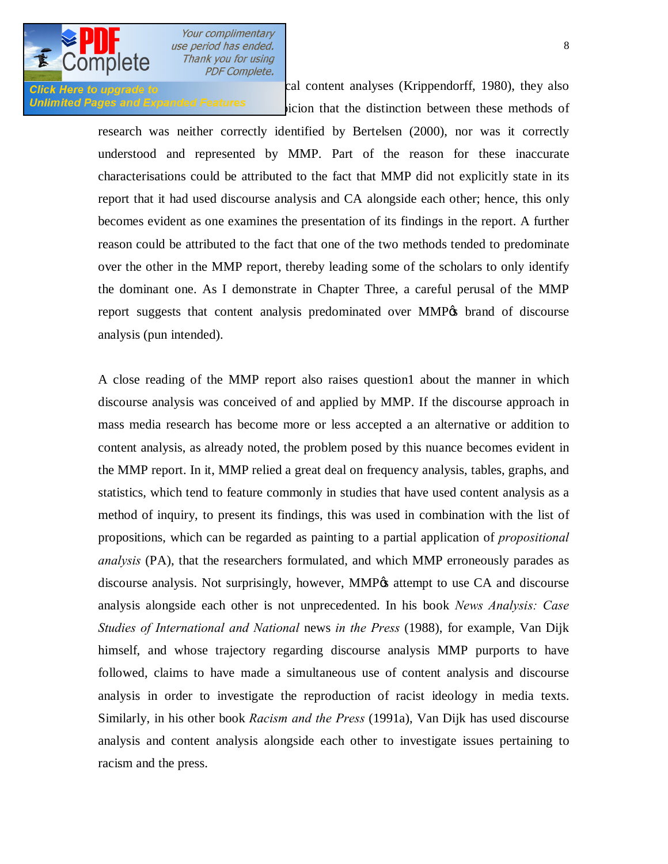

**Click Here to upgrade to and alternative or addition to calculate or calculate analyses (Krippendorff, 1980), they also** Unlimited Pages and Expanded Features icion that the distinction between these methods of

> research was neither correctly identified by Bertelsen (2000), nor was it correctly understood and represented by MMP. Part of the reason for these inaccurate characterisations could be attributed to the fact that MMP did not explicitly state in its report that it had used discourse analysis and CA alongside each other; hence, this only becomes evident as one examines the presentation of its findings in the report. A further reason could be attributed to the fact that one of the two methods tended to predominate over the other in the MMP report, thereby leading some of the scholars to only identify

> the dominant one. As I demonstrate in Chapter Three, a careful perusal of the MMP report suggests that content analysis predominated over MMP% brand of discourse analysis (pun intended).

> A close reading of the MMP report also raises question1 about the manner in which discourse analysis was conceived of and applied by MMP. If the discourse approach in mass media research has become more or less accepted a an alternative or addition to content analysis, as already noted, the problem posed by this nuance becomes evident in the MMP report. In it, MMP relied a great deal on frequency analysis, tables, graphs, and statistics, which tend to feature commonly in studies that have used content analysis as a method of inquiry, to present its findings, this was used in combination with the list of propositions, which can be regarded as painting to a partial application of *propositional analysis* (PA), that the researchers formulated, and which MMP erroneously parades as discourse analysis. Not surprisingly, however, MMP $\alpha$  attempt to use CA and discourse analysis alongside each other is not unprecedented. In his book *News Analysis: Case Studies of International and National* news *in the Press* (1988), for example, Van Dijk himself, and whose trajectory regarding discourse analysis MMP purports to have followed, claims to have made a simultaneous use of content analysis and discourse analysis in order to investigate the reproduction of racist ideology in media texts. Similarly, in his other book *Racism and the Press* (1991a), Van Dijk has used discourse analysis and content analysis alongside each other to investigate issues pertaining to racism and the press.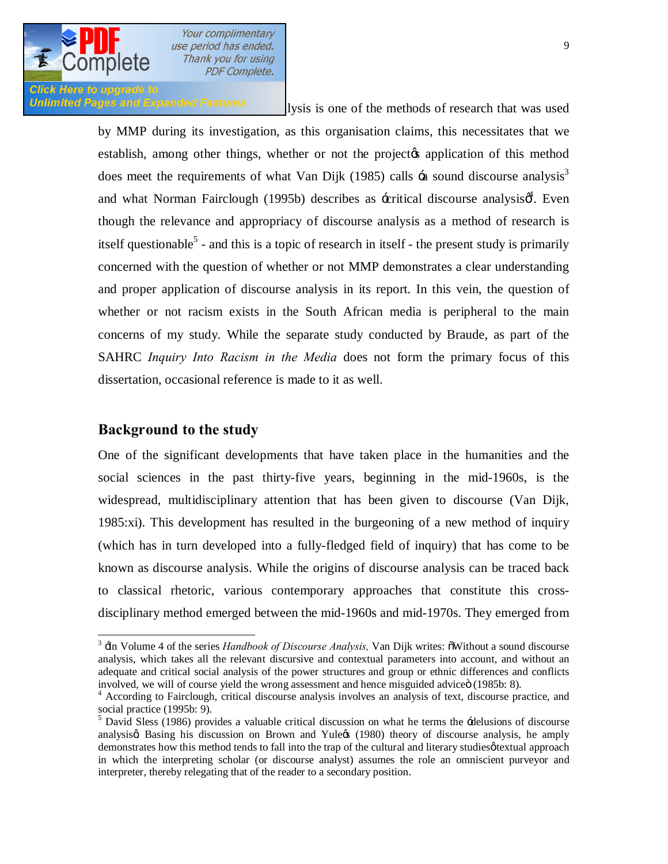

# **Click Here to upgrade to**

Unlimited Pages and Expanded Features lysis is one of the methods of research that was used

by MMP during its investigation, as this organisation claims, this necessitates that we establish, among other things, whether or not the project to application of this method does meet the requirements of what Van Dijk (1985) calls  $\pm$ a sound discourse analysis<sup>3</sup> and what Norman Fairclough (1995b) describes as  $\pm$ critical discourse analysis $\phi^4$ . Even though the relevance and appropriacy of discourse analysis as a method of research is itself questionable<sup>5</sup> - and this is a topic of research in itself - the present study is primarily concerned with the question of whether or not MMP demonstrates a clear understanding and proper application of discourse analysis in its report. In this vein, the question of whether or not racism exists in the South African media is peripheral to the main concerns of my study. While the separate study conducted by Braude, as part of the SAHRC *Inquiry Into Racism in the Media* does not form the primary focus of this dissertation, occasional reference is made to it as well.

# **Background to the study**

One of the significant developments that have taken place in the humanities and the social sciences in the past thirty-five years, beginning in the mid-1960s, is the widespread, multidisciplinary attention that has been given to discourse (Van Dijk, 1985:xi). This development has resulted in the burgeoning of a new method of inquiry (which has in turn developed into a fully-fledged field of inquiry) that has come to be known as discourse analysis. While the origins of discourse analysis can be traced back to classical rhetoric, various contemporary approaches that constitute this crossdisciplinary method emerged between the mid-1960s and mid-1970s. They emerged from

<sup>&</sup>lt;sup>3</sup> In Volume 4 of the series *Handbook of Discourse Analysis*, Van Dijk writes:  $\delta$ Without a sound discourse analysis, which takes all the relevant discursive and contextual parameters into account, and without an adequate and critical social analysis of the power structures and group or ethnic differences and conflicts

involved, we will of course yield the wrong assessment and hence misguided advice (1985b: 8).<br><sup>4</sup> According to Fairclough, critical discourse analysis involves an analysis of text, discourse practice, and social practice (

<sup>&</sup>lt;sup>5</sup> David Sless (1986) provides a valuable critical discussion on what he terms the -delusions of discourse analysis aBasing his discussion on Brown and Yule (1980) theory of discourse analysis, he amply demonstrates how this method tends to fall into the trap of the cultural and literary studies *o*textual approach in which the interpreting scholar (or discourse analyst) assumes the role an omniscient purveyor and interpreter, thereby relegating that of the reader to a secondary position.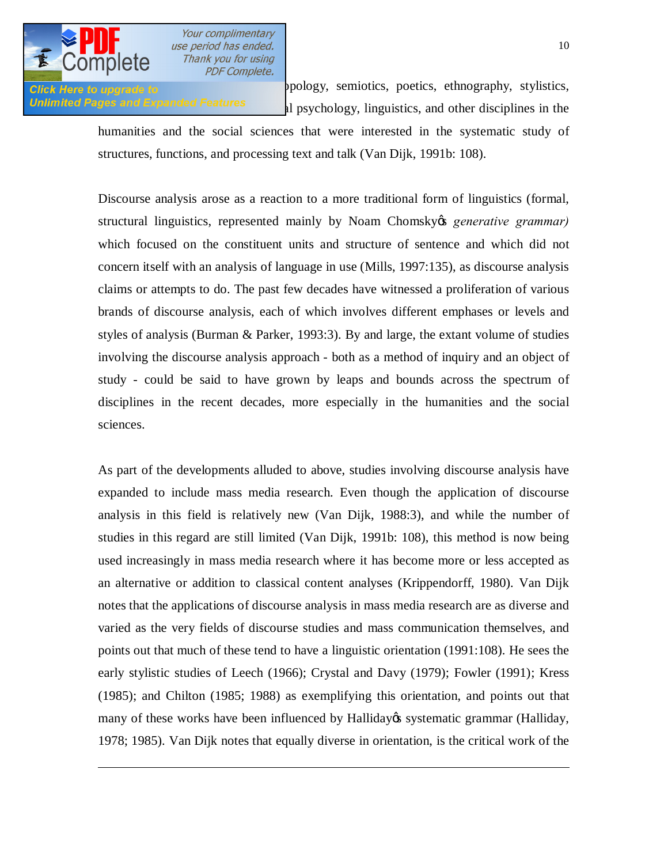

 $\overline{a}$ 

Your complimentary use period has ended. Thank you for using **PDF Complete.** 

Click Here to upgrade to **provide to** prology, semiotics, poetics, ethnography, stylistics, Unlimited Pages and Expanded Features all psychology, linguistics, and other disciplines in the

> humanities and the social sciences that were interested in the systematic study of structures, functions, and processing text and talk (Van Dijk, 1991b: 108).

> Discourse analysis arose as a reaction to a more traditional form of linguistics (formal, structural linguistics, represented mainly by Noam Chomsky *generative grammar*) which focused on the constituent units and structure of sentence and which did not concern itself with an analysis of language in use (Mills, 1997:135), as discourse analysis claims or attempts to do. The past few decades have witnessed a proliferation of various brands of discourse analysis, each of which involves different emphases or levels and styles of analysis (Burman & Parker, 1993:3). By and large, the extant volume of studies involving the discourse analysis approach - both as a method of inquiry and an object of study - could be said to have grown by leaps and bounds across the spectrum of disciplines in the recent decades, more especially in the humanities and the social sciences.

> As part of the developments alluded to above, studies involving discourse analysis have expanded to include mass media research. Even though the application of discourse analysis in this field is relatively new (Van Dijk, 1988:3), and while the number of studies in this regard are still limited (Van Dijk, 1991b: 108), this method is now being used increasingly in mass media research where it has become more or less accepted as an alternative or addition to classical content analyses (Krippendorff, 1980). Van Dijk notes that the applications of discourse analysis in mass media research are as diverse and varied as the very fields of discourse studies and mass communication themselves, and points out that much of these tend to have a linguistic orientation (1991:108). He sees the early stylistic studies of Leech (1966); Crystal and Davy (1979); Fowler (1991); Kress (1985); and Chilton (1985; 1988) as exemplifying this orientation, and points out that many of these works have been influenced by Halliday, systematic grammar (Halliday, 1978; 1985). Van Dijk notes that equally diverse in orientation, is the critical work of the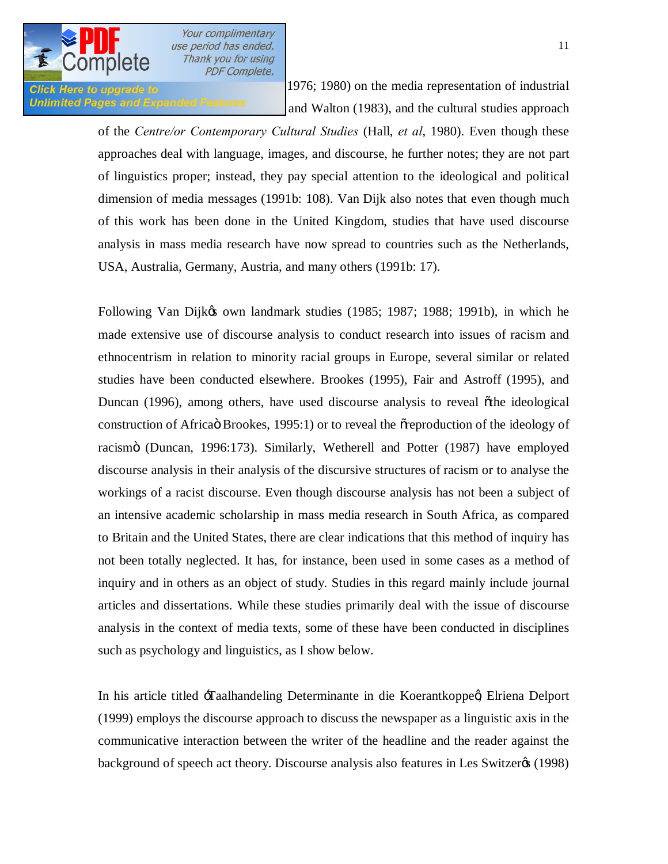

Glick Here to upgrade to  $1976$ ; 1980) on the media representation of industrial Unlimited Pages and Expanded Features  $\qquad$  and Walton (1983), and the cultural studies approach

> of the *Centre/or Contemporary Cultural Studies* (Hall, *et al*, 1980). Even though these approaches deal with language, images, and discourse, he further notes; they are not part of linguistics proper; instead, they pay special attention to the ideological and political dimension of media messages (1991b: 108). Van Dijk also notes that even though much of this work has been done in the United Kingdom, studies that have used discourse analysis in mass media research have now spread to countries such as the Netherlands, USA, Australia, Germany, Austria, and many others (1991b: 17).

> Following Van Dijkøs own landmark studies (1985; 1987; 1988; 1991b), in which he made extensive use of discourse analysis to conduct research into issues of racism and ethnocentrism in relation to minority racial groups in Europe, several similar or related studies have been conducted elsewhere. Brookes (1995), Fair and Astroff (1995), and Duncan (1996), among others, have used discourse analysis to reveal õthe ideological construction of Africa Brookes, 1995:1) or to reveal the origination of the ideology of racismö (Duncan, 1996:173). Similarly, Wetherell and Potter (1987) have employed discourse analysis in their analysis of the discursive structures of racism or to analyse the workings of a racist discourse. Even though discourse analysis has not been a subject of an intensive academic scholarship in mass media research in South Africa, as compared to Britain and the United States, there are clear indications that this method of inquiry has not been totally neglected. It has, for instance, been used in some cases as a method of inquiry and in others as an object of study. Studies in this regard mainly include journal articles and dissertations. While these studies primarily deal with the issue of discourse analysis in the context of media texts, some of these have been conducted in disciplines such as psychology and linguistics, as I show below.

> In his article titled -Taalhandeling Determinante in die Koerantkoppeg Elriena Delport (1999) employs the discourse approach to discuss the newspaper as a linguistic axis in the communicative interaction between the writer of the headline and the reader against the background of speech act theory. Discourse analysis also features in Les Switzer  $(1998)$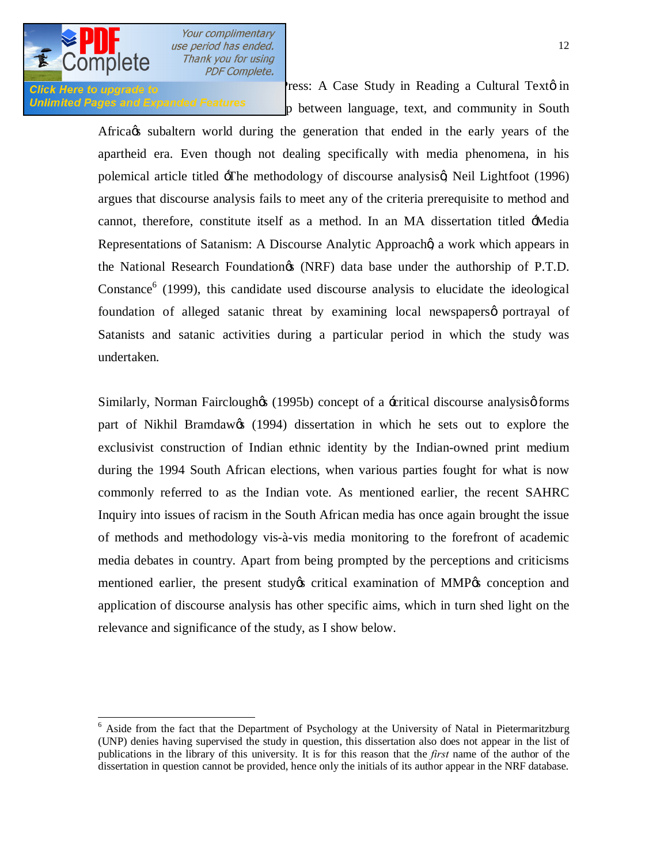

**Click Here to upgrade to Press: A Case Study in Reading a Cultural Text** in Unlimited Pages and Expanded Features by between language, text, and community in South

> Africa *is* subaltern world during the generation that ended in the early years of the apartheid era. Even though not dealing specifically with media phenomena, in his polemical article titled  $\pm$ The methodology of discourse analysisg Neil Lightfoot (1996) argues that discourse analysis fails to meet any of the criteria prerequisite to method and cannot, therefore, constitute itself as a method. In an MA dissertation titled 'Media Representations of Satanism: A Discourse Analytic Approach a work which appears in the National Research Foundation's (NRF) data base under the authorship of P.T.D. Constance<sup>6</sup> (1999), this candidate used discourse analysis to elucidate the ideological foundation of alleged satanic threat by examining local newspapers portrayal of Satanists and satanic activities during a particular period in which the study was undertaken.

> Similarly, Norman Fairclough $\alpha$  (1995b) concept of a -critical discourse analysis $\varphi$  forms part of Nikhil Bramdaw $\alpha$  (1994) dissertation in which he sets out to explore the exclusivist construction of Indian ethnic identity by the Indian-owned print medium during the 1994 South African elections, when various parties fought for what is now commonly referred to as the Indian vote. As mentioned earlier, the recent SAHRC Inquiry into issues of racism in the South African media has once again brought the issue of methods and methodology vis-à-vis media monitoring to the forefront of academic media debates in country. Apart from being prompted by the perceptions and criticisms mentioned earlier, the present study os critical examination of MMP (s) conception and application of discourse analysis has other specific aims, which in turn shed light on the relevance and significance of the study, as I show below.

 $<sup>6</sup>$  Aside from the fact that the Department of Psychology at the University of Natal in Pietermaritzburg</sup> (UNP) denies having supervised the study in question, this dissertation also does not appear in the list of publications in the library of this university. It is for this reason that the *first* name of the author of the dissertation in question cannot be provided, hence only the initials of its author appear in the NRF database.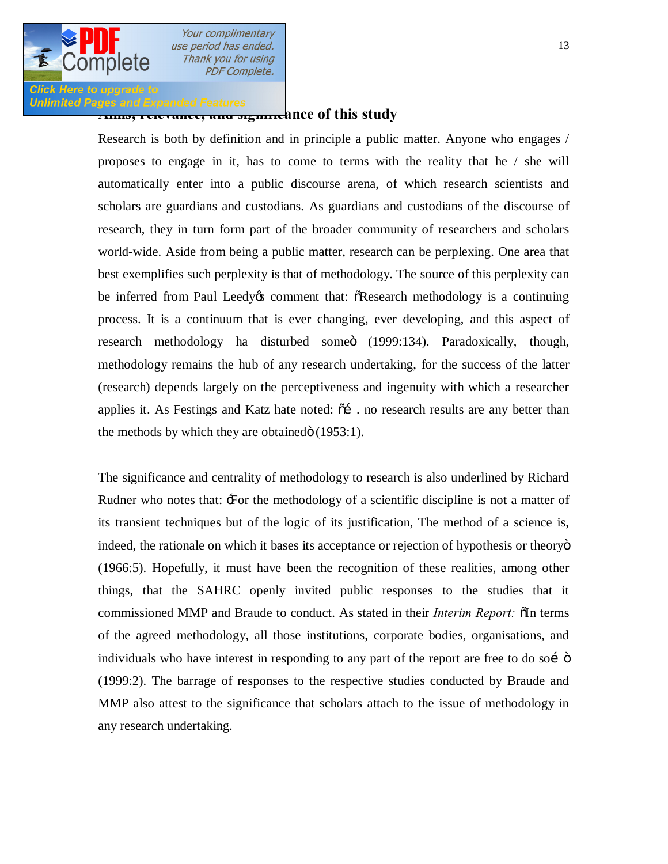

**Click Here to upgrade to** 

Your complimentary use period has ended. Thank you for using **PDF Complete.** 

**Unlimited Pages and Expanded Features**<br>Anims, relevance, and significance of this study

Research is both by definition and in principle a public matter. Anyone who engages / proposes to engage in it, has to come to terms with the reality that he / she will automatically enter into a public discourse arena, of which research scientists and scholars are guardians and custodians. As guardians and custodians of the discourse of research, they in turn form part of the broader community of researchers and scholars world-wide. Aside from being a public matter, research can be perplexing. One area that best exemplifies such perplexity is that of methodology. The source of this perplexity can be inferred from Paul Leedy to comment that:  $\delta$ Research methodology is a continuing process. It is a continuum that is ever changing, ever developing, and this aspect of research methodology ha disturbed someö (1999:134). Paradoxically, though, methodology remains the hub of any research undertaking, for the success of the latter (research) depends largely on the perceptiveness and ingenuity with which a researcher applies it. As Festings and Katz hate noted:  $\tilde{0}$  . no research results are any better than the methods by which they are obtained $\ddot{\text{o}}$  (1953:1).

The significance and centrality of methodology to research is also underlined by Richard Rudner who notes that: For the methodology of a scientific discipline is not a matter of its transient techniques but of the logic of its justification, The method of a science is, indeed, the rationale on which it bases its acceptance or rejection of hypothesis or theoryo (1966:5). Hopefully, it must have been the recognition of these realities, among other things, that the SAHRC openly invited public responses to the studies that it commissioned MMP and Braude to conduct. As stated in their *Interim Report:*  $\delta$ In terms of the agreed methodology, all those institutions, corporate bodies, organisations, and individuals who have interest in responding to any part of the report are free to do soi  $\ddot{\text{o}}$ (1999:2). The barrage of responses to the respective studies conducted by Braude and MMP also attest to the significance that scholars attach to the issue of methodology in any research undertaking.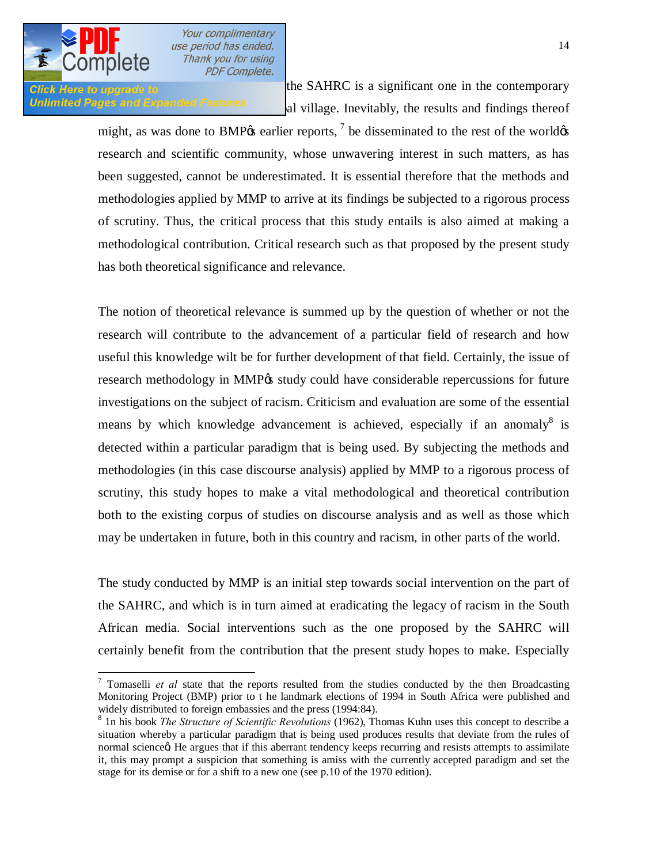

Click Here to upgrade to **the SAHRC** is a significant one in the contemporary Unlimited Pages and Expanded Features all village. Inevitably, the results and findings thereof

> might, as was done to BMP $\alpha$  earlier reports,  $\alpha$ <sup>7</sup> be disseminated to the rest of the world $\alpha$ research and scientific community, whose unwavering interest in such matters, as has been suggested, cannot be underestimated. It is essential therefore that the methods and methodologies applied by MMP to arrive at its findings be subjected to a rigorous process of scrutiny. Thus, the critical process that this study entails is also aimed at making a methodological contribution. Critical research such as that proposed by the present study has both theoretical significance and relevance.

> The notion of theoretical relevance is summed up by the question of whether or not the research will contribute to the advancement of a particular field of research and how useful this knowledge wilt be for further development of that field. Certainly, the issue of research methodology in MMP% study could have considerable repercussions for future investigations on the subject of racism. Criticism and evaluation are some of the essential means by which knowledge advancement is achieved, especially if an anomaly<sup>8</sup> is detected within a particular paradigm that is being used. By subjecting the methods and methodologies (in this case discourse analysis) applied by MMP to a rigorous process of scrutiny, this study hopes to make a vital methodological and theoretical contribution both to the existing corpus of studies on discourse analysis and as well as those which may be undertaken in future, both in this country and racism, in other parts of the world.

> The study conducted by MMP is an initial step towards social intervention on the part of the SAHRC, and which is in turn aimed at eradicating the legacy of racism in the South African media. Social interventions such as the one proposed by the SAHRC will certainly benefit from the contribution that the present study hopes to make. Especially

<sup>-&</sup>lt;br>7 <sup>7</sup> Tomaselli *et al* state that the reports resulted from the studies conducted by the then Broadcasting Monitoring Project (BMP) prior to t he landmark elections of 1994 in South Africa were published and widely distributed to foreign embassies and the press (1994:84).

<sup>8</sup> 1n his book *The Structure of Scientific Revolutions* (1962), Thomas Kuhn uses this concept to describe a situation whereby a particular paradigm that is being used produces results that deviate from the rules of normal science $\alpha$ . He argues that if this aberrant tendency keeps recurring and resists attempts to assimilate it, this may prompt a suspicion that something is amiss with the currently accepted paradigm and set the stage for its demise or for a shift to a new one (see p.10 of the 1970 edition).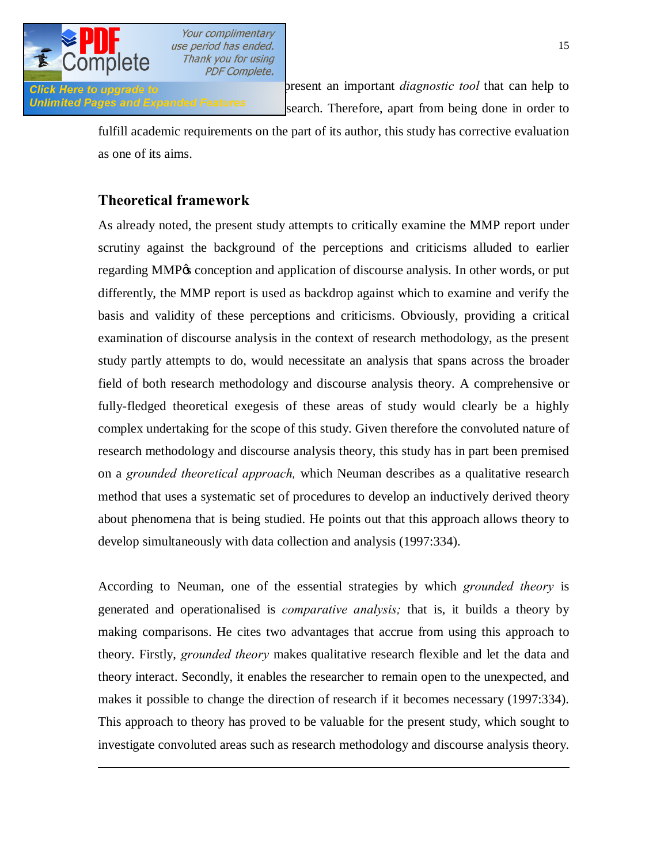

 $\overline{a}$ 

Your complimentary use period has ended. Thank you for using **PDF Complete.** 

**Click Here to upgrade to critical contributions** represent an important *diagnostic tool* that can help to Unlimited Pages and Expanded Features search. Therefore, apart from being done in order to

> fulfill academic requirements on the part of its author, this study has corrective evaluation as one of its aims.

# **Theoretical framework**

As already noted, the present study attempts to critically examine the MMP report under scrutiny against the background of the perceptions and criticisms alluded to earlier regarding MMP<sub>0</sub>'s conception and application of discourse analysis. In other words, or put differently, the MMP report is used as backdrop against which to examine and verify the basis and validity of these perceptions and criticisms. Obviously, providing a critical examination of discourse analysis in the context of research methodology, as the present study partly attempts to do, would necessitate an analysis that spans across the broader field of both research methodology and discourse analysis theory. A comprehensive or fully-fledged theoretical exegesis of these areas of study would clearly be a highly complex undertaking for the scope of this study. Given therefore the convoluted nature of research methodology and discourse analysis theory, this study has in part been premised on a *grounded theoretical approach,* which Neuman describes as a qualitative research method that uses a systematic set of procedures to develop an inductively derived theory about phenomena that is being studied. He points out that this approach allows theory to develop simultaneously with data collection and analysis (1997:334).

According to Neuman, one of the essential strategies by which *grounded theory* is generated and operationalised is *comparative analysis;* that is, it builds a theory by making comparisons. He cites two advantages that accrue from using this approach to theory. Firstly, *grounded theory* makes qualitative research flexible and let the data and theory interact. Secondly, it enables the researcher to remain open to the unexpected, and makes it possible to change the direction of research if it becomes necessary (1997:334). This approach to theory has proved to be valuable for the present study, which sought to investigate convoluted areas such as research methodology and discourse analysis theory.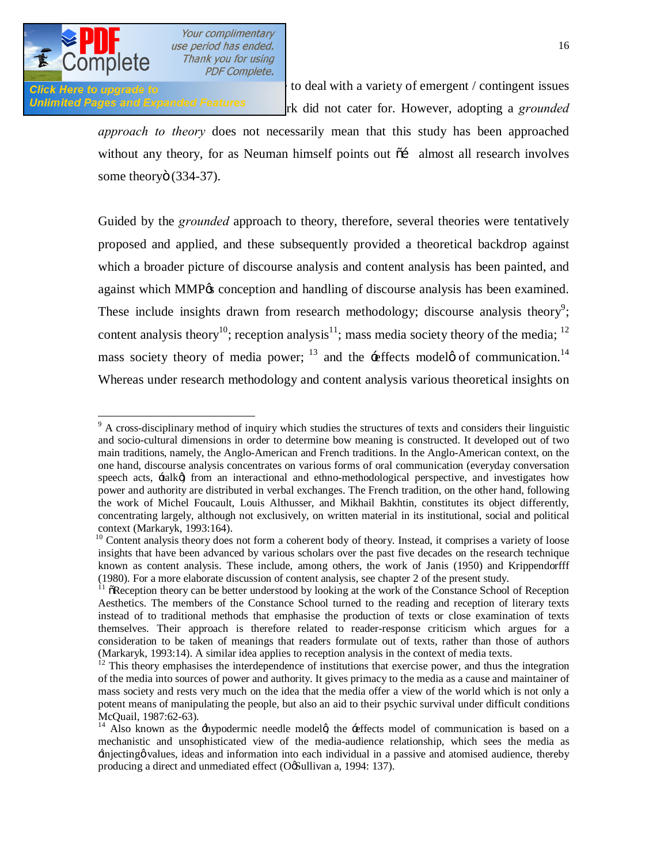

Click Here to upgrade to **Exercise 1999** to deal with a variety of emergent / contingent issues Unlimited Pages and Expanded Features rk did not cater for. However, adopting a *grounded* 

> *approach to theory* does not necessarily mean that this study has been approached without any theory, for as Neuman himself points out  $\tilde{\sigma}$  almost all research involves some theoryö (334-37).

> Guided by the *grounded* approach to theory, therefore, several theories were tentatively proposed and applied, and these subsequently provided a theoretical backdrop against which a broader picture of discourse analysis and content analysis has been painted, and against which MMP $\alpha$  conception and handling of discourse analysis has been examined. These include insights drawn from research methodology; discourse analysis theory<sup>9</sup>; content analysis theory<sup>10</sup>; reception analysis<sup>11</sup>; mass media society theory of the media; <sup>12</sup> mass society theory of media power;  $^{13}$  and the -effects model of communication.<sup>14</sup> Whereas under research methodology and content analysis various theoretical insights on

<sup>&</sup>lt;sup>9</sup> A cross-disciplinary method of inquiry which studies the structures of texts and considers their linguistic and socio-cultural dimensions in order to determine bow meaning is constructed. It developed out of two main traditions, namely, the Anglo-American and French traditions. In the Anglo-American context, on the one hand, discourse analysis concentrates on various forms of oral communication (everyday conversation speech acts,  $\pm$ alk $\emptyset$  from an interactional and ethno-methodological perspective, and investigates how power and authority are distributed in verbal exchanges. The French tradition, on the other hand, following the work of Michel Foucault, Louis Althusser, and Mikhail Bakhtin, constitutes its object differently, concentrating largely, although not exclusively, on written material in its institutional, social and political context (Markaryk, 1993:164).

<sup>&</sup>lt;sup>10</sup> Content analysis theory does not form a coherent body of theory. Instead, it comprises a variety of loose insights that have been advanced by various scholars over the past five decades on the research technique known as content analysis. These include, among others, the work of Janis (1950) and Krippendorfff (1980). For a more elaborate discussion of content analysis, see chapter 2 of the present study.

 $11$   $\tilde{O}$  Reception theory can be better understood by looking at the work of the Constance School of Reception Aesthetics. The members of the Constance School turned to the reading and reception of literary texts instead of to traditional methods that emphasise the production of texts or close examination of texts themselves. Their approach is therefore related to reader-response criticism which argues for a consideration to be taken of meanings that readers formulate out of texts, rather than those of authors (Markaryk, 1993:14). A similar idea applies to reception analysis in the context of media texts.<br><sup>12</sup> This theory emphasises the interdependence of institutions that exercise power, and thus the integration

of the media into sources of power and authority. It gives primacy to the media as a cause and maintainer of mass society and rests very much on the idea that the media offer a view of the world which is not only a potent means of manipulating the people, but also an aid to their psychic survival under difficult conditions McQuail, 1987:62-63).<br><sup>14</sup> Also known as the +hypodermic needle model , the +effects model of communication is based on a

mechanistic and unsophisticated view of the media-audience relationship, which sees the media as 'injecting' values, ideas and information into each individual in a passive and atomised audience, thereby producing a direct and unmediated effect (OgSullivan a, 1994: 137).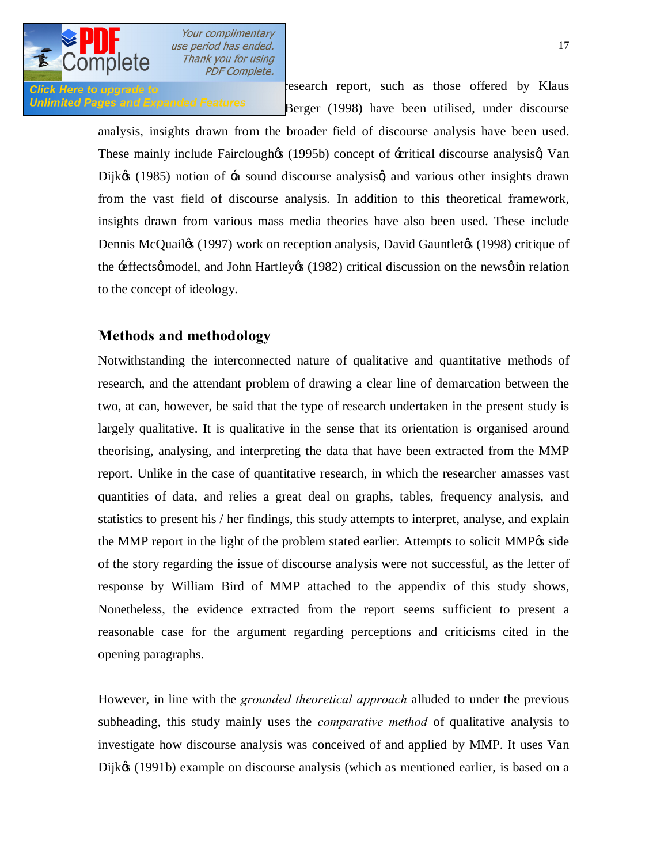

**Click Here to upgrade to research report, such as those offered by Klaus** Unlimited Pages and Expanded Features<br>Berger (1998) have been utilised, under discourse

> analysis, insights drawn from the broader field of discourse analysis have been used. These mainly include Fairclough (1995b) concept of -critical discourse analysis (Van Dijk $\&$  (1985) notion of  $\pm$  sound discourse analysis and various other insights drawn from the vast field of discourse analysis. In addition to this theoretical framework, insights drawn from various mass media theories have also been used. These include Dennis McQuail) (1997) work on reception analysis, David Gauntlet (1998) critique of the  $\pm$  effects $\phi$  model, and John Hartley $\phi$  (1982) critical discussion on the news $\phi$  in relation to the concept of ideology.

# **Methods and methodology**

Notwithstanding the interconnected nature of qualitative and quantitative methods of research, and the attendant problem of drawing a clear line of demarcation between the two, at can, however, be said that the type of research undertaken in the present study is largely qualitative. It is qualitative in the sense that its orientation is organised around theorising, analysing, and interpreting the data that have been extracted from the MMP report. Unlike in the case of quantitative research, in which the researcher amasses vast quantities of data, and relies a great deal on graphs, tables, frequency analysis, and statistics to present his / her findings, this study attempts to interpret, analyse, and explain the MMP report in the light of the problem stated earlier. Attempts to solicit MMP $\alpha$  side of the story regarding the issue of discourse analysis were not successful, as the letter of response by William Bird of MMP attached to the appendix of this study shows, Nonetheless, the evidence extracted from the report seems sufficient to present a reasonable case for the argument regarding perceptions and criticisms cited in the opening paragraphs.

However, in line with the *grounded theoretical approach* alluded to under the previous subheading, this study mainly uses the *comparative method* of qualitative analysis to investigate how discourse analysis was conceived of and applied by MMP. It uses Van Dijkø (1991b) example on discourse analysis (which as mentioned earlier, is based on a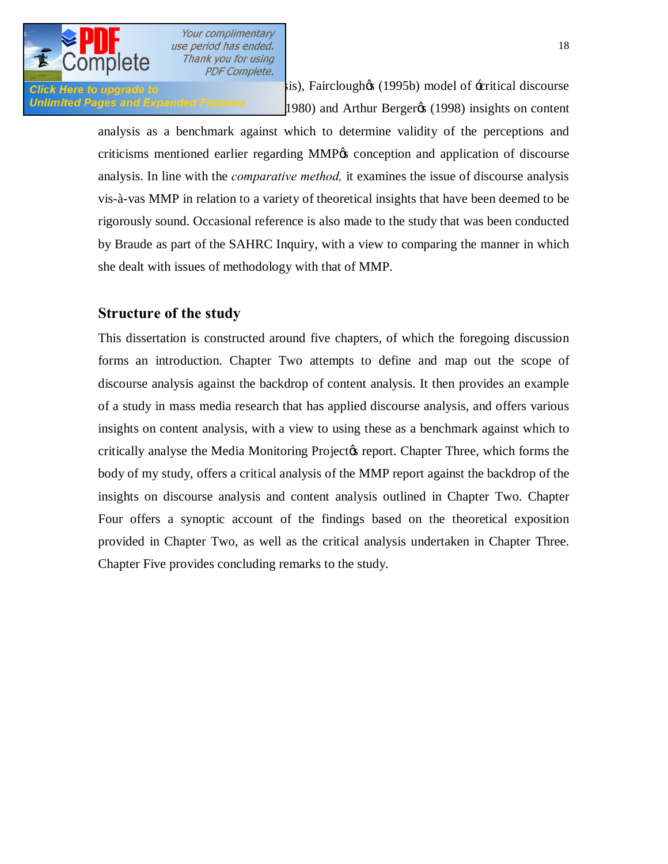

click Here to upgrade to **compute the computer of the discourse** and vis), Fairclough  $\alpha$  (1995b) model of -critical discourse **Unlimited Pages and Expanded Features**  $1980$ ) and Arthur Berger $\alpha$  (1998) insights on content

> analysis as a benchmark against which to determine validity of the perceptions and criticisms mentioned earlier regarding MMP $\alpha$  conception and application of discourse analysis. In line with the *comparative method,* it examines the issue of discourse analysis vis-à-vas MMP in relation to a variety of theoretical insights that have been deemed to be rigorously sound. Occasional reference is also made to the study that was been conducted by Braude as part of the SAHRC Inquiry, with a view to comparing the manner in which she dealt with issues of methodology with that of MMP.

# **Structure of the study**

This dissertation is constructed around five chapters, of which the foregoing discussion forms an introduction. Chapter Two attempts to define and map out the scope of discourse analysis against the backdrop of content analysis. It then provides an example of a study in mass media research that has applied discourse analysis, and offers various insights on content analysis, with a view to using these as a benchmark against which to critically analyse the Media Monitoring Project to report. Chapter Three, which forms the body of my study, offers a critical analysis of the MMP report against the backdrop of the insights on discourse analysis and content analysis outlined in Chapter Two. Chapter Four offers a synoptic account of the findings based on the theoretical exposition provided in Chapter Two, as well as the critical analysis undertaken in Chapter Three. Chapter Five provides concluding remarks to the study.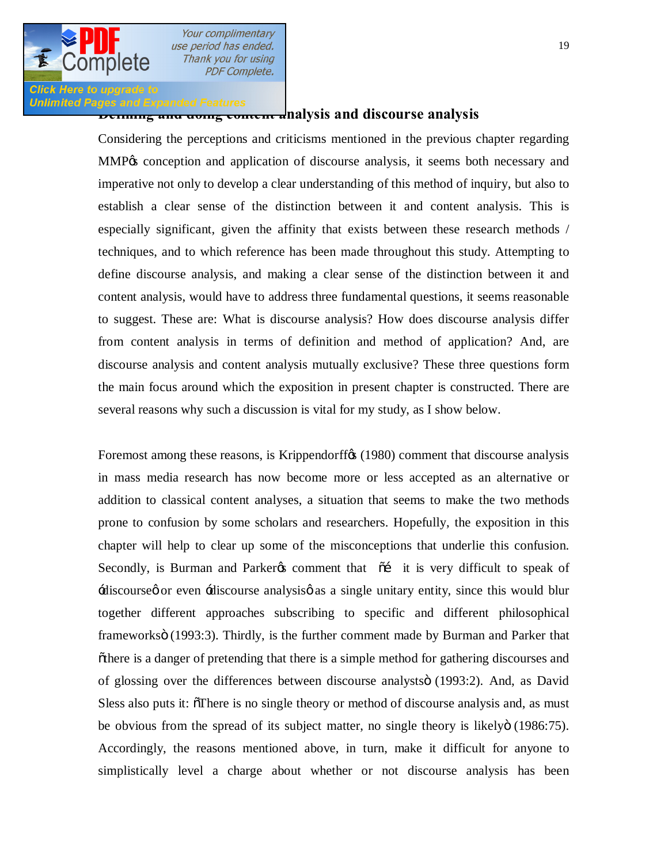

**Definited Pages and Expanded Features**<br>**Doming and doing content analysis and discourse analysis** 

Considering the perceptions and criticisms mentioned in the previous chapter regarding MMP% conception and application of discourse analysis, it seems both necessary and imperative not only to develop a clear understanding of this method of inquiry, but also to establish a clear sense of the distinction between it and content analysis. This is especially significant, given the affinity that exists between these research methods / techniques, and to which reference has been made throughout this study. Attempting to define discourse analysis, and making a clear sense of the distinction between it and content analysis, would have to address three fundamental questions, it seems reasonable to suggest. These are: What is discourse analysis? How does discourse analysis differ from content analysis in terms of definition and method of application? And, are discourse analysis and content analysis mutually exclusive? These three questions form the main focus around which the exposition in present chapter is constructed. There are several reasons why such a discussion is vital for my study, as I show below.

Foremost among these reasons, is Krippendorff $\alpha$  (1980) comment that discourse analysis in mass media research has now become more or less accepted as an alternative or addition to classical content analyses, a situation that seems to make the two methods prone to confusion by some scholars and researchers. Hopefully, the exposition in this chapter will help to clear up some of the misconceptions that underlie this confusion. Secondly, is Burman and Parker  $\alpha$  comment that  $\tilde{\alpha}$  it is very difficult to speak of 'discourse' or even 'discourse analysis' as a single unitary entity, since this would blur together different approaches subscribing to specific and different philosophical frameworksö (1993:3). Thirdly, is the further comment made by Burman and Parker that  $\tilde{\sigma}$  othere is a danger of pretending that there is a simple method for gathering discourses and of glossing over the differences between discourse analystsö (1993:2). And, as David Sless also puts it:  $\delta$ There is no single theory or method of discourse analysis and, as must be obvious from the spread of its subject matter, no single theory is likelyo (1986:75). Accordingly, the reasons mentioned above, in turn, make it difficult for anyone to simplistically level a charge about whether or not discourse analysis has been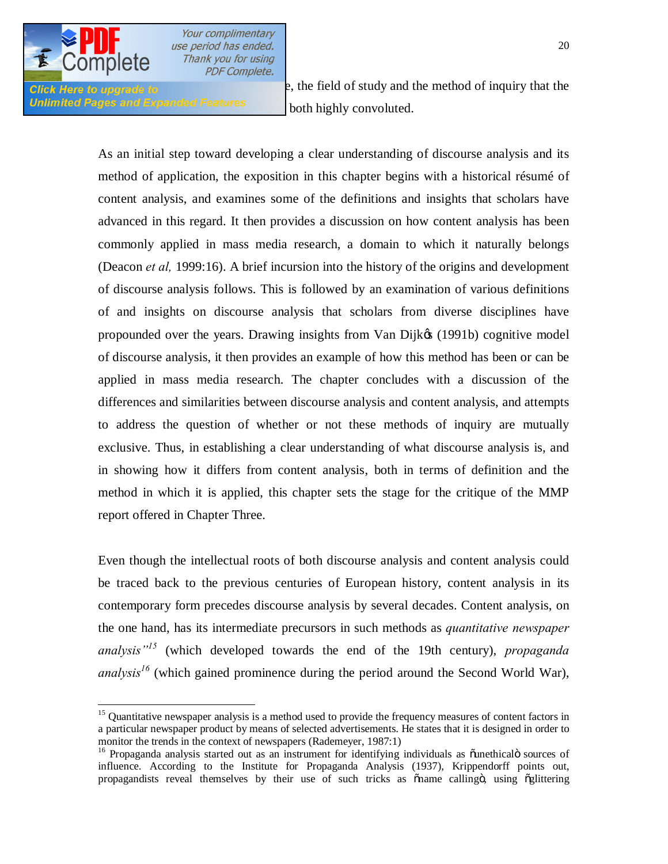

Unlimited Pages and Expanded Features both highly convoluted.

**Click** Here to upgrade to **and misconceived** and misconceived and the method of inquiry that the

As an initial step toward developing a clear understanding of discourse analysis and its method of application, the exposition in this chapter begins with a historical résumé of content analysis, and examines some of the definitions and insights that scholars have advanced in this regard. It then provides a discussion on how content analysis has been commonly applied in mass media research, a domain to which it naturally belongs (Deacon *et al,* 1999:16). A brief incursion into the history of the origins and development of discourse analysis follows. This is followed by an examination of various definitions of and insights on discourse analysis that scholars from diverse disciplines have propounded over the years. Drawing insights from Van Dijk $\&$  (1991b) cognitive model of discourse analysis, it then provides an example of how this method has been or can be applied in mass media research. The chapter concludes with a discussion of the differences and similarities between discourse analysis and content analysis, and attempts to address the question of whether or not these methods of inquiry are mutually exclusive. Thus, in establishing a clear understanding of what discourse analysis is, and in showing how it differs from content analysis, both in terms of definition and the method in which it is applied, this chapter sets the stage for the critique of the MMP report offered in Chapter Three.

Even though the intellectual roots of both discourse analysis and content analysis could be traced back to the previous centuries of European history, content analysis in its contemporary form precedes discourse analysis by several decades. Content analysis, on the one hand, has its intermediate precursors in such methods as *quantitative newspaper analysis"<sup>15</sup>* (which developed towards the end of the 19th century), *propaganda analysis*<sup>16</sup> (which gained prominence during the period around the Second World War),

<sup>&</sup>lt;sup>15</sup> Quantitative newspaper analysis is a method used to provide the frequency measures of content factors in a particular newspaper product by means of selected advertisements. He states that it is designed in order to monitor the trends in the context of newspapers (Rademeyer, 1987:1)

 $16$  Propaganda analysis started out as an instrument for identifying individuals as  $\ddot{\text{o}}$ unethical $\ddot{\text{o}}$  sources of influence. According to the Institute for Propaganda Analysis (1937), Krippendorff points out, propagandists reveal themselves by their use of such tricks as oname callingo, using oglittering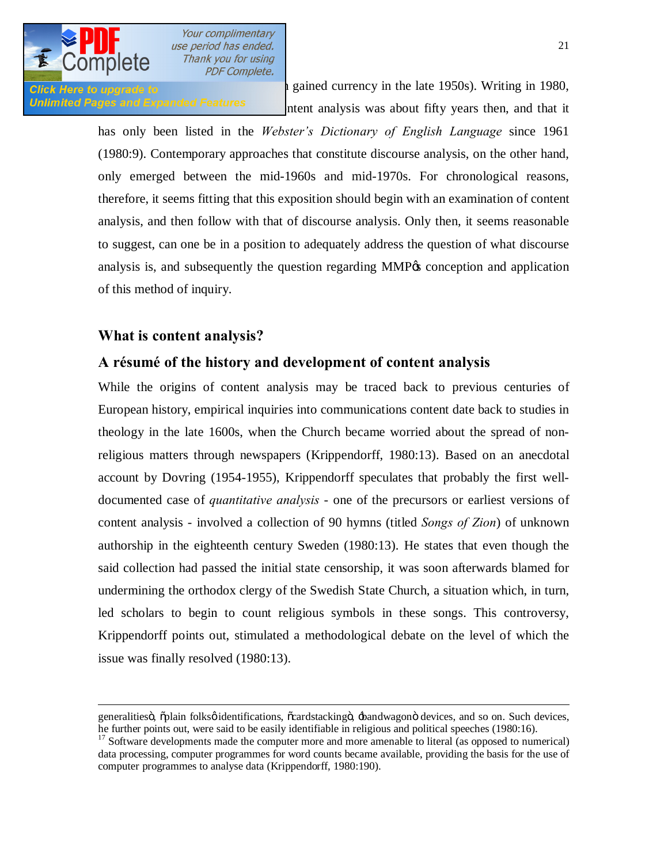

 $\overline{a}$ 

Your complimentary use period has ended. Thank you for using **PDF Complete.** 

**Click Here to upgrade to computer and** *currency* in the late 1950s). Writing in 1980, Unlimited Pages and Expanded Features **that it is a that it** it is not that it is not that it is not that it is not that it

> has only been listed in the *Webster's Dictionary of English Language* since 1961 (1980:9). Contemporary approaches that constitute discourse analysis, on the other hand, only emerged between the mid-1960s and mid-1970s. For chronological reasons, therefore, it seems fitting that this exposition should begin with an examination of content analysis, and then follow with that of discourse analysis. Only then, it seems reasonable to suggest, can one be in a position to adequately address the question of what discourse analysis is, and subsequently the question regarding MMP% conception and application of this method of inquiry.

# **What is content analysis?**

## **A résumé of the history and development of content analysis**

While the origins of content analysis may be traced back to previous centuries of European history, empirical inquiries into communications content date back to studies in theology in the late 1600s, when the Church became worried about the spread of nonreligious matters through newspapers (Krippendorff, 1980:13). Based on an anecdotal account by Dovring (1954-1955), Krippendorff speculates that probably the first welldocumented case of *quantitative analysis* - one of the precursors or earliest versions of content analysis - involved a collection of 90 hymns (titled *Songs of Zion*) of unknown authorship in the eighteenth century Sweden (1980:13). He states that even though the said collection had passed the initial state censorship, it was soon afterwards blamed for undermining the orthodox clergy of the Swedish State Church, a situation which, in turn, led scholars to begin to count religious symbols in these songs. This controversy, Krippendorff points out, stimulated a methodological debate on the level of which the issue was finally resolved (1980:13).

generalitiesö, õplain folksø identifications, õcardstackingö,  $\pm$ andwagonö devices, and so on. Such devices, he further points out, were said to be easily identifiable in religious and political speeches (1980:16).

<sup>&</sup>lt;sup>17</sup> Software developments made the computer more and more amenable to literal (as opposed to numerical) data processing, computer programmes for word counts became available, providing the basis for the use of computer programmes to analyse data (Krippendorff, 1980:190).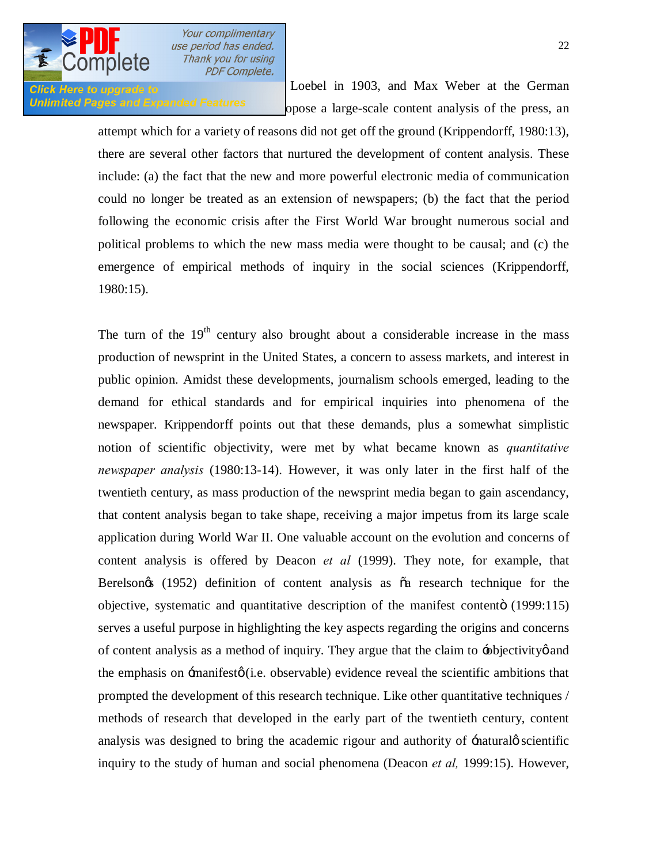

**Click Here to upgrade to EXECLUS** Except in 1903, and Max Weber at the German Unlimited Pages and Expanded Features opose a large-scale content analysis of the press, an

> attempt which for a variety of reasons did not get off the ground (Krippendorff, 1980:13), there are several other factors that nurtured the development of content analysis. These include: (a) the fact that the new and more powerful electronic media of communication could no longer be treated as an extension of newspapers; (b) the fact that the period following the economic crisis after the First World War brought numerous social and political problems to which the new mass media were thought to be causal; and (c) the emergence of empirical methods of inquiry in the social sciences (Krippendorff, 1980:15).

> The turn of the  $19<sup>th</sup>$  century also brought about a considerable increase in the mass production of newsprint in the United States, a concern to assess markets, and interest in public opinion. Amidst these developments, journalism schools emerged, leading to the demand for ethical standards and for empirical inquiries into phenomena of the newspaper. Krippendorff points out that these demands, plus a somewhat simplistic notion of scientific objectivity, were met by what became known as *quantitative newspaper analysis* (1980:13-14). However, it was only later in the first half of the twentieth century, as mass production of the newsprint media began to gain ascendancy, that content analysis began to take shape, receiving a major impetus from its large scale application during World War II. One valuable account on the evolution and concerns of content analysis is offered by Deacon *et al* (1999). They note, for example, that Berelsongs (1952) definition of content analysis as  $\tilde{a}$  research technique for the objective, systematic and quantitative description of the manifest contento (1999:115) serves a useful purpose in highlighting the key aspects regarding the origins and concerns of content analysis as a method of inquiry. They argue that the claim to -objectivity and the emphasis on  $\exists$ manifest $\phi$  (i.e. observable) evidence reveal the scientific ambitions that prompted the development of this research technique. Like other quantitative techniques / methods of research that developed in the early part of the twentieth century, content analysis was designed to bring the academic rigour and authority of  $\pm$ natural *g* scientific inquiry to the study of human and social phenomena (Deacon *et al,* 1999:15). However,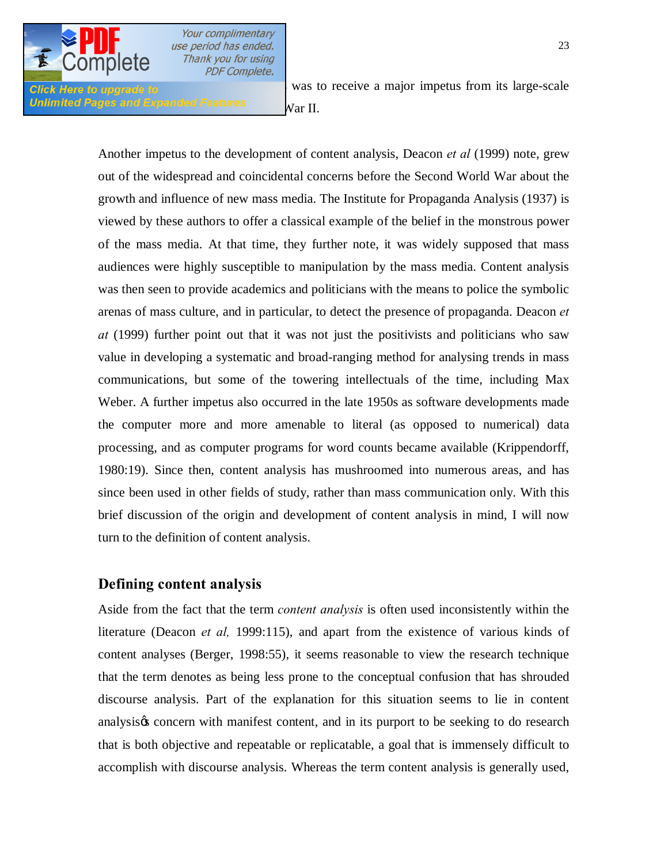

Unlimited Pages and Expanded Features  $N{\rm ar\ II.}$ 

**Click Here to upgrade to a has been not a major impetus from its large-scale** 

Another impetus to the development of content analysis, Deacon *et al* (1999) note, grew out of the widespread and coincidental concerns before the Second World War about the growth and influence of new mass media. The Institute for Propaganda Analysis (1937) is viewed by these authors to offer a classical example of the belief in the monstrous power of the mass media. At that time, they further note, it was widely supposed that mass audiences were highly susceptible to manipulation by the mass media. Content analysis was then seen to provide academics and politicians with the means to police the symbolic arenas of mass culture, and in particular, to detect the presence of propaganda. Deacon *et at* (1999) further point out that it was not just the positivists and politicians who saw value in developing a systematic and broad-ranging method for analysing trends in mass communications, but some of the towering intellectuals of the time, including Max Weber. A further impetus also occurred in the late 1950s as software developments made the computer more and more amenable to literal (as opposed to numerical) data processing, and as computer programs for word counts became available (Krippendorff, 1980:19). Since then, content analysis has mushroomed into numerous areas, and has since been used in other fields of study, rather than mass communication only. With this brief discussion of the origin and development of content analysis in mind, I will now turn to the definition of content analysis.

## **Defining content analysis**

Aside from the fact that the term *content analysis* is often used inconsistently within the literature (Deacon *et al,* 1999:115), and apart from the existence of various kinds of content analyses (Berger, 1998:55), it seems reasonable to view the research technique that the term denotes as being less prone to the conceptual confusion that has shrouded discourse analysis. Part of the explanation for this situation seems to lie in content analysis concern with manifest content, and in its purport to be seeking to do research that is both objective and repeatable or replicatable, a goal that is immensely difficult to accomplish with discourse analysis. Whereas the term content analysis is generally used,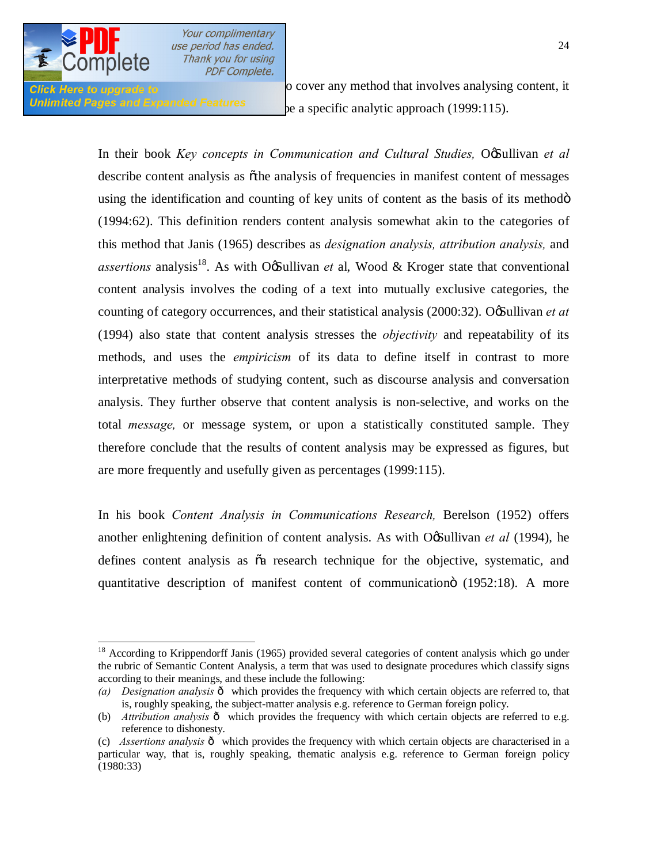

**Click Here to upgrade to** cover any method that involves analysing content, it Unlimited Pages and Expanded Features be a specific analytic approach (1999:115).

> In their book *Key concepts in Communication and Cultural Studies, Of* Sullivan *et al* describe content analysis as othe analysis of frequencies in manifest content of messages using the identification and counting of key units of content as the basis of its methodom (1994:62). This definition renders content analysis somewhat akin to the categories of this method that Janis (1965) describes as *designation analysis, attribution analysis,* and  $as~$ aritions analysis<sup>18</sup>. As with  $0 \times 10^8$  allivan *et* al, Wood  $\& Krog$  er state that conventionalcontent analysis involves the coding of a text into mutually exclusive categories, the counting of category occurrences, and their statistical analysis (2000:32). Og Sullivan *et at* (1994) also state that content analysis stresses the *objectivity* and repeatability of its methods, and uses the *empiricism* of its data to define itself in contrast to more interpretative methods of studying content, such as discourse analysis and conversation analysis. They further observe that content analysis is non-selective, and works on the total *message,* or message system, or upon a statistically constituted sample. They therefore conclude that the results of content analysis may be expressed as figures, but are more frequently and usefully given as percentages (1999:115).

> In his book *Content Analysis in Communications Research,* Berelson (1952) offers another enlightening definition of content analysis. As with OgSullivan *et al* (1994), he defines content analysis as  $\tilde{\alpha}$  research technique for the objective, systematic, and quantitative description of manifest content of communication  $(1952:18)$ . A more

<sup>&</sup>lt;sup>18</sup> According to Krippendorff Janis (1965) provided several categories of content analysis which go under the rubric of Semantic Content Analysis, a term that was used to designate procedures which classify signs according to their meanings, and these include the following:

*<sup>(</sup>a) Designation analysis*  $\hat{o}$  which provides the frequency with which certain objects are referred to, that is, roughly speaking, the subject-matter analysis e.g. reference to German foreign policy.

<sup>(</sup>b) *Attribution analysis*  $\hat{o}$  which provides the frequency with which certain objects are referred to e.g. reference to dishonesty.

<sup>(</sup>c) *Assertions analysis*  $\hat{o}$  which provides the frequency with which certain objects are characterised in a particular way, that is, roughly speaking, thematic analysis e.g. reference to German foreign policy (1980:33)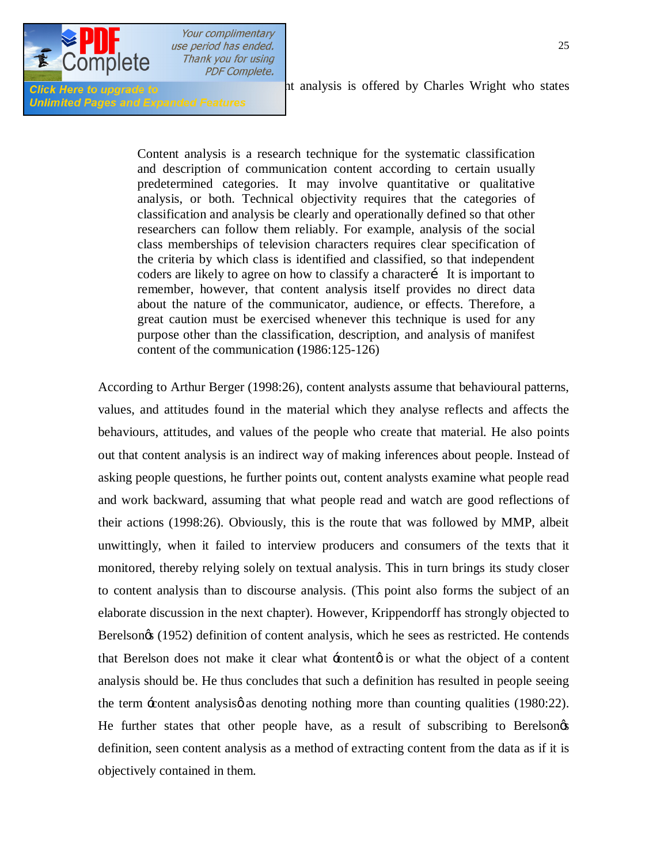

**Unlimited Pages and Expanded Features** 

Click Here to upgrade to **comprehensive definition** of analysis is offered by Charles Wright who states

Content analysis is a research technique for the systematic classification and description of communication content according to certain usually predetermined categories. It may involve quantitative or qualitative analysis, or both. Technical objectivity requires that the categories of classification and analysis be clearly and operationally defined so that other researchers can follow them reliably. For example, analysis of the social class memberships of television characters requires clear specification of the criteria by which class is identified and classified, so that independent coders are likely to agree on how to classify a character It is important to remember, however, that content analysis itself provides no direct data about the nature of the communicator, audience, or effects. Therefore, a great caution must be exercised whenever this technique is used for any purpose other than the classification, description, and analysis of manifest content of the communication **(**1986:125-126)

According to Arthur Berger (1998:26), content analysts assume that behavioural patterns, values, and attitudes found in the material which they analyse reflects and affects the behaviours, attitudes, and values of the people who create that material. He also points out that content analysis is an indirect way of making inferences about people. Instead of asking people questions, he further points out, content analysts examine what people read and work backward, assuming that what people read and watch are good reflections of their actions (1998:26). Obviously, this is the route that was followed by MMP, albeit unwittingly, when it failed to interview producers and consumers of the texts that it monitored, thereby relying solely on textual analysis. This in turn brings its study closer to content analysis than to discourse analysis. (This point also forms the subject of an elaborate discussion in the next chapter). However, Krippendorff has strongly objected to Berelson $\alpha$  (1952) definition of content analysis, which he sees as restricted. He contends that Berelson does not make it clear what  $\pm$ contento is or what the object of a content analysis should be. He thus concludes that such a definition has resulted in people seeing the term -content analysis  $\phi$  as denoting nothing more than counting qualities (1980:22). He further states that other people have, as a result of subscribing to Berelsongs definition, seen content analysis as a method of extracting content from the data as if it is objectively contained in them.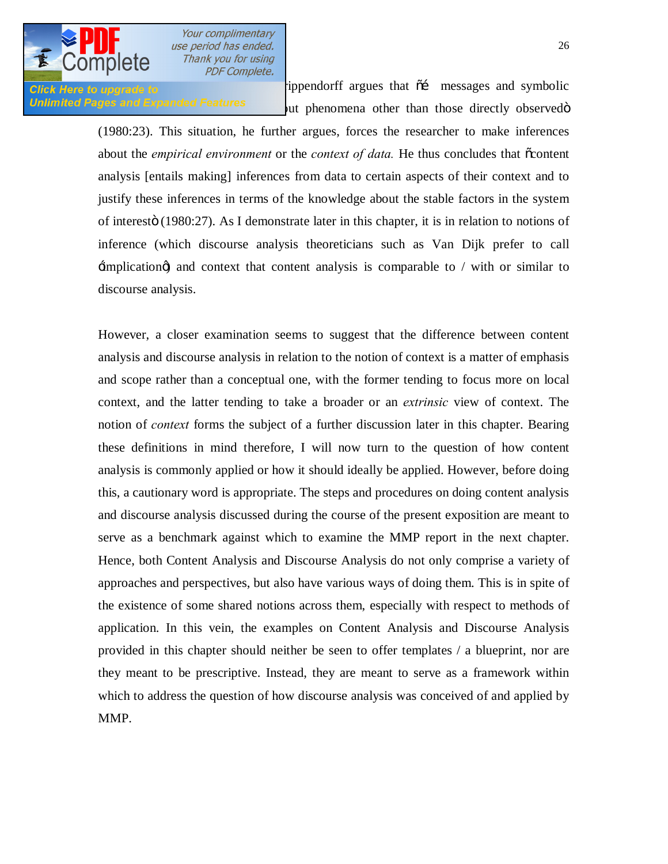

Click Here to upgrade to **Exercise 2018** ippendorff argues that  $\tilde{o}$  imessages and symbolic **Unlimited Pages and Expanded Features** but phenomena other than those directly observed by

> (1980:23). This situation, he further argues, forces the researcher to make inferences about the *empirical environment* or the *context of data*. He thus concludes that  $\tilde{o}$ content analysis [entails making] inferences from data to certain aspects of their context and to justify these inferences in terms of the knowledge about the stable factors in the system of interestö (1980:27). As I demonstrate later in this chapter, it is in relation to notions of inference (which discourse analysis theoreticians such as Van Dijk prefer to call  $\pm$ implication $\phi$ ) and context that content analysis is comparable to / with or similar to discourse analysis.

> However, a closer examination seems to suggest that the difference between content analysis and discourse analysis in relation to the notion of context is a matter of emphasis and scope rather than a conceptual one, with the former tending to focus more on local context, and the latter tending to take a broader or an *extrinsic* view of context. The notion of *context* forms the subject of a further discussion later in this chapter. Bearing these definitions in mind therefore, I will now turn to the question of how content analysis is commonly applied or how it should ideally be applied. However, before doing this, a cautionary word is appropriate. The steps and procedures on doing content analysis and discourse analysis discussed during the course of the present exposition are meant to serve as a benchmark against which to examine the MMP report in the next chapter. Hence, both Content Analysis and Discourse Analysis do not only comprise a variety of approaches and perspectives, but also have various ways of doing them. This is in spite of the existence of some shared notions across them, especially with respect to methods of application. In this vein, the examples on Content Analysis and Discourse Analysis provided in this chapter should neither be seen to offer templates / a blueprint, nor are they meant to be prescriptive. Instead, they are meant to serve as a framework within which to address the question of how discourse analysis was conceived of and applied by MMP.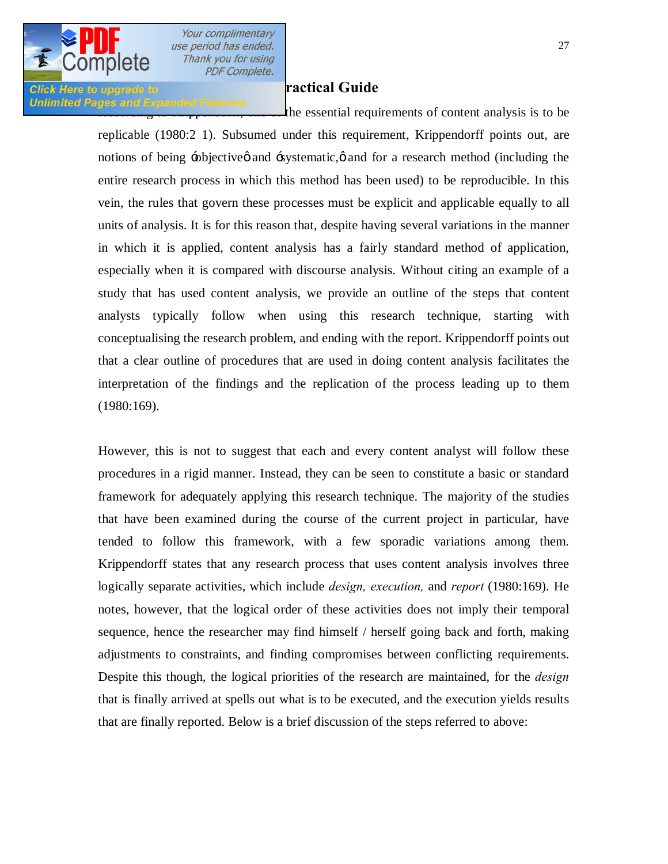

### **Doing Click Here to upgrade to Analysis: A Practical Guide**

Unlimited Pages and Expanded Features<br>the essential requirements of content analysis is to be replicable (1980:2 1). Subsumed under this requirement, Krippendorff points out, are notions of being  $\div$ objective and  $\div$ systematic,  $\phi$  and for a research method (including the entire research process in which this method has been used) to be reproducible. In this vein, the rules that govern these processes must be explicit and applicable equally to all units of analysis. It is for this reason that, despite having several variations in the manner in which it is applied, content analysis has a fairly standard method of application, especially when it is compared with discourse analysis. Without citing an example of a study that has used content analysis, we provide an outline of the steps that content analysts typically follow when using this research technique, starting with conceptualising the research problem, and ending with the report. Krippendorff points out that a clear outline of procedures that are used in doing content analysis facilitates the interpretation of the findings and the replication of the process leading up to them (1980:169).

> However, this is not to suggest that each and every content analyst will follow these procedures in a rigid manner. Instead, they can be seen to constitute a basic or standard framework for adequately applying this research technique. The majority of the studies that have been examined during the course of the current project in particular, have tended to follow this framework, with a few sporadic variations among them. Krippendorff states that any research process that uses content analysis involves three logically separate activities, which include *design, execution,* and *report* (1980:169). He notes, however, that the logical order of these activities does not imply their temporal sequence, hence the researcher may find himself / herself going back and forth, making adjustments to constraints, and finding compromises between conflicting requirements. Despite this though, the logical priorities of the research are maintained, for the *design*  that is finally arrived at spells out what is to be executed, and the execution yields results that are finally reported. Below is a brief discussion of the steps referred to above: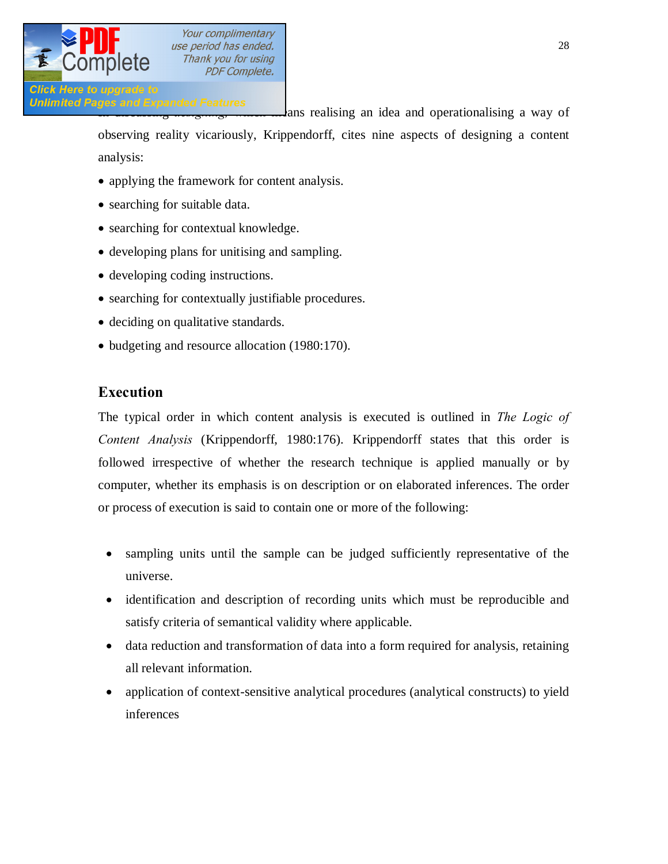

Unlimited Pages and Expanded Features<br>
ans realising an idea and operationalising a way of observing reality vicariously, Krippendorff, cites nine aspects of designing a content analysis:

- applying the framework for content analysis.
- searching for suitable data.
- · searching for contextual knowledge.
- · developing plans for unitising and sampling.
- developing coding instructions.
- searching for contextually justifiable procedures.
- deciding on qualitative standards.
- · budgeting and resource allocation (1980:170).

# **Execution**

The typical order in which content analysis is executed is outlined in *The Logic of Content Analysis* (Krippendorff, 1980:176). Krippendorff states that this order is followed irrespective of whether the research technique is applied manually or by computer, whether its emphasis is on description or on elaborated inferences. The order or process of execution is said to contain one or more of the following:

- sampling units until the sample can be judged sufficiently representative of the universe.
- identification and description of recording units which must be reproducible and satisfy criteria of semantical validity where applicable.
- data reduction and transformation of data into a form required for analysis, retaining all relevant information.
- application of context-sensitive analytical procedures (analytical constructs) to yield inferences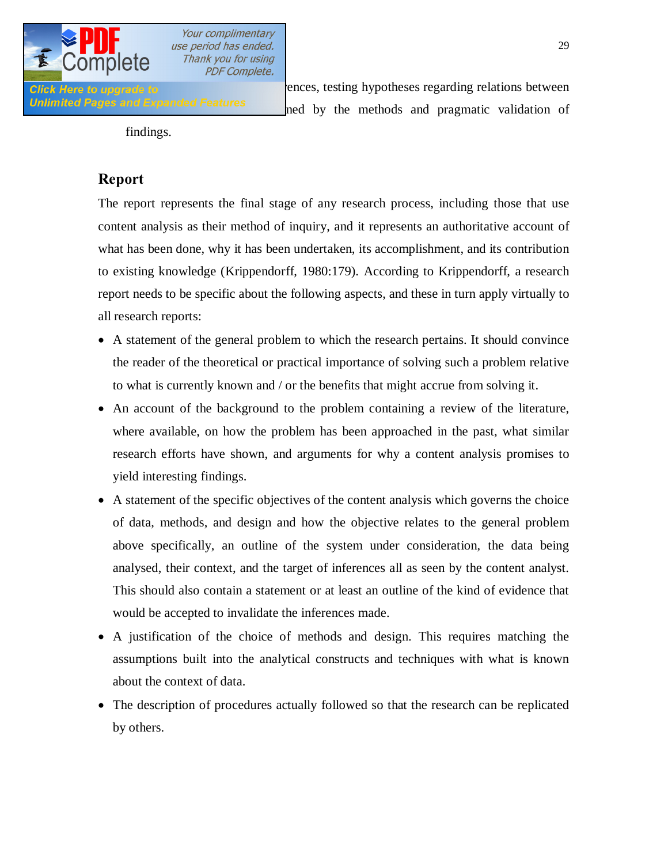

**Click Here to upgrade to analysis of pattern with inferences**, testing hypotheses regarding relations between Unlimited Pages and Expanded Features and by the methods and pragmatic validation of

findings.

# **Report**

The report represents the final stage of any research process, including those that use content analysis as their method of inquiry, and it represents an authoritative account of what has been done, why it has been undertaken, its accomplishment, and its contribution to existing knowledge (Krippendorff, 1980:179). According to Krippendorff, a research report needs to be specific about the following aspects, and these in turn apply virtually to all research reports:

- A statement of the general problem to which the research pertains. It should convince the reader of the theoretical or practical importance of solving such a problem relative to what is currently known and / or the benefits that might accrue from solving it.
- · An account of the background to the problem containing a review of the literature, where available, on how the problem has been approached in the past, what similar research efforts have shown, and arguments for why a content analysis promises to yield interesting findings.
- · A statement of the specific objectives of the content analysis which governs the choice of data, methods, and design and how the objective relates to the general problem above specifically, an outline of the system under consideration, the data being analysed, their context, and the target of inferences all as seen by the content analyst. This should also contain a statement or at least an outline of the kind of evidence that would be accepted to invalidate the inferences made.
- · A justification of the choice of methods and design. This requires matching the assumptions built into the analytical constructs and techniques with what is known about the context of data.
- The description of procedures actually followed so that the research can be replicated by others.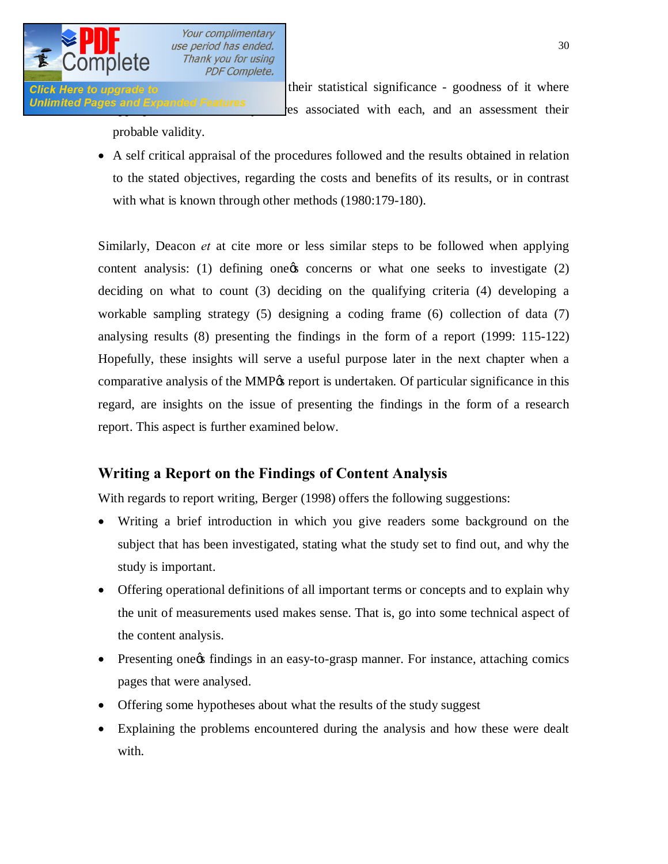

**Click Here to upgrade to** *Click Here to upgrade to Click Here to upgrade to* Unlimited Pages and Expanded Features es associated with each, and an assessment their

probable validity.

**PDF Complete.** 

· A self critical appraisal of the procedures followed and the results obtained in relation to the stated objectives, regarding the costs and benefits of its results, or in contrast with what is known through other methods (1980:179-180).

Similarly, Deacon *et* at cite more or less similar steps to be followed when applying content analysis: (1) defining one  $\infty$  concerns or what one seeks to investigate (2) deciding on what to count (3) deciding on the qualifying criteria (4) developing a workable sampling strategy (5) designing a coding frame (6) collection of data (7) analysing results (8) presenting the findings in the form of a report (1999: 115-122) Hopefully, these insights will serve a useful purpose later in the next chapter when a comparative analysis of the MMP% report is undertaken. Of particular significance in this regard, are insights on the issue of presenting the findings in the form of a research report. This aspect is further examined below.

# **Writing a Report on the Findings of Content Analysis**

With regards to report writing, Berger (1998) offers the following suggestions:

- · Writing a brief introduction in which you give readers some background on the subject that has been investigated, stating what the study set to find out, and why the study is important.
- Offering operational definitions of all important terms or concepts and to explain why the unit of measurements used makes sense. That is, go into some technical aspect of the content analysis.
- Presenting one of findings in an easy-to-grasp manner. For instance, attaching comics pages that were analysed.
- Offering some hypotheses about what the results of the study suggest
- Explaining the problems encountered during the analysis and how these were dealt with.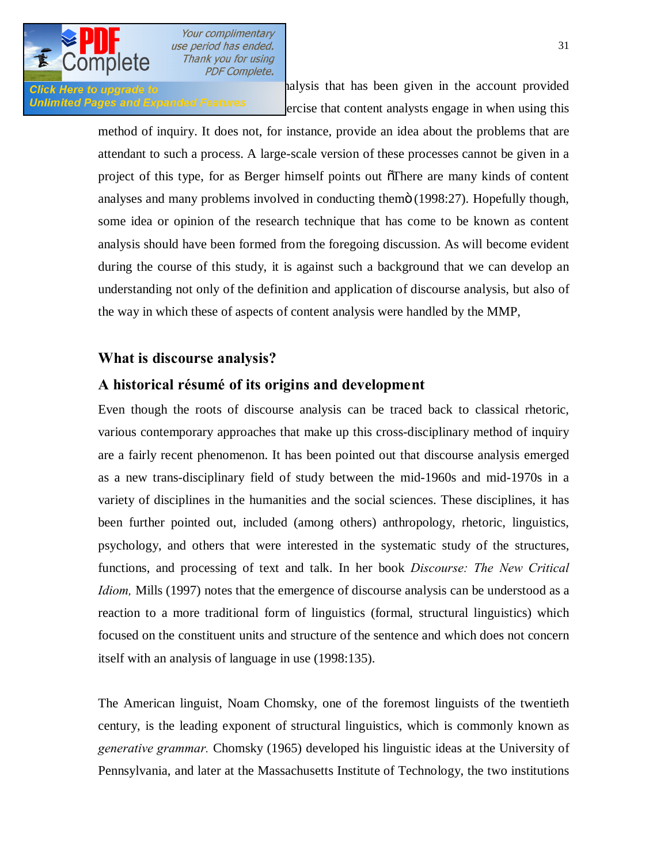

**Click Here to upgrade to Admit analysis that has been given in the account provided** Unlimited Pages and Expanded Features ercise that content analysts engage in when using this

> method of inquiry. It does not, for instance, provide an idea about the problems that are attendant to such a process. A large-scale version of these processes cannot be given in a project of this type, for as Berger himself points out  $\sigma$ There are many kinds of content analyses and many problems involved in conducting themo (1998:27). Hopefully though, some idea or opinion of the research technique that has come to be known as content analysis should have been formed from the foregoing discussion. As will become evident during the course of this study, it is against such a background that we can develop an understanding not only of the definition and application of discourse analysis, but also of the way in which these of aspects of content analysis were handled by the MMP,

# **What is discourse analysis?**

## **A historical résumé of its origins and development**

Even though the roots of discourse analysis can be traced back to classical rhetoric, various contemporary approaches that make up this cross-disciplinary method of inquiry are a fairly recent phenomenon. It has been pointed out that discourse analysis emerged as a new trans-disciplinary field of study between the mid-1960s and mid-1970s in a variety of disciplines in the humanities and the social sciences. These disciplines, it has been further pointed out, included (among others) anthropology, rhetoric, linguistics, psychology, and others that were interested in the systematic study of the structures, functions, and processing of text and talk. In her book *Discourse: The New Critical Idiom,* Mills (1997) notes that the emergence of discourse analysis can be understood as a reaction to a more traditional form of linguistics (formal, structural linguistics) which focused on the constituent units and structure of the sentence and which does not concern itself with an analysis of language in use (1998:135).

The American linguist, Noam Chomsky, one of the foremost linguists of the twentieth century, is the leading exponent of structural linguistics, which is commonly known as *generative grammar.* Chomsky (1965) developed his linguistic ideas at the University of Pennsylvania, and later at the Massachusetts Institute of Technology, the two institutions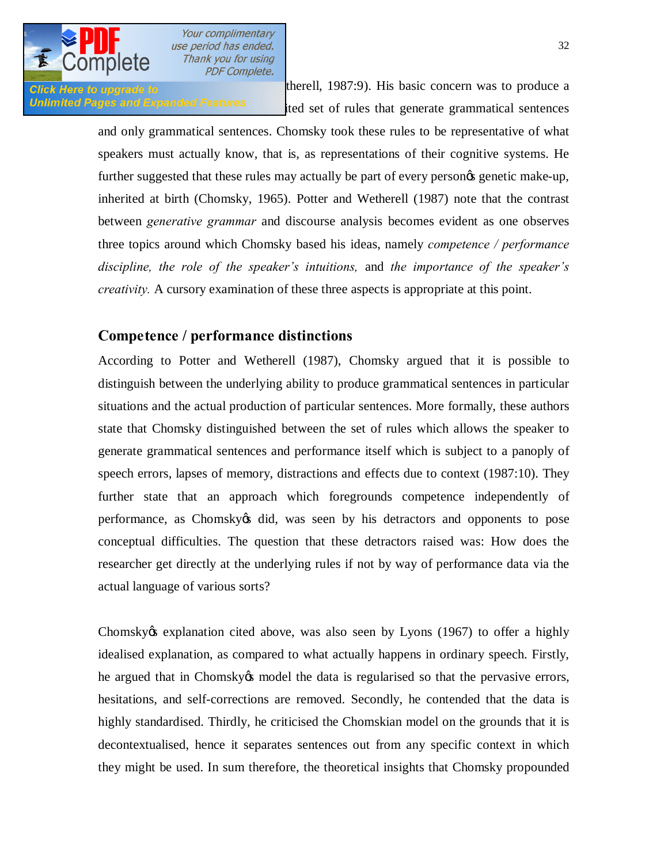

Click Here to upgrade to  $\qquad$  the rell, 1987:9). His basic concern was to produce a *Unlimited Pages and Expanded Features* ited set of rules that generate grammatical sentences

> and only grammatical sentences. Chomsky took these rules to be representative of what speakers must actually know, that is, as representations of their cognitive systems. He further suggested that these rules may actually be part of every persones genetic make-up, inherited at birth (Chomsky, 1965). Potter and Wetherell (1987) note that the contrast between *generative grammar* and discourse analysis becomes evident as one observes three topics around which Chomsky based his ideas, namely *competence / performance discipline, the role of the speaker's intuitions,* and *the importance of the speaker's creativity.* A cursory examination of these three aspects is appropriate at this point.

# **Competence / performance distinctions**

According to Potter and Wetherell (1987), Chomsky argued that it is possible to distinguish between the underlying ability to produce grammatical sentences in particular situations and the actual production of particular sentences. More formally, these authors state that Chomsky distinguished between the set of rules which allows the speaker to generate grammatical sentences and performance itself which is subject to a panoply of speech errors, lapses of memory, distractions and effects due to context (1987:10). They further state that an approach which foregrounds competence independently of performance, as Chomsky a did, was seen by his detractors and opponents to pose conceptual difficulties. The question that these detractors raised was: How does the researcher get directly at the underlying rules if not by way of performance data via the actual language of various sorts?

Chomsky & explanation cited above, was also seen by Lyons (1967) to offer a highly idealised explanation, as compared to what actually happens in ordinary speech. Firstly, he argued that in Chomsky *n* model the data is regularised so that the pervasive errors, hesitations, and self-corrections are removed. Secondly, he contended that the data is highly standardised. Thirdly, he criticised the Chomskian model on the grounds that it is decontextualised, hence it separates sentences out from any specific context in which they might be used. In sum therefore, the theoretical insights that Chomsky propounded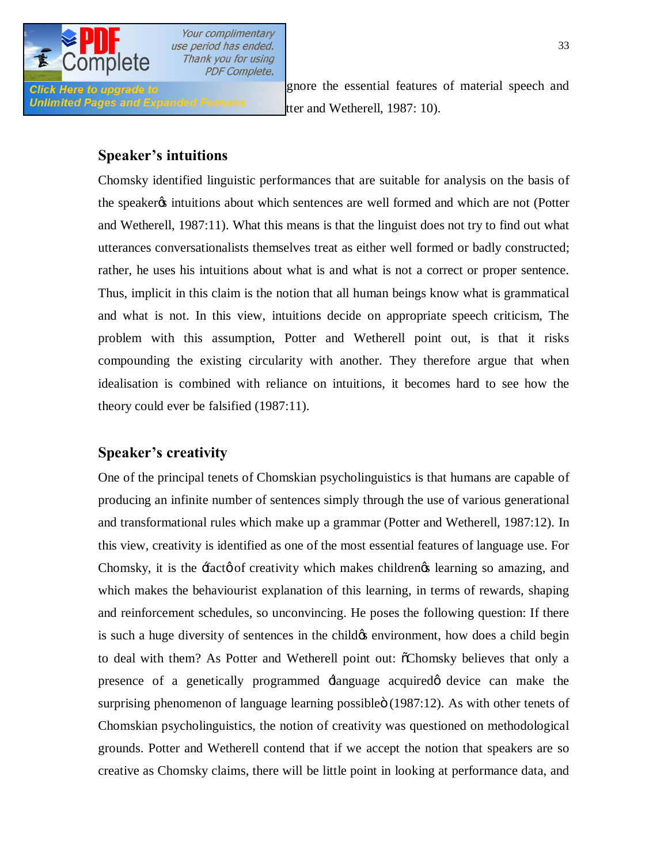

Unlimited Pages and Expanded Features tter and Wetherell, 1987: 10).

**Click Here to upgrade to have by the essential features of material speech and** 

# **Speaker's intuitions**

Chomsky identified linguistic performances that are suitable for analysis on the basis of the speaker ts intuitions about which sentences are well formed and which are not (Potter and Wetherell, 1987:11). What this means is that the linguist does not try to find out what utterances conversationalists themselves treat as either well formed or badly constructed; rather, he uses his intuitions about what is and what is not a correct or proper sentence. Thus, implicit in this claim is the notion that all human beings know what is grammatical and what is not. In this view, intuitions decide on appropriate speech criticism, The problem with this assumption, Potter and Wetherell point out, is that it risks compounding the existing circularity with another. They therefore argue that when idealisation is combined with reliance on intuitions, it becomes hard to see how the theory could ever be falsified (1987:11).

# **Speaker's creativity**

One of the principal tenets of Chomskian psycholinguistics is that humans are capable of producing an infinite number of sentences simply through the use of various generational and transformational rules which make up a grammar (Potter and Wetherell, 1987:12). In this view, creativity is identified as one of the most essential features of language use. For Chomsky, it is the fact of creativity which makes children  $\alpha$  learning so amazing, and which makes the behaviourist explanation of this learning, in terms of rewards, shaping and reinforcement schedules, so unconvincing. He poses the following question: If there is such a huge diversity of sentences in the child  $\alpha$  environment, how does a child begin to deal with them? As Potter and Wetherell point out:  $\delta$ Chomsky believes that only a presence of a genetically programmed  $\exists$ anguage acquired odevice can make the surprising phenomenon of language learning possible (1987:12). As with other tenets of Chomskian psycholinguistics, the notion of creativity was questioned on methodological grounds. Potter and Wetherell contend that if we accept the notion that speakers are so creative as Chomsky claims, there will be little point in looking at performance data, and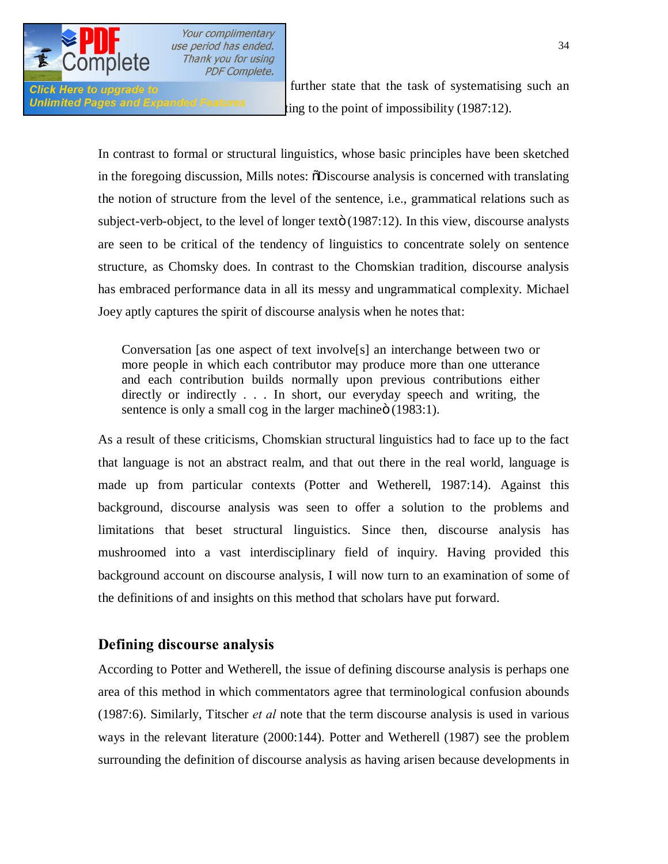

**Click Here to upgrade to and the state that the task of systematising such an Unlimited Pages and Expanded Features** ting to the point of impossibility (1987:12).

> In contrast to formal or structural linguistics, whose basic principles have been sketched in the foregoing discussion, Mills notes:  $\delta$ Discourse analysis is concerned with translating the notion of structure from the level of the sentence, i.e., grammatical relations such as subject-verb-object, to the level of longer texto (1987:12). In this view, discourse analysts are seen to be critical of the tendency of linguistics to concentrate solely on sentence structure, as Chomsky does. In contrast to the Chomskian tradition, discourse analysis has embraced performance data in all its messy and ungrammatical complexity. Michael Joey aptly captures the spirit of discourse analysis when he notes that:

Conversation [as one aspect of text involve[s] an interchange between two or more people in which each contributor may produce more than one utterance and each contribution builds normally upon previous contributions either directly or indirectly . . . In short, our everyday speech and writing, the sentence is only a small cog in the larger machine  $(1983:1)$ .

As a result of these criticisms, Chomskian structural linguistics had to face up to the fact that language is not an abstract realm, and that out there in the real world, language is made up from particular contexts (Potter and Wetherell, 1987:14). Against this background, discourse analysis was seen to offer a solution to the problems and limitations that beset structural linguistics. Since then, discourse analysis has mushroomed into a vast interdisciplinary field of inquiry. Having provided this background account on discourse analysis, I will now turn to an examination of some of the definitions of and insights on this method that scholars have put forward.

### **Defining discourse analysis**

According to Potter and Wetherell, the issue of defining discourse analysis is perhaps one area of this method in which commentators agree that terminological confusion abounds (1987:6). Similarly, Titscher *et al* note that the term discourse analysis is used in various ways in the relevant literature (2000:144). Potter and Wetherell (1987) see the problem surrounding the definition of discourse analysis as having arisen because developments in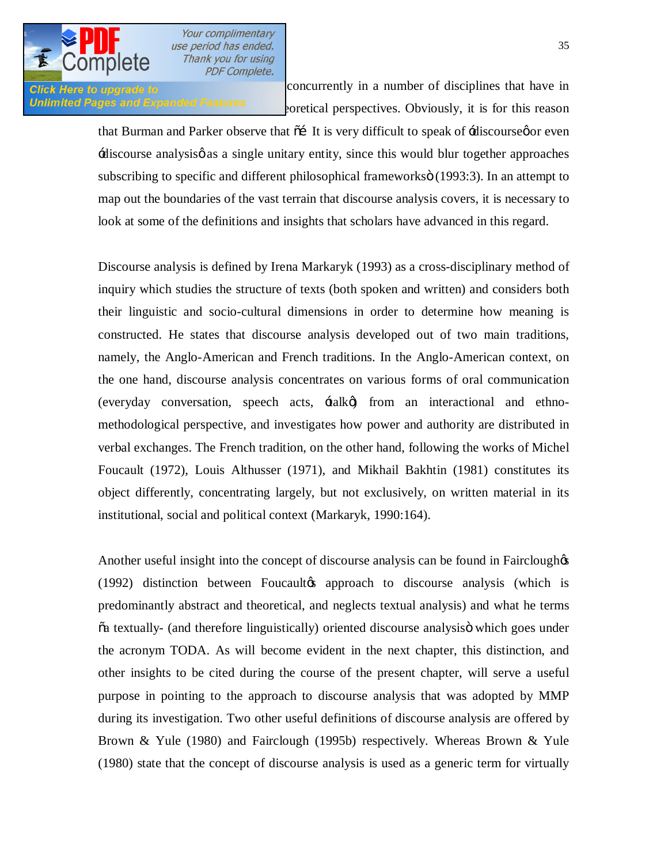

**Click Here to upgrade to concurrently** in a number of disciplines that have in Unlimited Pages and Expanded Features execution of the original perspectives. Obviously, it is for this reason

> that Burman and Parker observe that  $\tilde{\alpha}$  It is very difficult to speak of  $\tilde{\alpha}$ -discourseg or even  $\pm$ discourse analysis $\phi$  as a single unitary entity, since this would blur together approaches subscribing to specific and different philosophical frameworks  $(1993:3)$ . In an attempt to map out the boundaries of the vast terrain that discourse analysis covers, it is necessary to look at some of the definitions and insights that scholars have advanced in this regard.

> Discourse analysis is defined by Irena Markaryk (1993) as a cross-disciplinary method of inquiry which studies the structure of texts (both spoken and written) and considers both their linguistic and socio-cultural dimensions in order to determine how meaning is constructed. He states that discourse analysis developed out of two main traditions, namely, the Anglo-American and French traditions. In the Anglo-American context, on the one hand, discourse analysis concentrates on various forms of oral communication (everyday conversation, speech acts,  $\pm$ alk $\emptyset$ ) from an interactional and ethnomethodological perspective, and investigates how power and authority are distributed in verbal exchanges. The French tradition, on the other hand, following the works of Michel Foucault (1972), Louis Althusser (1971), and Mikhail Bakhtin (1981) constitutes its object differently, concentrating largely, but not exclusively, on written material in its institutional, social and political context (Markaryk, 1990:164).

> Another useful insight into the concept of discourse analysis can be found in Fairclough  $\alpha$  $(1992)$  distinction between Foucaultos approach to discourse analysis (which is predominantly abstract and theoretical, and neglects textual analysis) and what he terms  $\ddot{\alpha}$  textually- (and therefore linguistically) oriented discourse analysis which goes under the acronym TODA. As will become evident in the next chapter, this distinction, and other insights to be cited during the course of the present chapter, will serve a useful purpose in pointing to the approach to discourse analysis that was adopted by MMP during its investigation. Two other useful definitions of discourse analysis are offered by Brown & Yule (1980) and Fairclough (1995b) respectively. Whereas Brown & Yule (1980) state that the concept of discourse analysis is used as a generic term for virtually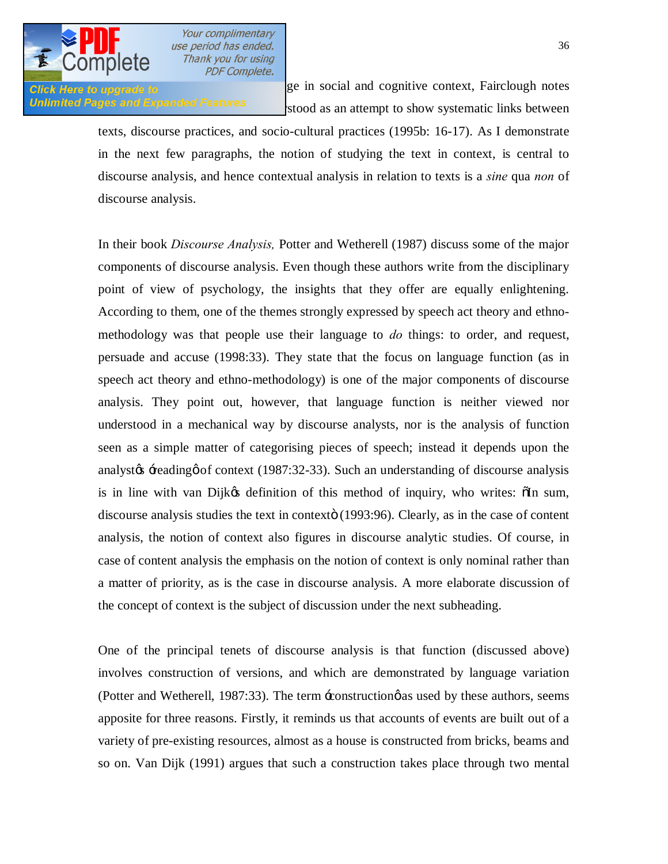

**Click Here to upgrade to [all research concerned with langua](http://www.pdfcomplete.com/cms/hppl/tabid/108/Default.aspx?r=q8b3uige22)ge in social and cognitive context, Fairclough notes** Unlimited Pages and Expanded Features stood as an attempt to show systematic links between

> texts, discourse practices, and socio-cultural practices (1995b: 16-17). As I demonstrate in the next few paragraphs, the notion of studying the text in context, is central to discourse analysis, and hence contextual analysis in relation to texts is a *sine* qua *non* of discourse analysis.

> In their book *Discourse Analysis,* Potter and Wetherell (1987) discuss some of the major components of discourse analysis. Even though these authors write from the disciplinary point of view of psychology, the insights that they offer are equally enlightening. According to them, one of the themes strongly expressed by speech act theory and ethnomethodology was that people use their language to *do* things: to order, and request, persuade and accuse (1998:33). They state that the focus on language function (as in speech act theory and ethno-methodology) is one of the major components of discourse analysis. They point out, however, that language function is neither viewed nor understood in a mechanical way by discourse analysts, nor is the analysis of function seen as a simple matter of categorising pieces of speech; instead it depends upon the analyst $\alpha$  -reading  $\alpha$  of context (1987:32-33). Such an understanding of discourse analysis is in line with van Dijk $\alpha$  definition of this method of inquiry, who writes:  $\delta$ In sum, discourse analysis studies the text in contexto (1993:96). Clearly, as in the case of content analysis, the notion of context also figures in discourse analytic studies. Of course, in case of content analysis the emphasis on the notion of context is only nominal rather than a matter of priority, as is the case in discourse analysis. A more elaborate discussion of the concept of context is the subject of discussion under the next subheading.

> One of the principal tenets of discourse analysis is that function (discussed above) involves construction of versions, and which are demonstrated by language variation (Potter and Wetherell, 1987:33). The term  $\pm$ construction $\phi$  as used by these authors, seems apposite for three reasons. Firstly, it reminds us that accounts of events are built out of a variety of pre-existing resources, almost as a house is constructed from bricks, beams and so on. Van Dijk (1991) argues that such a construction takes place through two mental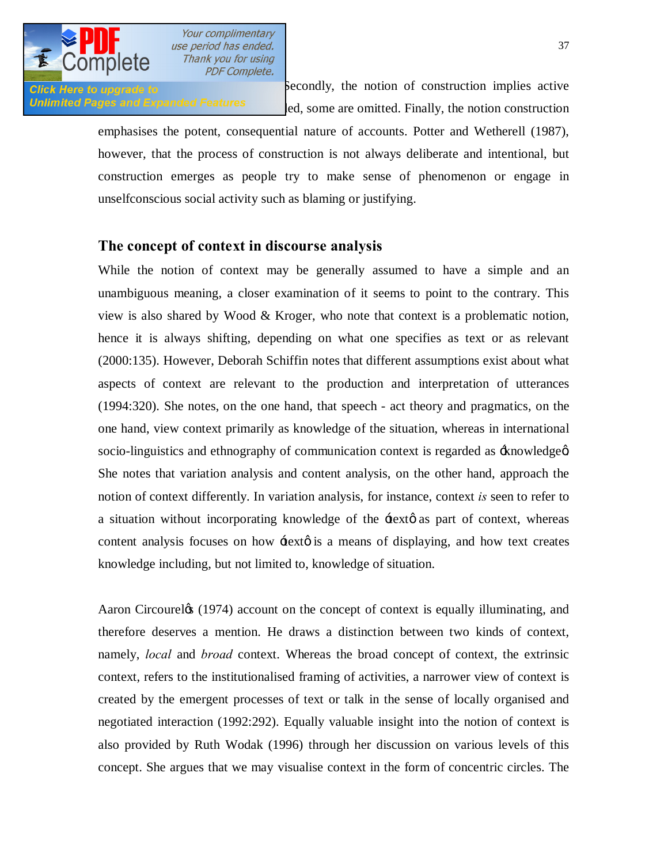

**Click Here to upgrade to Secondly, the notion of construction implies active** Unlimited Pages and Expanded Features ed. some are omitted. Finally, the notion construction

> emphasises the potent, consequential nature of accounts. Potter and Wetherell (1987), however, that the process of construction is not always deliberate and intentional, but construction emerges as people try to make sense of phenomenon or engage in unselfconscious social activity such as blaming or justifying.

#### **The concept of context in discourse analysis**

While the notion of context may be generally assumed to have a simple and an unambiguous meaning, a closer examination of it seems to point to the contrary. This view is also shared by Wood & Kroger, who note that context is a problematic notion, hence it is always shifting, depending on what one specifies as text or as relevant (2000:135). However, Deborah Schiffin notes that different assumptions exist about what aspects of context are relevant to the production and interpretation of utterances (1994:320). She notes, on the one hand, that speech - act theory and pragmatics, on the one hand, view context primarily as knowledge of the situation, whereas in international socio-linguistics and ethnography of communication context is regarded as  $\pm$ nowledge $\alpha$ . She notes that variation analysis and content analysis, on the other hand, approach the notion of context differently. In variation analysis, for instance, context *is* seen to refer to a situation without incorporating knowledge of the  $\pm$ ext $\phi$  as part of context, whereas content analysis focuses on how  $\pm$ ext $\varphi$  is a means of displaying, and how text creates knowledge including, but not limited to, knowledge of situation.

Aaron Circourel (1974) account on the concept of context is equally illuminating, and therefore deserves a mention. He draws a distinction between two kinds of context, namely, *local* and *broad* context. Whereas the broad concept of context, the extrinsic context, refers to the institutionalised framing of activities, a narrower view of context is created by the emergent processes of text or talk in the sense of locally organised and negotiated interaction (1992:292). Equally valuable insight into the notion of context is also provided by Ruth Wodak (1996) through her discussion on various levels of this concept. She argues that we may visualise context in the form of concentric circles. The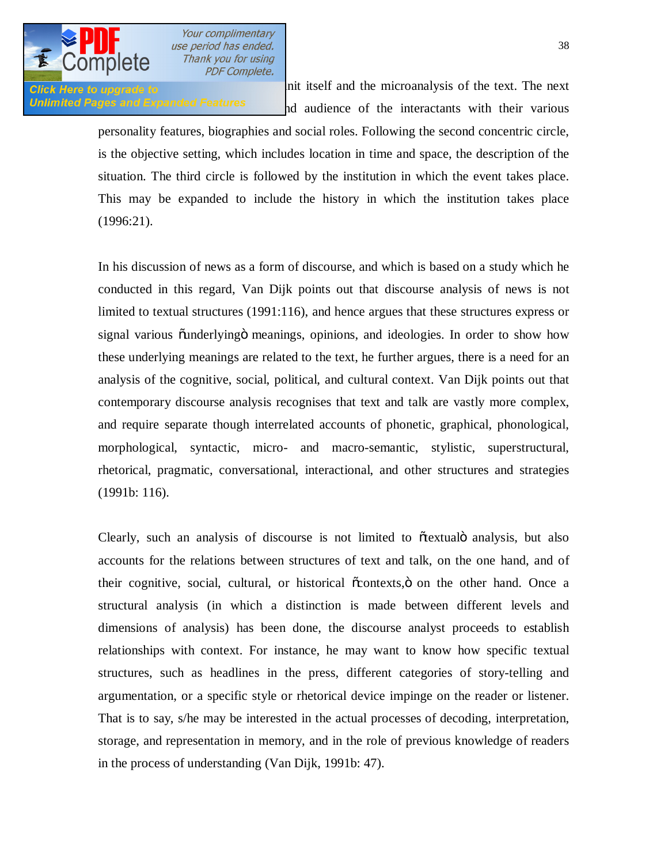

**Click Here to upgrade to notice is the discourse unit itself** and the microanalysis of the text. The next **Unlimited Pages and Expanded Features** and audience of the interactants with their various

> personality features, biographies and social roles. Following the second concentric circle, is the objective setting, which includes location in time and space, the description of the situation. The third circle is followed by the institution in which the event takes place. This may be expanded to include the history in which the institution takes place (1996:21).

> In his discussion of news as a form of discourse, and which is based on a study which he conducted in this regard, Van Dijk points out that discourse analysis of news is not limited to textual structures (1991:116), and hence argues that these structures express or signal various õunderlyingö meanings, opinions, and ideologies. In order to show how these underlying meanings are related to the text, he further argues, there is a need for an analysis of the cognitive, social, political, and cultural context. Van Dijk points out that contemporary discourse analysis recognises that text and talk are vastly more complex, and require separate though interrelated accounts of phonetic, graphical, phonological, morphological, syntactic, micro- and macro-semantic, stylistic, superstructural, rhetorical, pragmatic, conversational, interactional, and other structures and strategies (1991b: 116).

> Clearly, such an analysis of discourse is not limited to  $\tilde{\alpha}$  textual analysis, but also accounts for the relations between structures of text and talk, on the one hand, and of their cognitive, social, cultural, or historical  $\tilde{\alpha}$ contexts,  $\ddot{\text{o}}$  on the other hand. Once a structural analysis (in which a distinction is made between different levels and dimensions of analysis) has been done, the discourse analyst proceeds to establish relationships with context. For instance, he may want to know how specific textual structures, such as headlines in the press, different categories of story-telling and argumentation, or a specific style or rhetorical device impinge on the reader or listener. That is to say, s/he may be interested in the actual processes of decoding, interpretation, storage, and representation in memory, and in the role of previous knowledge of readers in the process of understanding (Van Dijk, 1991b: 47).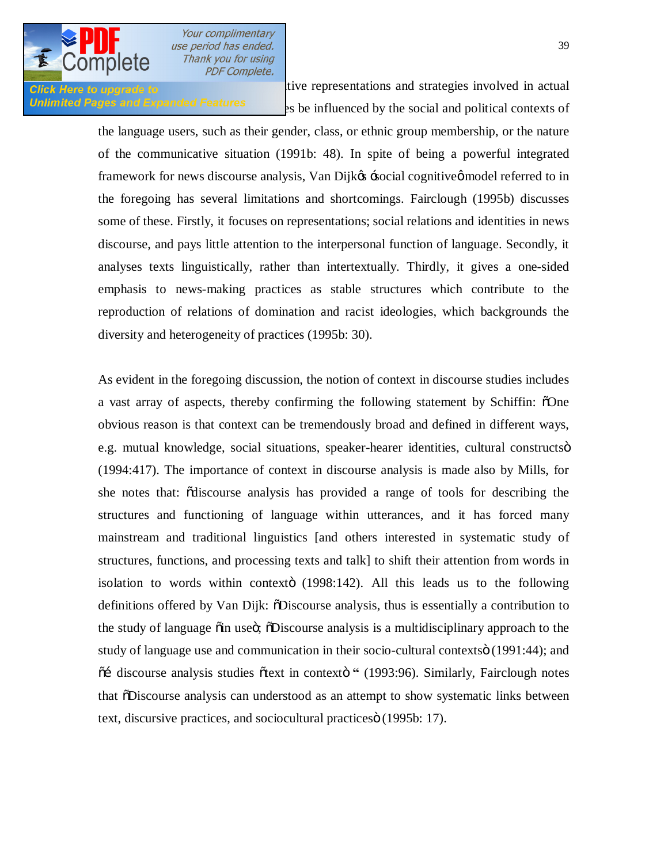

Click Here to upgrade to Van Dijk, such a little representations and strategies involved in actual Unlimited Pages and Expanded Features  $\frac{1}{2}$  as be influenced by the social and political contexts of

the language users, such as their gender, class, or ethnic group membership, or the nature of the communicative situation (1991b: 48). In spite of being a powerful integrated framework for news discourse analysis, Van Dijkes -social cognitives model referred to in the foregoing has several limitations and shortcomings. Fairclough (1995b) discusses some of these. Firstly, it focuses on representations; social relations and identities in news discourse, and pays little attention to the interpersonal function of language. Secondly, it analyses texts linguistically, rather than intertextually. Thirdly, it gives a one-sided emphasis to news-making practices as stable structures which contribute to the reproduction of relations of domination and racist ideologies, which backgrounds the diversity and heterogeneity of practices (1995b: 30).

As evident in the foregoing discussion, the notion of context in discourse studies includes a vast array of aspects, thereby confirming the following statement by Schiffin:  $\delta$ One obvious reason is that context can be tremendously broad and defined in different ways, e.g. mutual knowledge, social situations, speaker-hearer identities, cultural constructsö (1994:417). The importance of context in discourse analysis is made also by Mills, for she notes that: "discourse analysis has provided a range of tools for describing the structures and functioning of language within utterances, and it has forced many mainstream and traditional linguistics [and others interested in systematic study of structures, functions, and processing texts and talk] to shift their attention from words in isolation to words within contexto (1998:142). All this leads us to the following definitions offered by Van Dijk:  $\delta$ Discourse analysis, thus is essentially a contribution to the study of language  $\ddot{\text{o}}$  in use  $\ddot{\text{o}}$ ;  $\ddot{\text{o}}$  Discourse analysis is a multidisciplinary approach to the study of language use and communication in their socio-cultural contexts (1991:44); and  $\tilde{\text{o}}$ i discourse analysis studies  $\tilde{\text{o}}$ text in context $\tilde{\text{o}}$  " (1993:96). Similarly, Fairclough notes that  $\delta$ Discourse analysis can understood as an attempt to show systematic links between text, discursive practices, and sociocultural practices i (1995b: 17).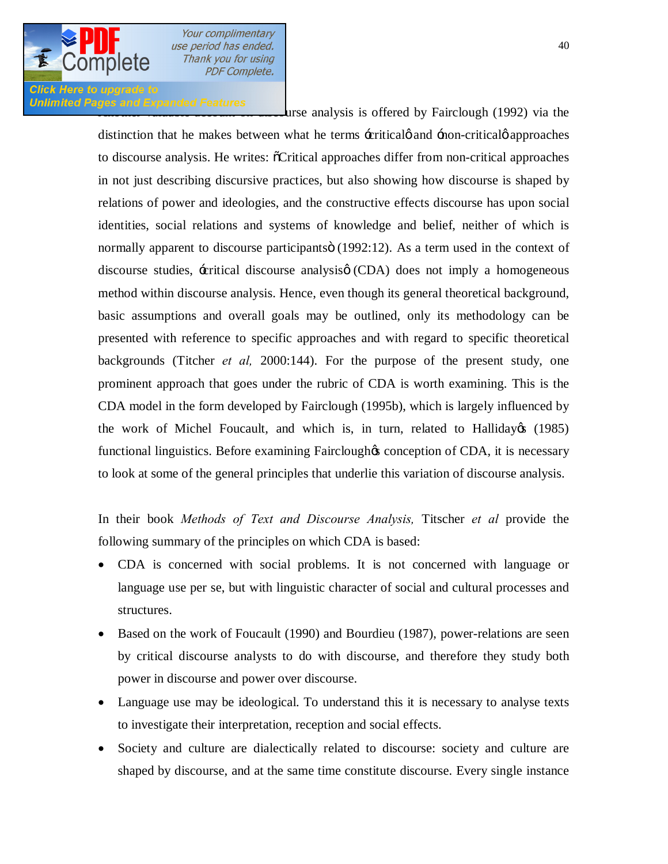# **Click Here to upgrade to** Unlimited Pages and Expanded Features<br>List analysis is offered by Fairclough (1992) via the

distinction that he makes between what he terms -critical and -non-critical gapproaches to discourse analysis. He writes:  $\tilde{C}$  Critical approaches differ from non-critical approaches in not just describing discursive practices, but also showing how discourse is shaped by relations of power and ideologies, and the constructive effects discourse has upon social identities, social relations and systems of knowledge and belief, neither of which is normally apparent to discourse participants (1992:12). As a term used in the context of discourse studies,  $\pm$  critical discourse analysis $\phi$  (CDA) does not imply a homogeneous method within discourse analysis. Hence, even though its general theoretical background, basic assumptions and overall goals may be outlined, only its methodology can be presented with reference to specific approaches and with regard to specific theoretical backgrounds (Titcher *et al,* 2000:144). For the purpose of the present study, one prominent approach that goes under the rubric of CDA is worth examining. This is the CDA model in the form developed by Fairclough (1995b), which is largely influenced by the work of Michel Foucault, and which is, in turn, related to Halliday $\alpha$  (1985) functional linguistics. Before examining Fairclough to conception of CDA, it is necessary to look at some of the general principles that underlie this variation of discourse analysis.

In their book *Methods of Text and Discourse Analysis,* Titscher *et al* provide the following summary of the principles on which CDA is based:

- · CDA is concerned with social problems. It is not concerned with language or language use per se, but with linguistic character of social and cultural processes and structures.
- Based on the work of Foucault (1990) and Bourdieu (1987), power-relations are seen by critical discourse analysts to do with discourse, and therefore they study both power in discourse and power over discourse.
- Language use may be ideological. To understand this it is necessary to analyse texts to investigate their interpretation, reception and social effects.
- · Society and culture are dialectically related to discourse: society and culture are shaped by discourse, and at the same time constitute discourse. Every single instance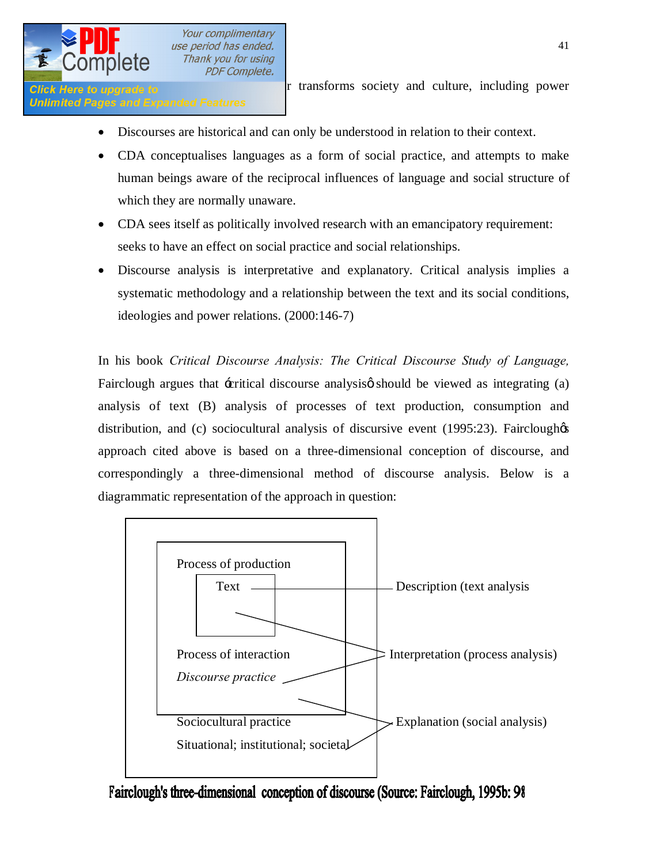

**Click Here to upgrade to r** transforms society and culture, including power

- Discourses are historical and can only be understood in relation to their context.
- · CDA conceptualises languages as a form of social practice, and attempts to make human beings aware of the reciprocal influences of language and social structure of which they are normally unaware.
- CDA sees itself as politically involved research with an emancipatory requirement: seeks to have an effect on social practice and social relationships.
- · Discourse analysis is interpretative and explanatory. Critical analysis implies a systematic methodology and a relationship between the text and its social conditions, ideologies and power relations. (2000:146-7)

In his book *Critical Discourse Analysis: The Critical Discourse Study of Language,*  Fairclough argues that  $\pm$ critical discourse analysis $\phi$  should be viewed as integrating (a) analysis of text (B) analysis of processes of text production, consumption and distribution, and (c) sociocultural analysis of discursive event  $(1995:23)$ . Fairclough $\otimes$ approach cited above is based on a three-dimensional conception of discourse, and correspondingly a three-dimensional method of discourse analysis. Below is a diagrammatic representation of the approach in question:



Fairclough's three-dimensional conception of discourse (Source: Fairclough, 1995b: 98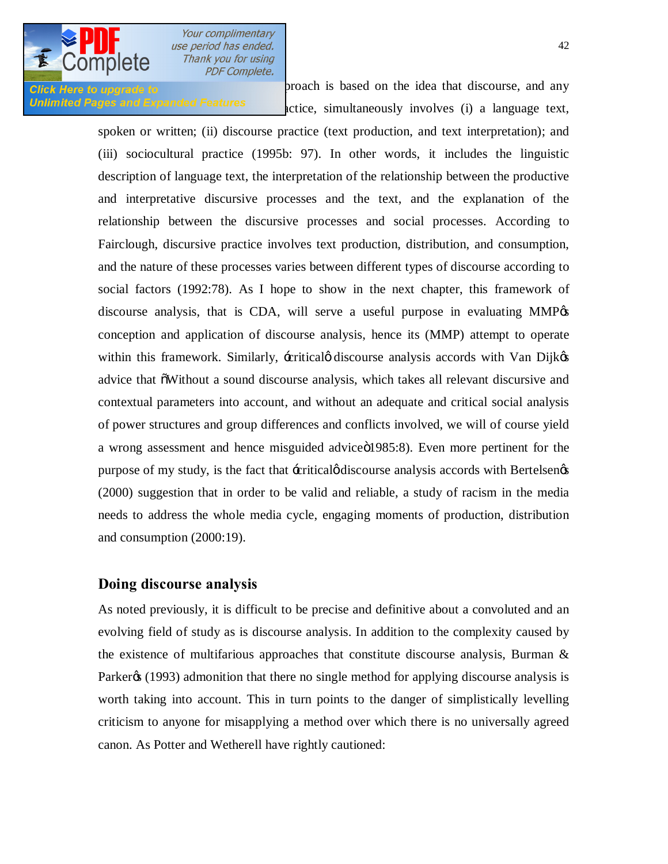

Click Here to upgrade to **Exercise 2018** and any proach is based on the idea that discourse, and any Unlimited Pages and Expanded Features extice, simultaneously involves (i) a language text,

> spoken or written; (ii) discourse practice (text production, and text interpretation); and (iii) sociocultural practice (1995b: 97). In other words, it includes the linguistic description of language text, the interpretation of the relationship between the productive and interpretative discursive processes and the text, and the explanation of the relationship between the discursive processes and social processes. According to Fairclough, discursive practice involves text production, distribution, and consumption, and the nature of these processes varies between different types of discourse according to social factors (1992:78). As I hope to show in the next chapter, this framework of discourse analysis, that is CDA, will serve a useful purpose in evaluating  $MMP$ % conception and application of discourse analysis, hence its (MMP) attempt to operate within this framework. Similarly,  $\pm$ critical discourse analysis accords with Van Dijk $\otimes$ advice that "Without a sound discourse analysis, which takes all relevant discursive and contextual parameters into account, and without an adequate and critical social analysis of power structures and group differences and conflicts involved, we will of course yield a wrong assessment and hence misguided advice 01985:8). Even more pertinent for the purpose of my study, is the fact that  $\pm$ critical $\phi$  discourse analysis accords with Bertelsen $\phi$ s (2000) suggestion that in order to be valid and reliable, a study of racism in the media needs to address the whole media cycle, engaging moments of production, distribution and consumption (2000:19).

#### **Doing discourse analysis**

As noted previously, it is difficult to be precise and definitive about a convoluted and an evolving field of study as is discourse analysis. In addition to the complexity caused by the existence of multifarious approaches that constitute discourse analysis, Burman  $\&$ Parker<sub>(1993)</sub> admonition that there no single method for applying discourse analysis is worth taking into account. This in turn points to the danger of simplistically levelling criticism to anyone for misapplying a method over which there is no universally agreed canon. As Potter and Wetherell have rightly cautioned: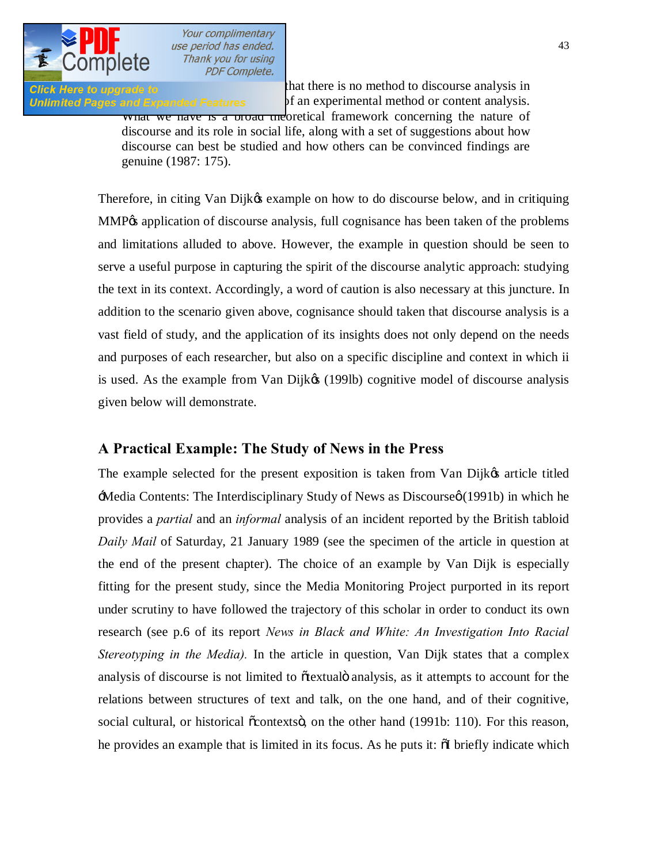

**Click Here to upgrade to [It is important to re-emphasise t](http://www.pdfcomplete.com/cms/hppl/tabid/108/Default.aspx?r=q8b3uige22)hat there is no method to discourse analysis in** Unlimited Pages and Expanded Features of an experimental method or content analysis.

what we have is a broad theoretical framework concerning the nature of discourse and its role in social life, along with a set of suggestions about how discourse can best be studied and how others can be convinced findings are genuine (1987: 175).

Therefore, in citing Van Dijk& example on how to do discourse below, and in critiquing MMP% application of discourse analysis, full cognisance has been taken of the problems and limitations alluded to above. However, the example in question should be seen to serve a useful purpose in capturing the spirit of the discourse analytic approach: studying the text in its context. Accordingly, a word of caution is also necessary at this juncture. In addition to the scenario given above, cognisance should taken that discourse analysis is a vast field of study, and the application of its insights does not only depend on the needs and purposes of each researcher, but also on a specific discipline and context in which ii is used. As the example from Van Dijkøs (199lb) cognitive model of discourse analysis given below will demonstrate.

### **A Practical Example: The Study of News in the Press**

The example selected for the present exposition is taken from Van Dijkøs article titled  $\pm$ Media Contents: The Interdisciplinary Study of News as Discourse $\varphi$  (1991b) in which he provides a *partial* and an *informal* analysis of an incident reported by the British tabloid *Daily Mail* of Saturday, 21 January 1989 (see the specimen of the article in question at the end of the present chapter). The choice of an example by Van Dijk is especially fitting for the present study, since the Media Monitoring Project purported in its report under scrutiny to have followed the trajectory of this scholar in order to conduct its own research (see p.6 of its report *News in Black and White: An Investigation Into Racial Stereotyping in the Media).* In the article in question, Van Dijk states that a complex analysis of discourse is not limited to õtextualö analysis, as it attempts to account for the relations between structures of text and talk, on the one hand, and of their cognitive, social cultural, or historical  $\tilde{\text{countext}}$ , on the other hand (1991b: 110). For this reason, he provides an example that is limited in its focus. As he puts it:  $\delta I$  briefly indicate which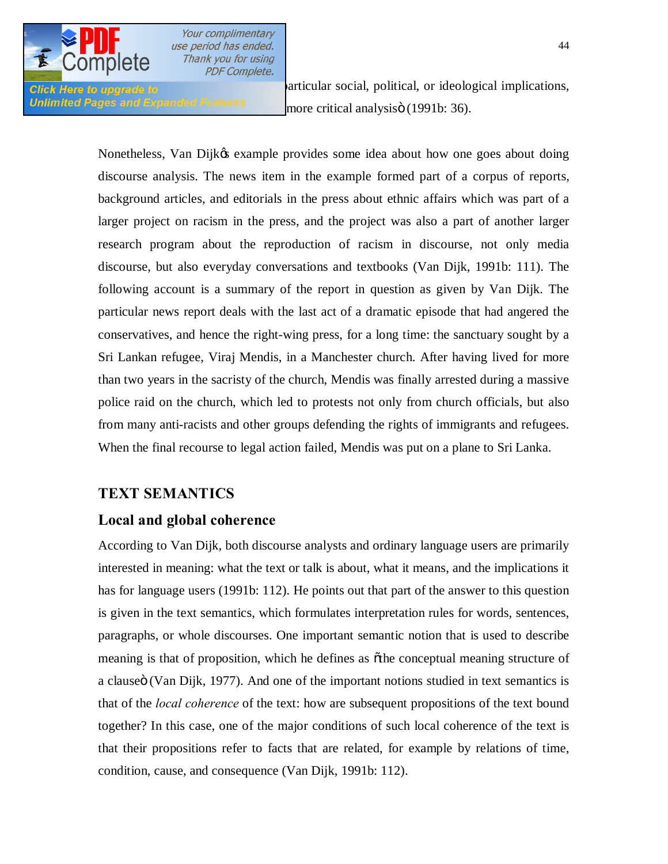

Click Here to upgrade to **news discourse the click** have particular social, political, or ideological implications, Unlimited Pages and Expanded Features more critical analysisö (1991b: 36).

> Nonetheless, Van Dijkøs example provides some idea about how one goes about doing discourse analysis. The news item in the example formed part of a corpus of reports, background articles, and editorials in the press about ethnic affairs which was part of a larger project on racism in the press, and the project was also a part of another larger research program about the reproduction of racism in discourse, not only media discourse, but also everyday conversations and textbooks (Van Dijk, 1991b: 111). The following account is a summary of the report in question as given by Van Dijk. The particular news report deals with the last act of a dramatic episode that had angered the conservatives, and hence the right-wing press, for a long time: the sanctuary sought by a Sri Lankan refugee, Viraj Mendis, in a Manchester church. After having lived for more than two years in the sacristy of the church, Mendis was finally arrested during a massive police raid on the church, which led to protests not only from church officials, but also from many anti-racists and other groups defending the rights of immigrants and refugees. When the final recourse to legal action failed, Mendis was put on a plane to Sri Lanka.

### **TEXT SEMANTICS**

### **Local and global coherence**

According to Van Dijk, both discourse analysts and ordinary language users are primarily interested in meaning: what the text or talk is about, what it means, and the implications it has for language users (1991b: 112). He points out that part of the answer to this question is given in the text semantics, which formulates interpretation rules for words, sentences, paragraphs, or whole discourses. One important semantic notion that is used to describe meaning is that of proposition, which he defines as othe conceptual meaning structure of a clauseö (Van Dijk, 1977). And one of the important notions studied in text semantics is that of the *local coherence* of the text: how are subsequent propositions of the text bound together? In this case, one of the major conditions of such local coherence of the text is that their propositions refer to facts that are related, for example by relations of time, condition, cause, and consequence (Van Dijk, 1991b: 112).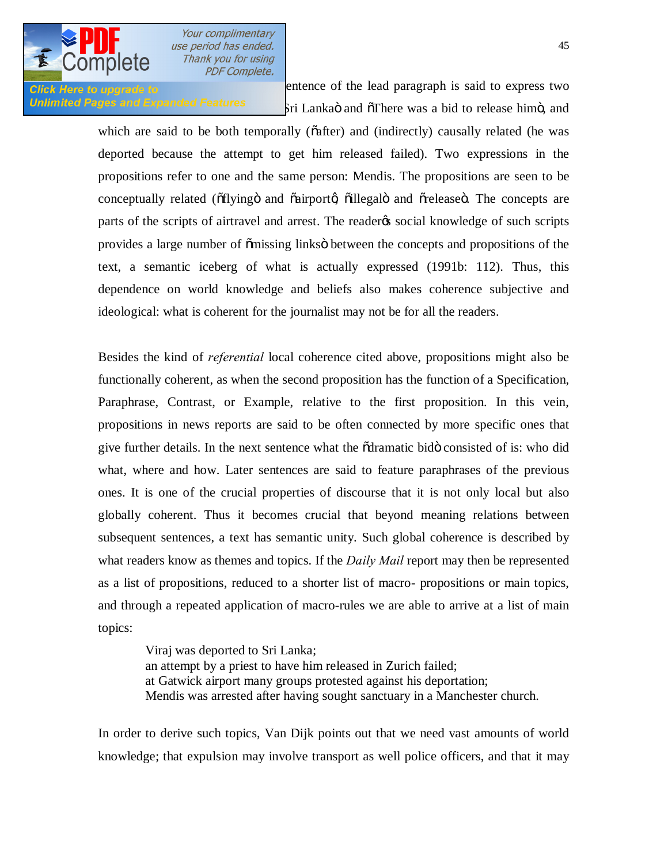

**Click Here to upgrade to Daily Marin Click Mail is said to express two** Unlimited Pages and Expanded Features<br>
Sri Lankaö and  $\delta$ There was a bid to release himö, and

> which are said to be both temporally ( $\tilde{\alpha}$ fter) and (indirectly) causally related (he was deported because the attempt to get him released failed). Two expressions in the propositions refer to one and the same person: Mendis. The propositions are seen to be conceptually related ( $\delta$ flyingö and  $\delta$ airport $\alpha$ ) oillegalö and  $\delta$ releaseö. The concepts are parts of the scripts of airtravel and arrest. The reader to social knowledge of such scripts provides a large number of  $\tilde{\text{omissing}}$  links between the concepts and propositions of the text, a semantic iceberg of what is actually expressed (1991b: 112). Thus, this dependence on world knowledge and beliefs also makes coherence subjective and ideological: what is coherent for the journalist may not be for all the readers.

> Besides the kind of *referential* local coherence cited above, propositions might also be functionally coherent, as when the second proposition has the function of a Specification, Paraphrase, Contrast, or Example, relative to the first proposition. In this vein, propositions in news reports are said to be often connected by more specific ones that give further details. In the next sentence what the õdramatic bidö consisted of is: who did what, where and how. Later sentences are said to feature paraphrases of the previous ones. It is one of the crucial properties of discourse that it is not only local but also globally coherent. Thus it becomes crucial that beyond meaning relations between subsequent sentences, a text has semantic unity. Such global coherence is described by what readers know as themes and topics. If the *Daily Mail* report may then be represented as a list of propositions, reduced to a shorter list of macro- propositions or main topics, and through a repeated application of macro-rules we are able to arrive at a list of main topics:

Viraj was deported to Sri Lanka; an attempt by a priest to have him released in Zurich failed; at Gatwick airport many groups protested against his deportation; Mendis was arrested after having sought sanctuary in a Manchester church.

In order to derive such topics, Van Dijk points out that we need vast amounts of world knowledge; that expulsion may involve transport as well police officers, and that it may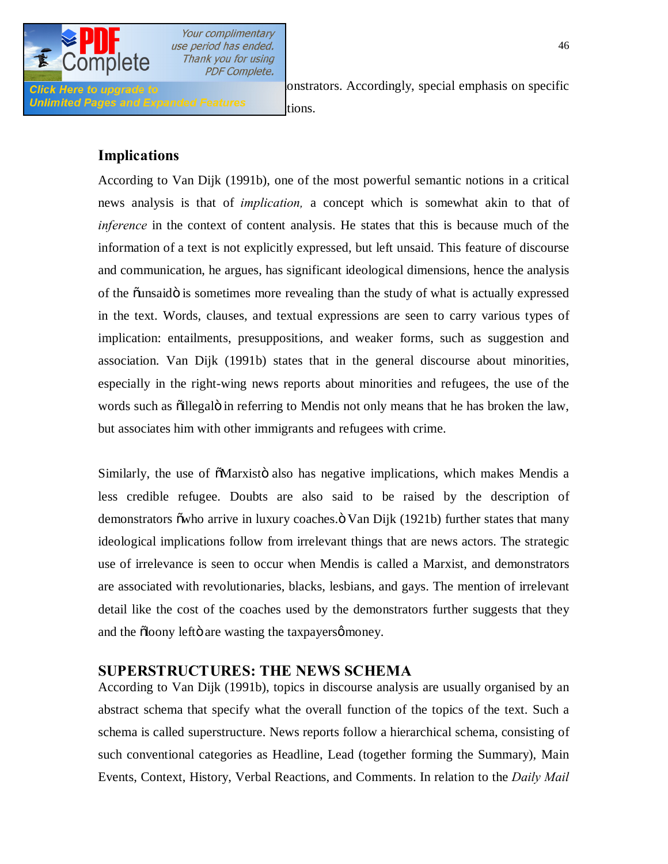

Unlimited Pages and Expanded Features **implications**.

**Click Here to upgrade to** *Click Here to upgrade to Click Here to upgrade to* 

### **Implications**

According to Van Dijk (1991b), one of the most powerful semantic notions in a critical news analysis is that of *implication,* a concept which is somewhat akin to that of *inference* in the context of content analysis. He states that this is because much of the information of a text is not explicitly expressed, but left unsaid. This feature of discourse and communication, he argues, has significant ideological dimensions, hence the analysis of the õunsaido is sometimes more revealing than the study of what is actually expressed in the text. Words, clauses, and textual expressions are seen to carry various types of implication: entailments, presuppositions, and weaker forms, such as suggestion and association. Van Dijk (1991b) states that in the general discourse about minorities, especially in the right-wing news reports about minorities and refugees, the use of the words such as  $\ddot{\text{o}}$ illegal $\ddot{\text{o}}$  in referring to Mendis not only means that he has broken the law, but associates him with other immigrants and refugees with crime.

Similarly, the use of  $\tilde{\text{o}}$ Marxistö also has negative implications, which makes Mendis a less credible refugee. Doubts are also said to be raised by the description of demonstrators õ who arrive in luxury coaches. "O Van Dijk (1921b) further states that many ideological implications follow from irrelevant things that are news actors. The strategic use of irrelevance is seen to occur when Mendis is called a Marxist, and demonstrators are associated with revolutionaries, blacks, lesbians, and gays. The mention of irrelevant detail like the cost of the coaches used by the demonstrators further suggests that they and the  $\delta$ loony leftö are wasting the taxpayers $\varphi$  money.

# **SUPERSTRUCTURES: THE NEWS SCHEMA**

According to Van Dijk (1991b), topics in discourse analysis are usually organised by an abstract schema that specify what the overall function of the topics of the text. Such a schema is called superstructure. News reports follow a hierarchical schema, consisting of such conventional categories as Headline, Lead (together forming the Summary), Main Events, Context, History, Verbal Reactions, and Comments. In relation to the *Daily Mail*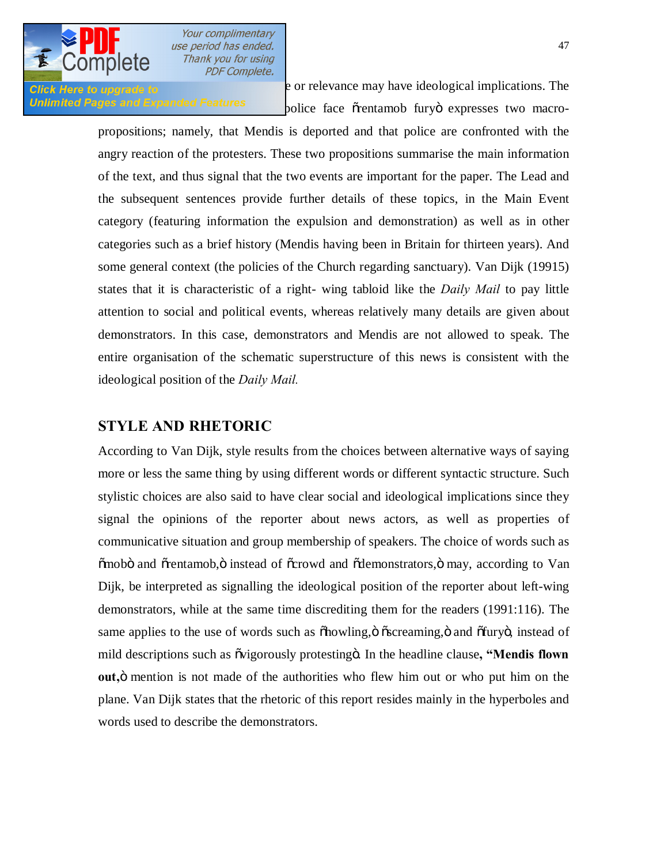

**Click Here to upgrade to relevance may have ideological implications. The** Unlimited Pages and Expanded Features bolice face otentamob furyo expresses two macro-

> propositions; namely, that Mendis is deported and that police are confronted with the angry reaction of the protesters. These two propositions summarise the main information of the text, and thus signal that the two events are important for the paper. The Lead and the subsequent sentences provide further details of these topics, in the Main Event category (featuring information the expulsion and demonstration) as well as in other categories such as a brief history (Mendis having been in Britain for thirteen years). And some general context (the policies of the Church regarding sanctuary). Van Dijk (19915) states that it is characteristic of a right- wing tabloid like the *Daily Mail* to pay little attention to social and political events, whereas relatively many details are given about demonstrators. In this case, demonstrators and Mendis are not allowed to speak. The entire organisation of the schematic superstructure of this news is consistent with the ideological position of the *Daily Mail.*

#### **STYLE AND RHETORIC**

According to Van Dijk, style results from the choices between alternative ways of saying more or less the same thing by using different words or different syntactic structure. Such stylistic choices are also said to have clear social and ideological implications since they signal the opinions of the reporter about news actors, as well as properties of communicative situation and group membership of speakers. The choice of words such as  $\tilde{\text{om}}$  and  $\tilde{\text{or}}$  orentamob,  $\ddot{\text{o}}$  instead of  $\tilde{\text{or}}$  corowd and  $\tilde{\text{od}}$  emonstrators,  $\ddot{\text{o}}$  may, according to Van Dijk, be interpreted as signalling the ideological position of the reporter about left-wing demonstrators, while at the same time discrediting them for the readers (1991:116). The same applies to the use of words such as  $\delta$ howling, $\ddot{\text{o}}$   $\delta$   $\delta$ screaming, $\ddot{\text{o}}$  and  $\delta$ fury $\ddot{\text{o}}$ , instead of mild descriptions such as  $\tilde{\text{ov}}$  is  $\tilde{\text{ov}}$  protesting  $\tilde{\text{cov}}$ . In the headline clause, **"Mendis flown out,**" mention is not made of the authorities who flew him out or who put him on the plane. Van Dijk states that the rhetoric of this report resides mainly in the hyperboles and words used to describe the demonstrators.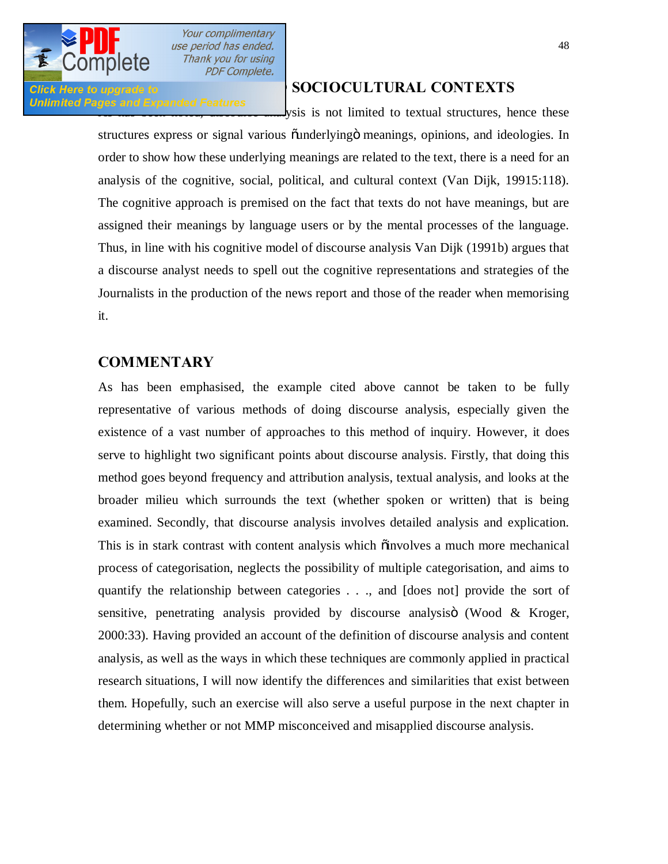

Unlimited Pages and Expanded Features<br>
ysis is not limited to textual structures, hence these

#### **SOCIOCULTURAL CONTEXTS**

structures express or signal various  $\ddot{\text{u}}$  and  $\ddot{\text{u}}$  meanings, opinions, and ideologies. In order to show how these underlying meanings are related to the text, there is a need for an analysis of the cognitive, social, political, and cultural context (Van Dijk, 19915:118). The cognitive approach is premised on the fact that texts do not have meanings, but are assigned their meanings by language users or by the mental processes of the language. Thus, in line with his cognitive model of discourse analysis Van Dijk (1991b) argues that a discourse analyst needs to spell out the cognitive representations and strategies of the Journalists in the production of the news report and those of the reader when memorising it.

#### **COMMENTARY**

As has been emphasised, the example cited above cannot be taken to be fully representative of various methods of doing discourse analysis, especially given the existence of a vast number of approaches to this method of inquiry. However, it does serve to highlight two significant points about discourse analysis. Firstly, that doing this method goes beyond frequency and attribution analysis, textual analysis, and looks at the broader milieu which surrounds the text (whether spoken or written) that is being examined. Secondly, that discourse analysis involves detailed analysis and explication. This is in stark contrast with content analysis which  $\ddot{o}$  involves a much more mechanical process of categorisation, neglects the possibility of multiple categorisation, and aims to quantify the relationship between categories . . ., and [does not] provide the sort of sensitive, penetrating analysis provided by discourse analysisö (Wood  $&$  Kroger, 2000:33). Having provided an account of the definition of discourse analysis and content analysis, as well as the ways in which these techniques are commonly applied in practical research situations, I will now identify the differences and similarities that exist between them. Hopefully, such an exercise will also serve a useful purpose in the next chapter in determining whether or not MMP misconceived and misapplied discourse analysis.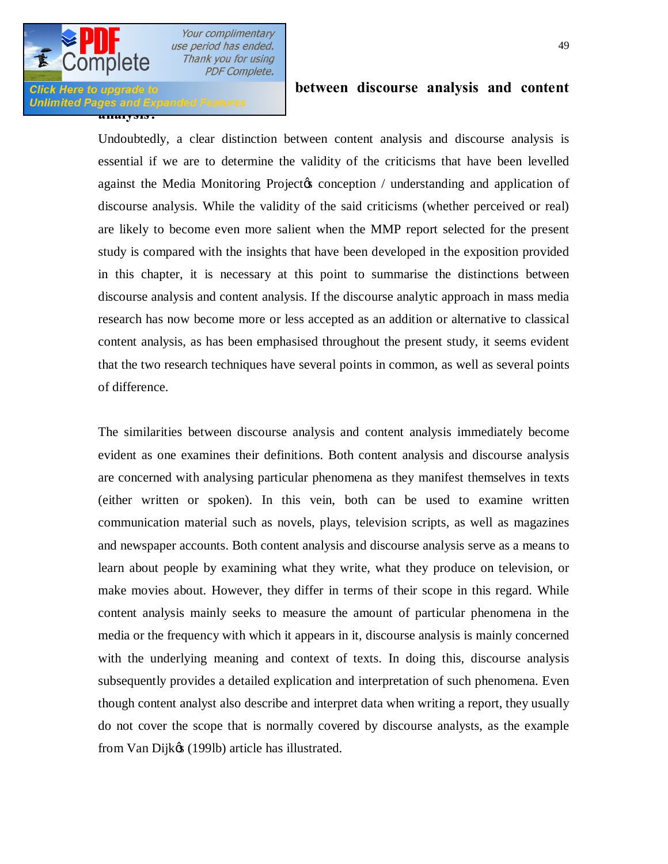# **Unlimited Pages and Expanded Features**<br>**analysis .**

#### **Difference is a properate to and similar content in the between discourse analysis and content**

Undoubtedly, a clear distinction between content analysis and discourse analysis is essential if we are to determine the validity of the criticisms that have been levelled against the Media Monitoring Projectos conception / understanding and application of discourse analysis. While the validity of the said criticisms (whether perceived or real) are likely to become even more salient when the MMP report selected for the present study is compared with the insights that have been developed in the exposition provided in this chapter, it is necessary at this point to summarise the distinctions between discourse analysis and content analysis. If the discourse analytic approach in mass media research has now become more or less accepted as an addition or alternative to classical content analysis, as has been emphasised throughout the present study, it seems evident that the two research techniques have several points in common, as well as several points of difference.

The similarities between discourse analysis and content analysis immediately become evident as one examines their definitions. Both content analysis and discourse analysis are concerned with analysing particular phenomena as they manifest themselves in texts (either written or spoken). In this vein, both can be used to examine written communication material such as novels, plays, television scripts, as well as magazines and newspaper accounts. Both content analysis and discourse analysis serve as a means to learn about people by examining what they write, what they produce on television, or make movies about. However, they differ in terms of their scope in this regard. While content analysis mainly seeks to measure the amount of particular phenomena in the media or the frequency with which it appears in it, discourse analysis is mainly concerned with the underlying meaning and context of texts. In doing this, discourse analysis subsequently provides a detailed explication and interpretation of such phenomena. Even though content analyst also describe and interpret data when writing a report, they usually do not cover the scope that is normally covered by discourse analysts, as the example from Van Dijk $\alpha$  (199lb) article has illustrated.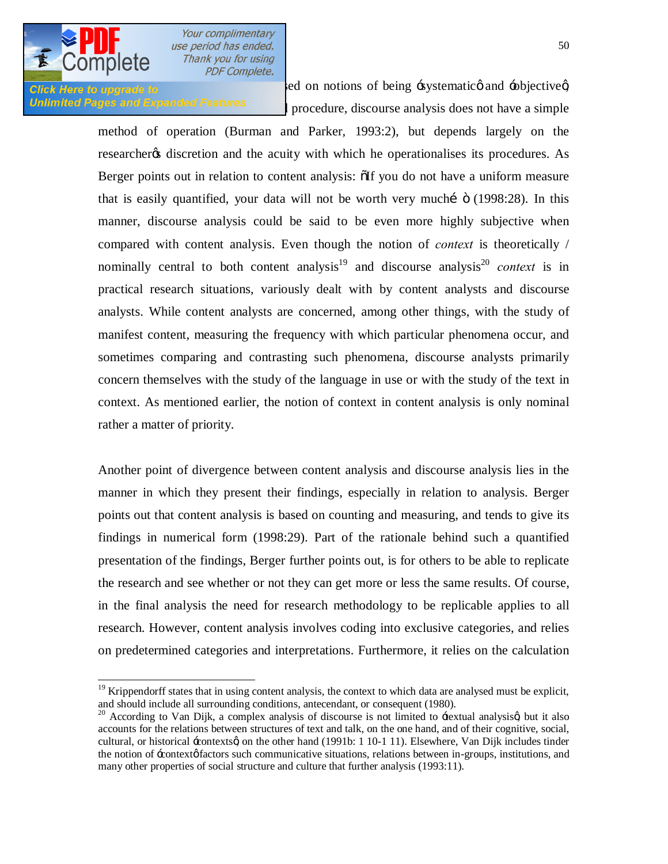

Click Here to upgrade to **Exercise 2** is premised on notions of being 'systematic and 'objective q Unlimited Pages and Expanded Features<br>procedure, discourse analysis does not have a simple

> method of operation (Burman and Parker, 1993:2), but depends largely on the researcher ts discretion and the acuity with which he operationalises its procedures. As Berger points out in relation to content analysis:  $\delta$ If you do not have a uniform measure that is easily quantified, your data will not be worth very muchi  $\ddot{\text{o}}$  (1998:28). In this manner, discourse analysis could be said to be even more highly subjective when compared with content analysis. Even though the notion of *context* is theoretically / nominally central to both content analysis<sup>19</sup> and discourse analysis<sup>20</sup> *context* is in practical research situations, variously dealt with by content analysts and discourse analysts. While content analysts are concerned, among other things, with the study of manifest content, measuring the frequency with which particular phenomena occur, and sometimes comparing and contrasting such phenomena, discourse analysts primarily concern themselves with the study of the language in use or with the study of the text in context. As mentioned earlier, the notion of context in content analysis is only nominal rather a matter of priority.

> Another point of divergence between content analysis and discourse analysis lies in the manner in which they present their findings, especially in relation to analysis. Berger points out that content analysis is based on counting and measuring, and tends to give its findings in numerical form (1998:29). Part of the rationale behind such a quantified presentation of the findings, Berger further points out, is for others to be able to replicate the research and see whether or not they can get more or less the same results. Of course, in the final analysis the need for research methodology to be replicable applies to all research. However, content analysis involves coding into exclusive categories, and relies on predetermined categories and interpretations. Furthermore, it relies on the calculation

 $19$  Krippendorff states that in using content analysis, the context to which data are analysed must be explicit, and should include all surrounding conditions, antecendant, or consequent (1980).

 $20$  According to Van Dijk, a complex analysis of discourse is not limited to  $\pm$ extual analysisg, but it also accounts for the relations between structures of text and talk, on the one hand, and of their cognitive, social, cultural, or historical -contextsg on the other hand (1991b: 1 10-1 11). Elsewhere, Van Dijk includes tinder the notion of  $\pm$ context $\phi$  factors such communicative situations, relations between in-groups, institutions, and many other properties of social structure and culture that further analysis (1993:11).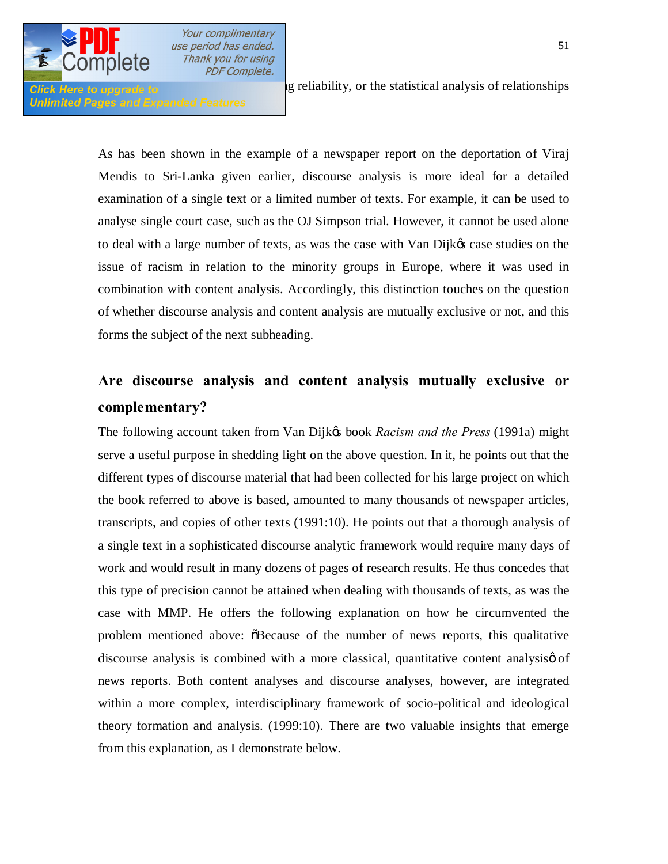

Unlimited Pages and Expanded Features

**Click Here to upgrade to assessments** of relationships in reliability, or the statistical analysis of relationships

As has been shown in the example of a newspaper report on the deportation of Viraj Mendis to Sri-Lanka given earlier, discourse analysis is more ideal for a detailed examination of a single text or a limited number of texts. For example, it can be used to analyse single court case, such as the OJ Simpson trial. However, it cannot be used alone to deal with a large number of texts, as was the case with Van Dijk $\alpha$  case studies on the issue of racism in relation to the minority groups in Europe, where it was used in combination with content analysis. Accordingly, this distinction touches on the question of whether discourse analysis and content analysis are mutually exclusive or not, and this forms the subject of the next subheading.

# **Are discourse analysis and content analysis mutually exclusive or complementary?**

The following account taken from Van Dijkes book *Racism and the Press* (1991a) might serve a useful purpose in shedding light on the above question. In it, he points out that the different types of discourse material that had been collected for his large project on which the book referred to above is based, amounted to many thousands of newspaper articles, transcripts, and copies of other texts (1991:10). He points out that a thorough analysis of a single text in a sophisticated discourse analytic framework would require many days of work and would result in many dozens of pages of research results. He thus concedes that this type of precision cannot be attained when dealing with thousands of texts, as was the case with MMP. He offers the following explanation on how he circumvented the problem mentioned above:  $\delta$ Because of the number of news reports, this qualitative discourse analysis is combined with a more classical, quantitative content analysis of news reports. Both content analyses and discourse analyses, however, are integrated within a more complex, interdisciplinary framework of socio-political and ideological theory formation and analysis. (1999:10). There are two valuable insights that emerge from this explanation, as I demonstrate below.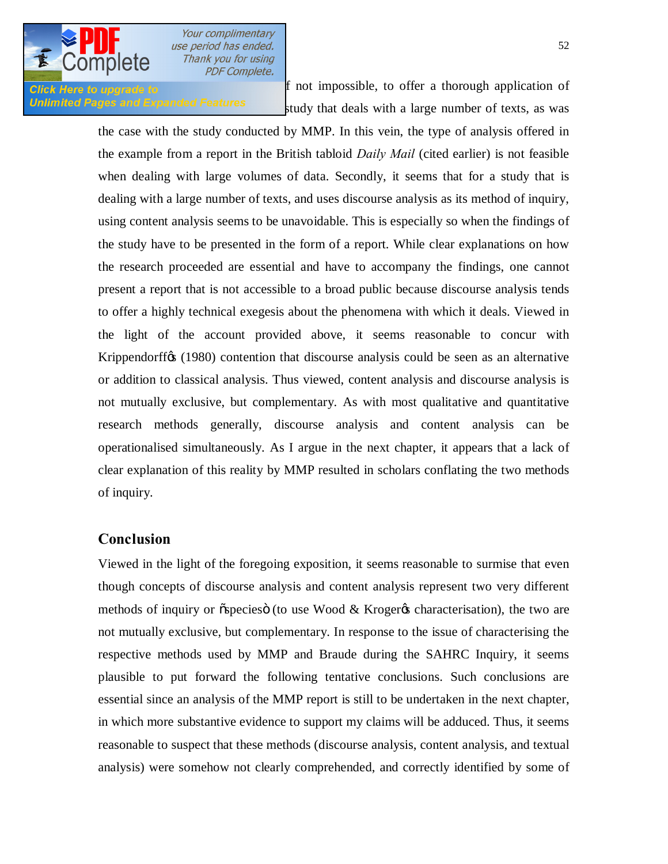

**Click Here to upgrade to f** not impossible, to offer a thorough application of Unlimited Pages and Expanded Features study that deals with a large number of texts, as was

> the case with the study conducted by MMP. In this vein, the type of analysis offered in the example from a report in the British tabloid *Daily Mail* (cited earlier) is not feasible when dealing with large volumes of data. Secondly, it seems that for a study that is dealing with a large number of texts, and uses discourse analysis as its method of inquiry, using content analysis seems to be unavoidable. This is especially so when the findings of the study have to be presented in the form of a report. While clear explanations on how the research proceeded are essential and have to accompany the findings, one cannot present a report that is not accessible to a broad public because discourse analysis tends to offer a highly technical exegesis about the phenomena with which it deals. Viewed in the light of the account provided above, it seems reasonable to concur with Krippendorff<sub>(SS</sub> (1980) contention that discourse analysis could be seen as an alternative or addition to classical analysis. Thus viewed, content analysis and discourse analysis is not mutually exclusive, but complementary. As with most qualitative and quantitative research methods generally, discourse analysis and content analysis can be operationalised simultaneously. As I argue in the next chapter, it appears that a lack of clear explanation of this reality by MMP resulted in scholars conflating the two methods of inquiry.

#### **Conclusion**

Viewed in the light of the foregoing exposition, it seems reasonable to surmise that even though concepts of discourse analysis and content analysis represent two very different methods of inquiry or  $\sigma$  species (to use Wood & Kroger  $\sigma$  characterisation), the two are not mutually exclusive, but complementary. In response to the issue of characterising the respective methods used by MMP and Braude during the SAHRC Inquiry, it seems plausible to put forward the following tentative conclusions. Such conclusions are essential since an analysis of the MMP report is still to be undertaken in the next chapter, in which more substantive evidence to support my claims will be adduced. Thus, it seems reasonable to suspect that these methods (discourse analysis, content analysis, and textual analysis) were somehow not clearly comprehended, and correctly identified by some of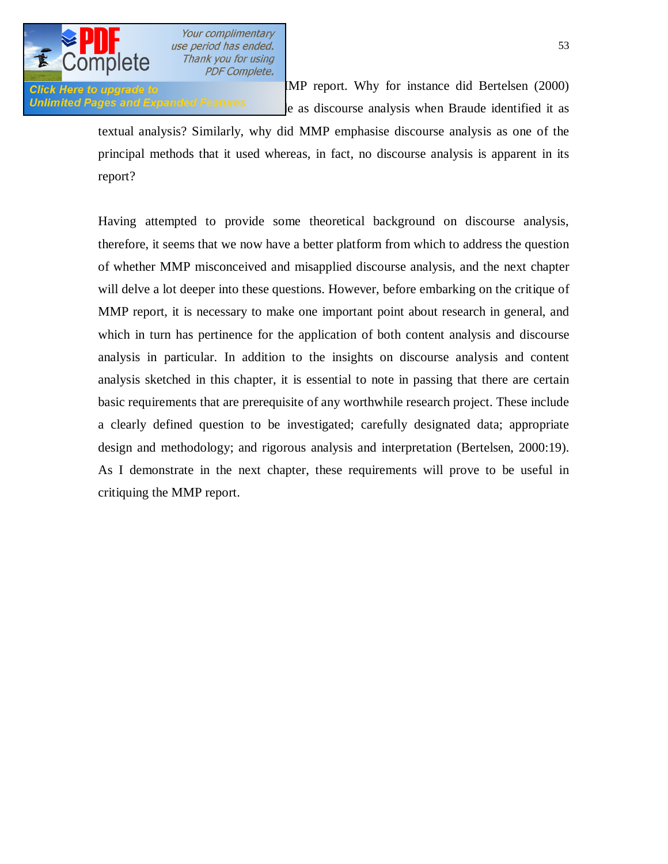

**Click Here to upgrade to** MMP report. Why for instance did Bertelsen (2000) Unlimited Pages and Expanded Features end is discourse analysis when Braude identified it as

> textual analysis? Similarly, why did MMP emphasise discourse analysis as one of the principal methods that it used whereas, in fact, no discourse analysis is apparent in its report?

> Having attempted to provide some theoretical background on discourse analysis, therefore, it seems that we now have a better platform from which to address the question of whether MMP misconceived and misapplied discourse analysis, and the next chapter will delve a lot deeper into these questions. However, before embarking on the critique of MMP report, it is necessary to make one important point about research in general, and which in turn has pertinence for the application of both content analysis and discourse analysis in particular. In addition to the insights on discourse analysis and content analysis sketched in this chapter, it is essential to note in passing that there are certain basic requirements that are prerequisite of any worthwhile research project. These include a clearly defined question to be investigated; carefully designated data; appropriate design and methodology; and rigorous analysis and interpretation (Bertelsen, 2000:19). As I demonstrate in the next chapter, these requirements will prove to be useful in critiquing the MMP report.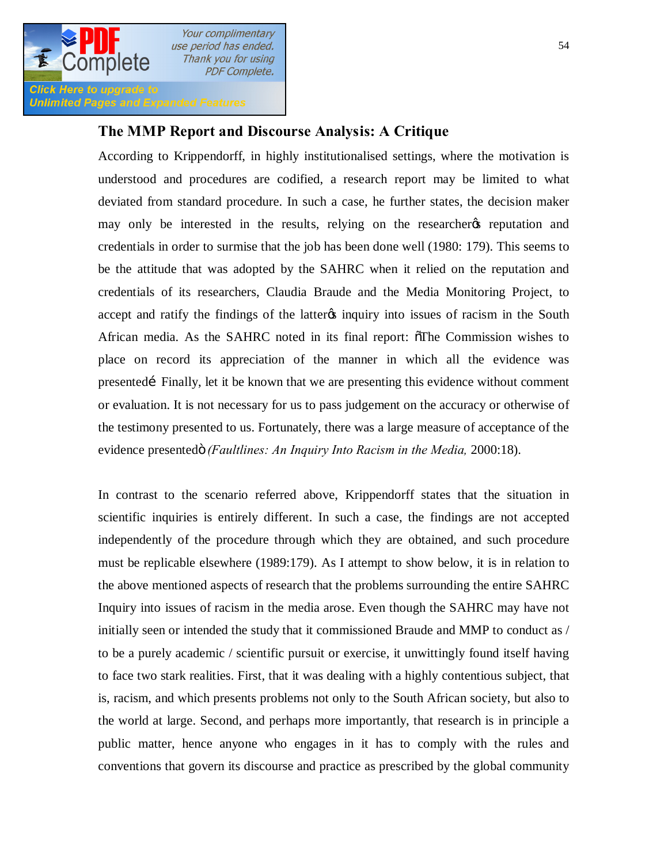

**Unlimited Pages and Expanded Features** 

## **The MMP Report and Discourse Analysis: A Critique**

According to Krippendorff, in highly institutionalised settings, where the motivation is understood and procedures are codified, a research report may be limited to what deviated from standard procedure. In such a case, he further states, the decision maker may only be interested in the results, relying on the researcheres reputation and credentials in order to surmise that the job has been done well (1980: 179). This seems to be the attitude that was adopted by the SAHRC when it relied on the reputation and credentials of its researchers, Claudia Braude and the Media Monitoring Project, to accept and ratify the findings of the latter inquiry into issues of racism in the South African media. As the SAHRC noted in its final report: "The Commission wishes to place on record its appreciation of the manner in which all the evidence was presented Finally, let it be known that we are presenting this evidence without comment or evaluation. It is not necessary for us to pass judgement on the accuracy or otherwise of the testimony presented to us. Fortunately, there was a large measure of acceptance of the evidence presentedö *(Faultlines: An Inquiry Into Racism in the Media, 2000:18).* 

In contrast to the scenario referred above, Krippendorff states that the situation in scientific inquiries is entirely different. In such a case, the findings are not accepted independently of the procedure through which they are obtained, and such procedure must be replicable elsewhere (1989:179). As I attempt to show below, it is in relation to the above mentioned aspects of research that the problems surrounding the entire SAHRC Inquiry into issues of racism in the media arose. Even though the SAHRC may have not initially seen or intended the study that it commissioned Braude and MMP to conduct as / to be a purely academic / scientific pursuit or exercise, it unwittingly found itself having to face two stark realities. First, that it was dealing with a highly contentious subject, that is, racism, and which presents problems not only to the South African society, but also to the world at large. Second, and perhaps more importantly, that research is in principle a public matter, hence anyone who engages in it has to comply with the rules and conventions that govern its discourse and practice as prescribed by the global community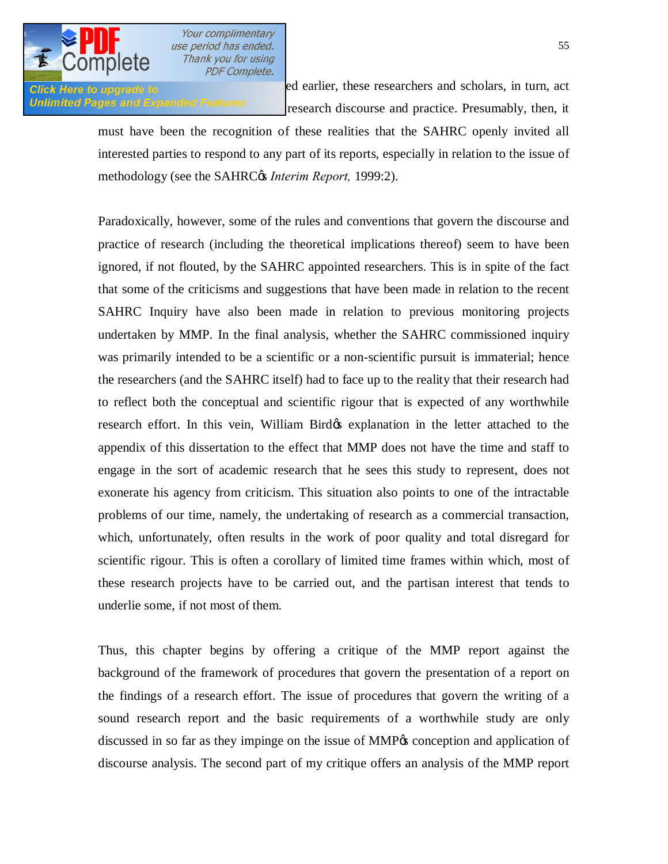

**Click Here to upgrade to researchers** and scholars, in turn, act Unlimited Pages and Expanded Features research discourse and practice. Presumably, then, it

> must have been the recognition of these realities that the SAHRC openly invited all interested parties to respond to any part of its reports, especially in relation to the issue of methodology (see the SAHRC $\alpha$  *Interim Report,* 1999:2).

> Paradoxically, however, some of the rules and conventions that govern the discourse and practice of research (including the theoretical implications thereof) seem to have been ignored, if not flouted, by the SAHRC appointed researchers. This is in spite of the fact that some of the criticisms and suggestions that have been made in relation to the recent SAHRC Inquiry have also been made in relation to previous monitoring projects undertaken by MMP. In the final analysis, whether the SAHRC commissioned inquiry was primarily intended to be a scientific or a non-scientific pursuit is immaterial; hence the researchers (and the SAHRC itself) had to face up to the reality that their research had to reflect both the conceptual and scientific rigour that is expected of any worthwhile research effort. In this vein, William Bird's explanation in the letter attached to the appendix of this dissertation to the effect that MMP does not have the time and staff to engage in the sort of academic research that he sees this study to represent, does not exonerate his agency from criticism. This situation also points to one of the intractable problems of our time, namely, the undertaking of research as a commercial transaction, which, unfortunately, often results in the work of poor quality and total disregard for scientific rigour. This is often a corollary of limited time frames within which, most of these research projects have to be carried out, and the partisan interest that tends to underlie some, if not most of them.

> Thus, this chapter begins by offering a critique of the MMP report against the background of the framework of procedures that govern the presentation of a report on the findings of a research effort. The issue of procedures that govern the writing of a sound research report and the basic requirements of a worthwhile study are only discussed in so far as they impinge on the issue of MMP $\alpha$  conception and application of discourse analysis. The second part of my critique offers an analysis of the MMP report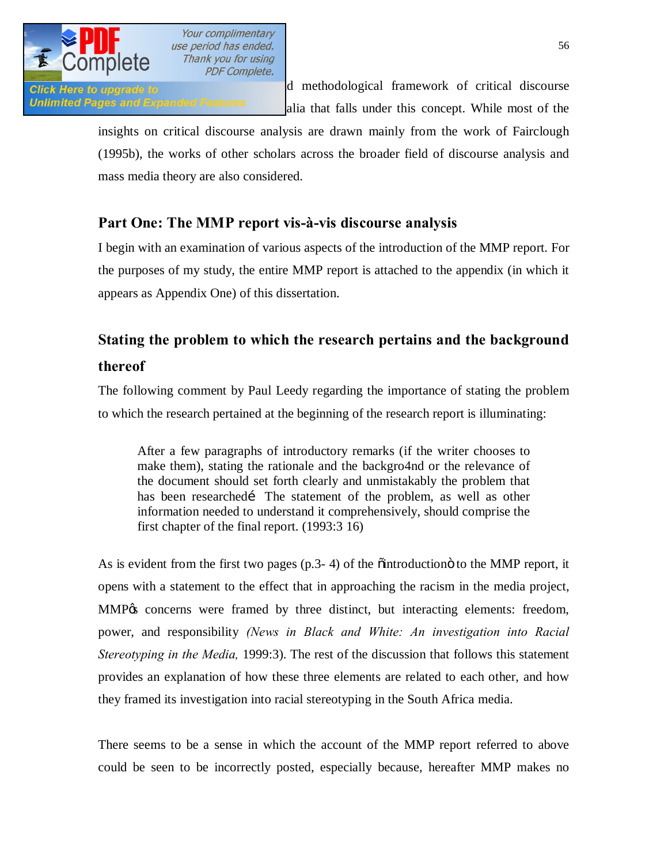

Click Here to upgrade to **and intervention of the broader of critical and methodological framework** of critical discourse Unlimited Pages and Expanded Features alia that falls under this concept. While most of the

> insights on critical discourse analysis are drawn mainly from the work of Fairclough (1995b), the works of other scholars across the broader field of discourse analysis and mass media theory are also considered.

# **Part One: The MMP report vis-à-vis discourse analysis**

I begin with an examination of various aspects of the introduction of the MMP report. For the purposes of my study, the entire MMP report is attached to the appendix (in which it appears as Appendix One) of this dissertation.

# **Stating the problem to which the research pertains and the background thereof**

The following comment by Paul Leedy regarding the importance of stating the problem to which the research pertained at the beginning of the research report is illuminating:

After a few paragraphs of introductory remarks (if the writer chooses to make them), stating the rationale and the backgro4nd or the relevance of the document should set forth clearly and unmistakably the problem that has been researched The statement of the problem, as well as other information needed to understand it comprehensively, should comprise the first chapter of the final report. (1993:3 16)

As is evident from the first two pages  $(p.3-4)$  of the  $\ddot{\text{o}}$  introduction to the MMP report, it opens with a statement to the effect that in approaching the racism in the media project, MMP% concerns were framed by three distinct, but interacting elements: freedom, power, and responsibility *(News in Black and White: An investigation into Racial Stereotyping in the Media,* 1999:3). The rest of the discussion that follows this statement provides an explanation of how these three elements are related to each other, and how they framed its investigation into racial stereotyping in the South Africa media.

There seems to be a sense in which the account of the MMP report referred to above could be seen to be incorrectly posted, especially because, hereafter MMP makes no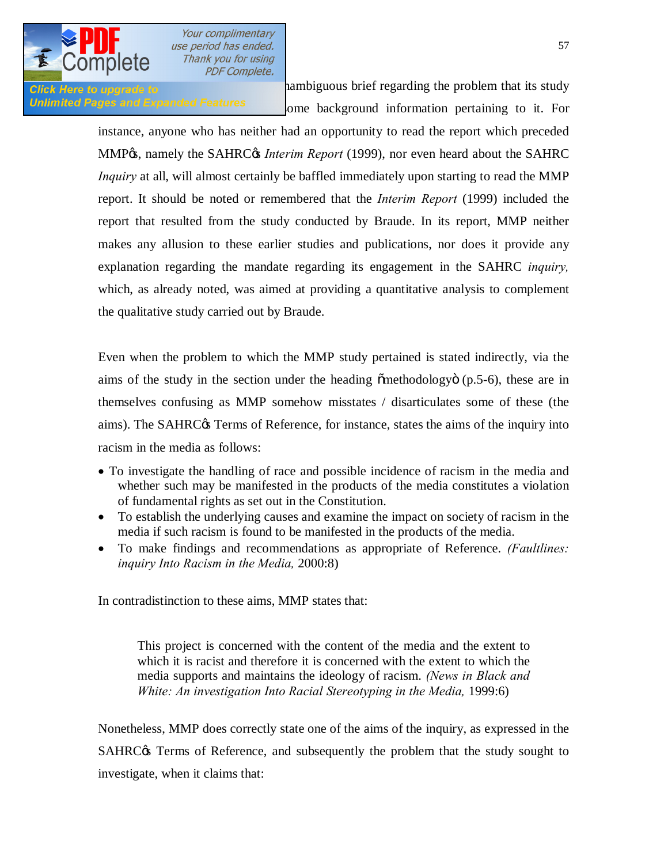

**Click Here to upgrade to clear and an unambiguous brief regarding the problem that its study** Unlimited Pages and Expanded Features one background information pertaining to it. For

> instance, anyone who has neither had an opportunity to read the report which preceded MMP%, namely the SAHRC<sup>%</sup> *Interim Report* (1999), nor even heard about the SAHRC *Inquiry* at all, will almost certainly be baffled immediately upon starting to read the MMP report. It should be noted or remembered that the *Interim Report* (1999) included the report that resulted from the study conducted by Braude. In its report, MMP neither makes any allusion to these earlier studies and publications, nor does it provide any explanation regarding the mandate regarding its engagement in the SAHRC *inquiry,*  which, as already noted, was aimed at providing a quantitative analysis to complement the qualitative study carried out by Braude.

> Even when the problem to which the MMP study pertained is stated indirectly, via the aims of the study in the section under the heading  $\ddot{\text{om}}$  ethodology  $(p.5-6)$ , these are in themselves confusing as MMP somehow misstates / disarticulates some of these (the aims). The SAHRC $\alpha$  Terms of Reference, for instance, states the aims of the inquiry into racism in the media as follows:

- · To investigate the handling of race and possible incidence of racism in the media and whether such may be manifested in the products of the media constitutes a violation of fundamental rights as set out in the Constitution.
- · To establish the underlying causes and examine the impact on society of racism in the media if such racism is found to be manifested in the products of the media.
- · To make findings and recommendations as appropriate of Reference. *(Faultlines: inquiry Into Racism in the Media,* 2000:8)

In contradistinction to these aims, MMP states that:

This project is concerned with the content of the media and the extent to which it is racist and therefore it is concerned with the extent to which the media supports and maintains the ideology of racism. *(News in Black and White: An investigation Into Racial Stereotyping in the Media, 1999:6)* 

Nonetheless, MMP does correctly state one of the aims of the inquiry, as expressed in the SAHRC $\alpha$  Terms of Reference, and subsequently the problem that the study sought to investigate, when it claims that: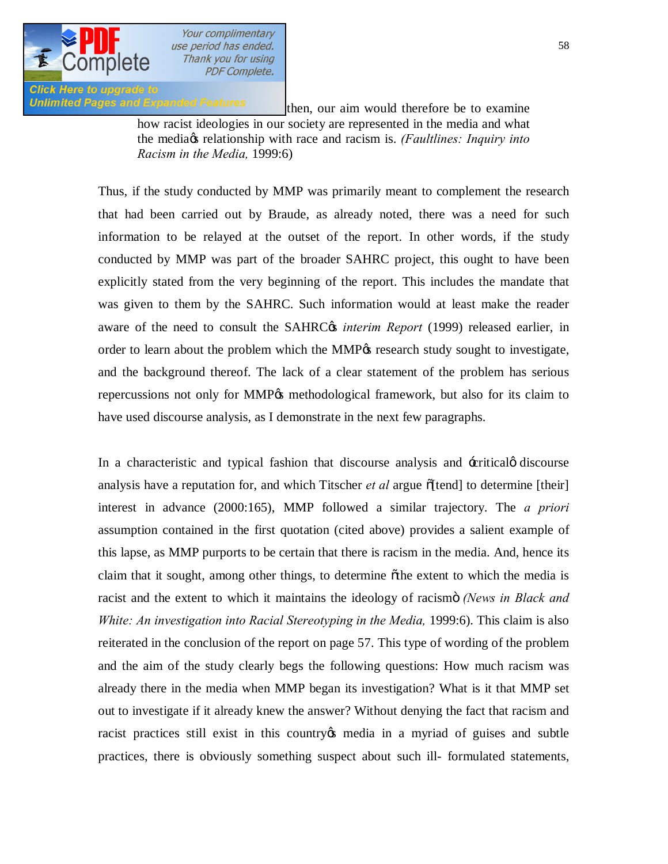

**Click Here to upgrade to** 

Unlimited Pages and Expanded Features then, our aim would therefore be to examine how racist ideologies in our society are represented in the media and what the media's relationship with race and racism is. *(Faultlines: Inquiry into Racism in the Media,* 1999:6)

> Thus, if the study conducted by MMP was primarily meant to complement the research that had been carried out by Braude, as already noted, there was a need for such information to be relayed at the outset of the report. In other words, if the study conducted by MMP was part of the broader SAHRC project, this ought to have been explicitly stated from the very beginning of the report. This includes the mandate that was given to them by the SAHRC. Such information would at least make the reader aware of the need to consult the SAHRC<sub>C</sub> *interim Report* (1999) released earlier, in order to learn about the problem which the MMP $\alpha$  research study sought to investigate, and the background thereof. The lack of a clear statement of the problem has serious repercussions not only for MMP% methodological framework, but also for its claim to have used discourse analysis, as I demonstrate in the next few paragraphs.

> In a characteristic and typical fashion that discourse analysis and  $\pm$ critical $\phi$  discourse analysis have a reputation for, and which Titscher *et al* argue  $\delta$ [tend] to determine [their] interest in advance (2000:165), MMP followed a similar trajectory. The *a priori*  assumption contained in the first quotation (cited above) provides a salient example of this lapse, as MMP purports to be certain that there is racism in the media. And, hence its claim that it sought, among other things, to determine othe extent to which the media is racist and the extent to which it maintains the ideology of racismo *(News in Black and White: An investigation into Racial Stereotyping in the Media, 1999:6). This claim is also* reiterated in the conclusion of the report on page 57. This type of wording of the problem and the aim of the study clearly begs the following questions: How much racism was already there in the media when MMP began its investigation? What is it that MMP set out to investigate if it already knew the answer? Without denying the fact that racism and racist practices still exist in this country the media in a myriad of guises and subtle practices, there is obviously something suspect about such ill- formulated statements,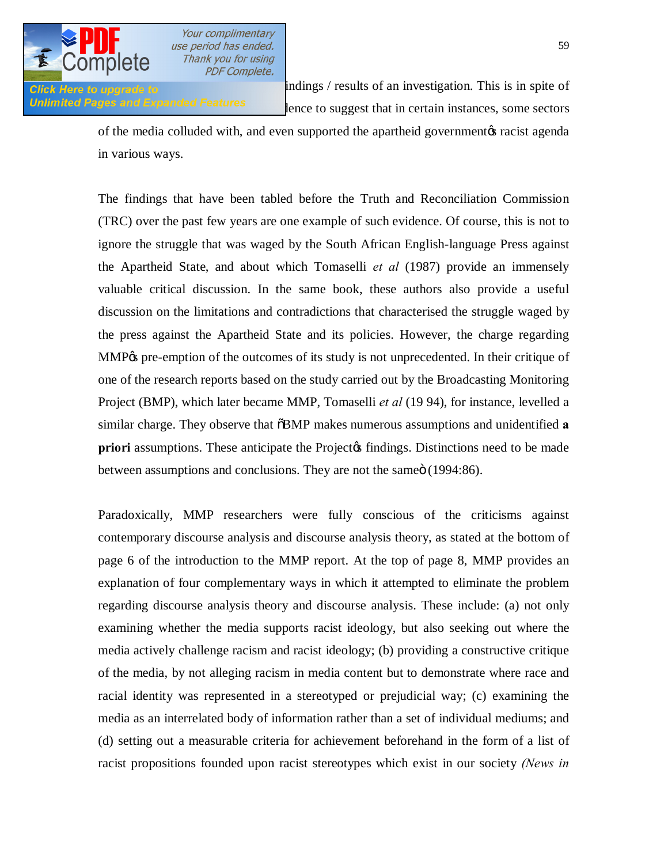

**Click Here to upgrade to and anticipate indings** / results of an investigation. This is in spite of Unlimited Pages and Expanded Features entity lence to suggest that in certain instances, some sectors

> of the media colluded with, and even supported the apartheid government to racist agenda in various ways.

> The findings that have been tabled before the Truth and Reconciliation Commission (TRC) over the past few years are one example of such evidence. Of course, this is not to ignore the struggle that was waged by the South African English-language Press against the Apartheid State, and about which Tomaselli *et al* (1987) provide an immensely valuable critical discussion. In the same book, these authors also provide a useful discussion on the limitations and contradictions that characterised the struggle waged by the press against the Apartheid State and its policies. However, the charge regarding MMP% pre-emption of the outcomes of its study is not unprecedented. In their critique of one of the research reports based on the study carried out by the Broadcasting Monitoring Project (BMP), which later became MMP, Tomaselli *et al* (19 94), for instance, levelled a similar charge. They observe that  $\delta$ BMP makes numerous assumptions and unidentified **a priori** assumptions. These anticipate the Project<sub>®</sub> findings. Distinctions need to be made between assumptions and conclusions. They are not the same it (1994:86).

> Paradoxically, MMP researchers were fully conscious of the criticisms against contemporary discourse analysis and discourse analysis theory, as stated at the bottom of page 6 of the introduction to the MMP report. At the top of page 8, MMP provides an explanation of four complementary ways in which it attempted to eliminate the problem regarding discourse analysis theory and discourse analysis. These include: (a) not only examining whether the media supports racist ideology, but also seeking out where the media actively challenge racism and racist ideology; (b) providing a constructive critique of the media, by not alleging racism in media content but to demonstrate where race and racial identity was represented in a stereotyped or prejudicial way; (c) examining the media as an interrelated body of information rather than a set of individual mediums; and (d) setting out a measurable criteria for achievement beforehand in the form of a list of racist propositions founded upon racist stereotypes which exist in our society *(News in*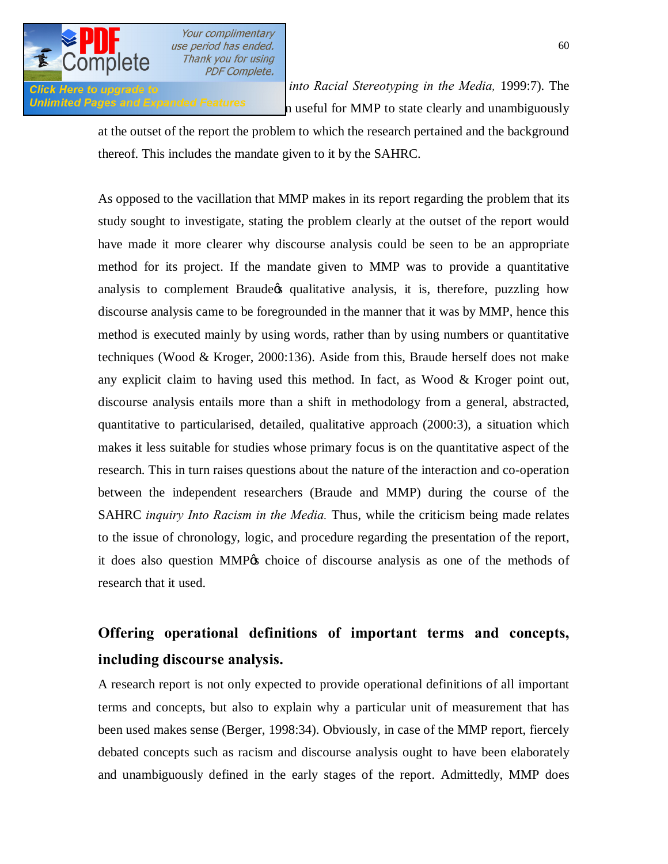

*Blick Here to upgrade to into Racial Stereotyping in the Media, 1999:7).* **The** Unlimited Pages and Expanded Features have been useful for MMP to state clearly and unambiguously

> at the outset of the report the problem to which the research pertained and the background thereof. This includes the mandate given to it by the SAHRC.

> As opposed to the vacillation that MMP makes in its report regarding the problem that its study sought to investigate, stating the problem clearly at the outset of the report would have made it more clearer why discourse analysis could be seen to be an appropriate method for its project. If the mandate given to MMP was to provide a quantitative analysis to complement Braude o qualitative analysis, it is, therefore, puzzling how discourse analysis came to be foregrounded in the manner that it was by MMP, hence this method is executed mainly by using words, rather than by using numbers or quantitative techniques (Wood & Kroger, 2000:136). Aside from this, Braude herself does not make any explicit claim to having used this method. In fact, as Wood  $\&$  Kroger point out, discourse analysis entails more than a shift in methodology from a general, abstracted, quantitative to particularised, detailed, qualitative approach (2000:3), a situation which makes it less suitable for studies whose primary focus is on the quantitative aspect of the research. This in turn raises questions about the nature of the interaction and co-operation between the independent researchers (Braude and MMP) during the course of the SAHRC *inquiry Into Racism in the Media.* Thus, while the criticism being made relates to the issue of chronology, logic, and procedure regarding the presentation of the report, it does also question MMP% choice of discourse analysis as one of the methods of research that it used.

# **Offering operational definitions of important terms and concepts, including discourse analysis.**

A research report is not only expected to provide operational definitions of all important terms and concepts, but also to explain why a particular unit of measurement that has been used makes sense (Berger, 1998:34). Obviously, in case of the MMP report, fiercely debated concepts such as racism and discourse analysis ought to have been elaborately and unambiguously defined in the early stages of the report. Admittedly, MMP does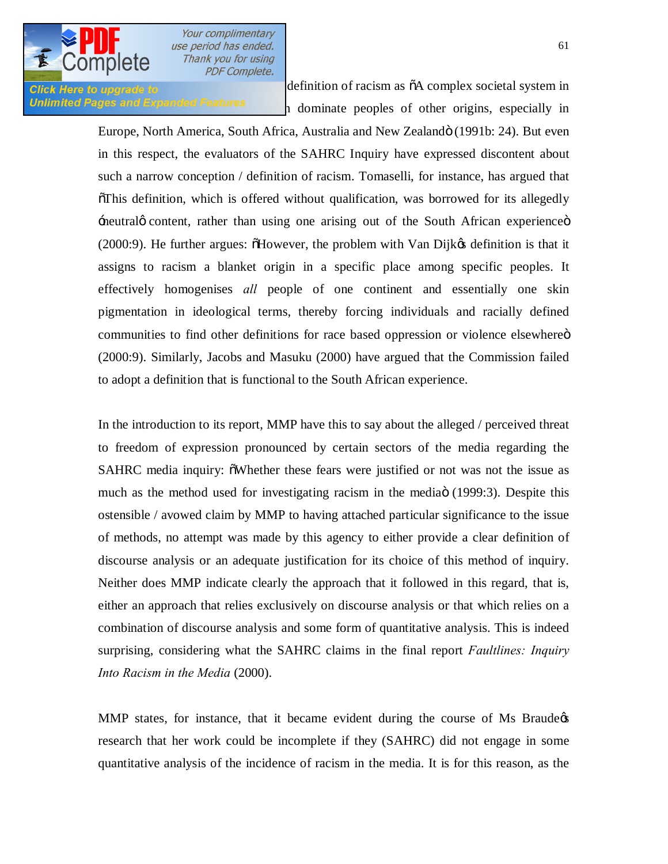

**Click Here to upgrade to** definition of racism as  $\tilde{o}A$  complex societal system in Unlimited Pages and Expanded Features  $\frac{1}{n}$  dominate peoples of other origins, especially in

> Europe, North America, South Africa, Australia and New Zealandö (1991b: 24). But even in this respect, the evaluators of the SAHRC Inquiry have expressed discontent about such a narrow conception / definition of racism. Tomaselli, for instance, has argued that "This definition, which is offered without qualification, was borrowed for its allegedly  $\pm$ neutralø content, rather than using one arising out of the South African experience  $\ddot{o}$  $(2000:9)$ . He further argues:  $\delta$ However, the problem with Van Dijk $\alpha$  definition is that it assigns to racism a blanket origin in a specific place among specific peoples. It effectively homogenises *all* people of one continent and essentially one skin pigmentation in ideological terms, thereby forcing individuals and racially defined communities to find other definitions for race based oppression or violence elsewhere  $\ddot{o}$ (2000:9). Similarly, Jacobs and Masuku (2000) have argued that the Commission failed to adopt a definition that is functional to the South African experience.

> In the introduction to its report, MMP have this to say about the alleged / perceived threat to freedom of expression pronounced by certain sectors of the media regarding the SAHRC media inquiry:  $\delta$ Whether these fears were justified or not was not the issue as much as the method used for investigating racism in the media (1999:3). Despite this ostensible / avowed claim by MMP to having attached particular significance to the issue of methods, no attempt was made by this agency to either provide a clear definition of discourse analysis or an adequate justification for its choice of this method of inquiry. Neither does MMP indicate clearly the approach that it followed in this regard, that is, either an approach that relies exclusively on discourse analysis or that which relies on a combination of discourse analysis and some form of quantitative analysis. This is indeed surprising, considering what the SAHRC claims in the final report *Faultlines: Inquiry Into Racism in the Media* (2000).

> MMP states, for instance, that it became evident during the course of Ms Braude $\phi$ research that her work could be incomplete if they (SAHRC) did not engage in some quantitative analysis of the incidence of racism in the media. It is for this reason, as the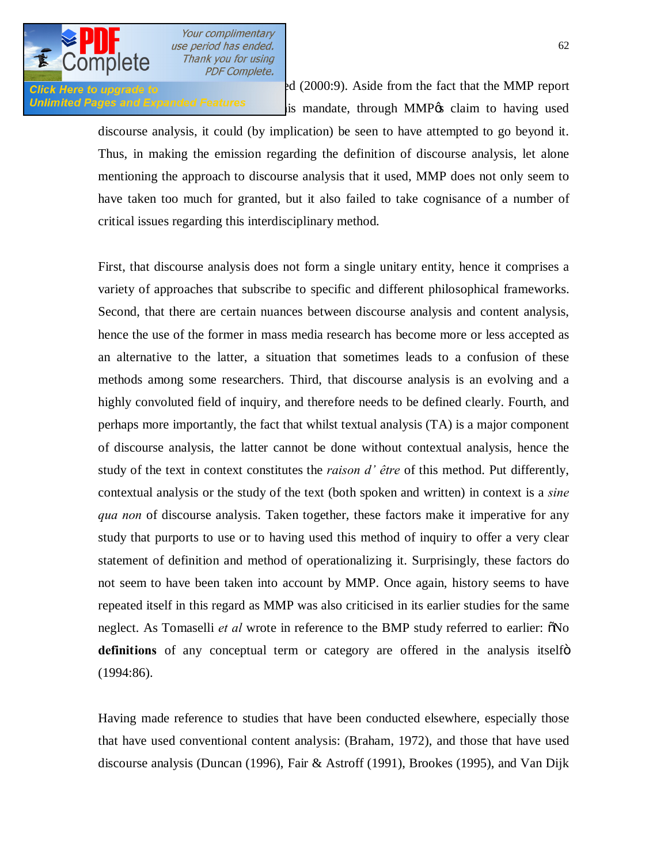

Click Here to upgrade to  $rd(2000:9)$ . Aside from the fact that the MMP report Unlimited Pages and Expanded Features is mandate, through MMP os claim to having used

> discourse analysis, it could (by implication) be seen to have attempted to go beyond it. Thus, in making the emission regarding the definition of discourse analysis, let alone mentioning the approach to discourse analysis that it used, MMP does not only seem to have taken too much for granted, but it also failed to take cognisance of a number of critical issues regarding this interdisciplinary method.

> First, that discourse analysis does not form a single unitary entity, hence it comprises a variety of approaches that subscribe to specific and different philosophical frameworks. Second, that there are certain nuances between discourse analysis and content analysis, hence the use of the former in mass media research has become more or less accepted as an alternative to the latter, a situation that sometimes leads to a confusion of these methods among some researchers. Third, that discourse analysis is an evolving and a highly convoluted field of inquiry, and therefore needs to be defined clearly. Fourth, and perhaps more importantly, the fact that whilst textual analysis (TA) is a major component of discourse analysis, the latter cannot be done without contextual analysis, hence the study of the text in context constitutes the *raison d' être* of this method. Put differently, contextual analysis or the study of the text (both spoken and written) in context is a *sine qua non* of discourse analysis. Taken together, these factors make it imperative for any study that purports to use or to having used this method of inquiry to offer a very clear statement of definition and method of operationalizing it. Surprisingly, these factors do not seem to have been taken into account by MMP. Once again, history seems to have repeated itself in this regard as MMP was also criticised in its earlier studies for the same neglect. As Tomaselli *et al* wrote in reference to the BMP study referred to earlier:  $\delta$ No **definitions** of any conceptual term or category are offered in the analysis itselform (1994:86).

> Having made reference to studies that have been conducted elsewhere, especially those that have used conventional content analysis: (Braham, 1972), and those that have used discourse analysis (Duncan (1996), Fair & Astroff (1991), Brookes (1995), and Van Dijk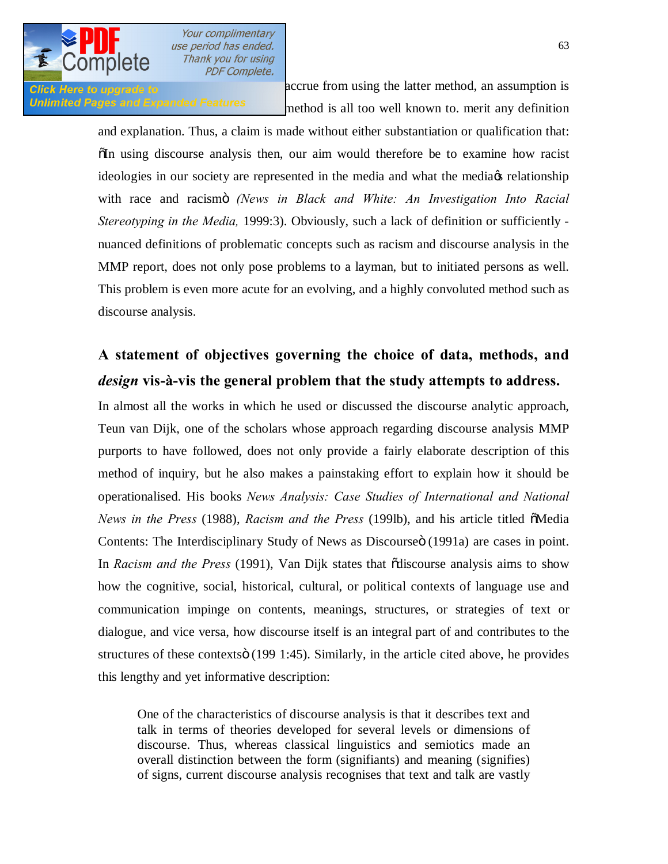

Click Here to upgrade to **1991** accrue from using the latter method, an assumption is Unlimited Pages and Expanded Features method is all too well known to. merit any definition

> and explanation. Thus, a claim is made without either substantiation or qualification that: "In using discourse analysis then, our aim would therefore be to examine how racist ideologies in our society are represented in the media and what the media of relationship with race and racismo *(News in Black and White: An Investigation Into Racial Stereotyping in the Media,* 1999:3). Obviously, such a lack of definition or sufficiently nuanced definitions of problematic concepts such as racism and discourse analysis in the MMP report, does not only pose problems to a layman, but to initiated persons as well. This problem is even more acute for an evolving, and a highly convoluted method such as discourse analysis.

# **A statement of objectives governing the choice of data, methods, and**  *design* **vis-à-vis the general problem that the study attempts to address.**

In almost all the works in which he used or discussed the discourse analytic approach, Teun van Dijk, one of the scholars whose approach regarding discourse analysis MMP purports to have followed, does not only provide a fairly elaborate description of this method of inquiry, but he also makes a painstaking effort to explain how it should be operationalised. His books *News Analysis: Case Studies of International and National News in the Press* (1988), *Racism and the Press* (199lb), and his article titled  $\tilde{\text{o}}$ Media Contents: The Interdisciplinary Study of News as Discourse o (1991a) are cases in point. In *Racism and the Press* (1991), Van Dijk states that "discourse analysis aims to show how the cognitive, social, historical, cultural, or political contexts of language use and communication impinge on contents, meanings, structures, or strategies of text or dialogue, and vice versa, how discourse itself is an integral part of and contributes to the structures of these contexts $\ddot{o}$  (199 1:45). Similarly, in the article cited above, he provides this lengthy and yet informative description:

One of the characteristics of discourse analysis is that it describes text and talk in terms of theories developed for several levels or dimensions of discourse. Thus, whereas classical linguistics and semiotics made an overall distinction between the form (signifiants) and meaning (signifies) of signs, current discourse analysis recognises that text and talk are vastly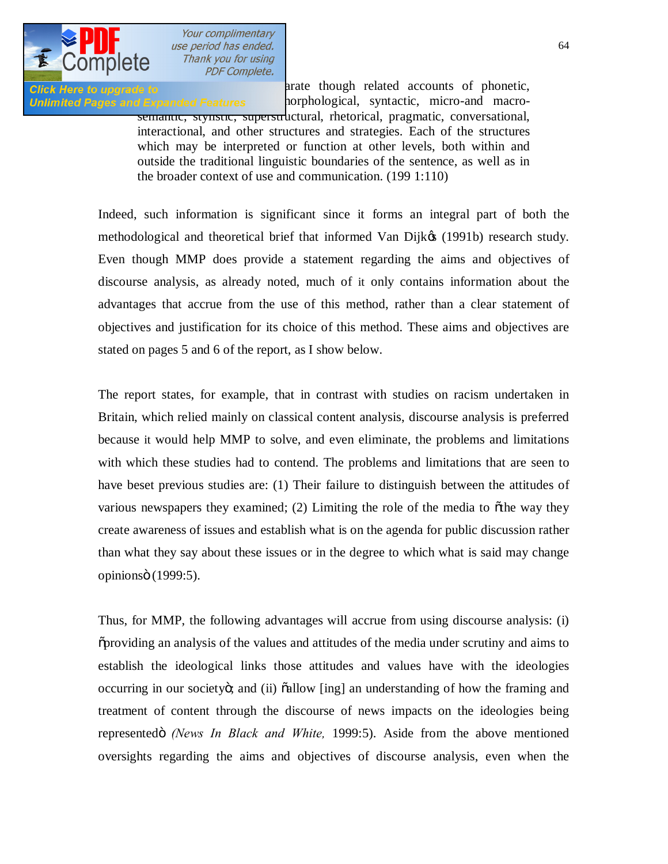

**Click Here to upgrade to and related accounts of phonetic,** Unlimited Pages and Expanded Features corphological, syntactic, micro-and macro-

semantic, stylistic, superstructural, rhetorical, pragmatic, conversational, interactional, and other structures and strategies. Each of the structures which may be interpreted or function at other levels, both within and outside the traditional linguistic boundaries of the sentence, as well as in the broader context of use and communication. (199 1:110)

Indeed, such information is significant since it forms an integral part of both the methodological and theoretical brief that informed Van Dijkøs (1991b) research study. Even though MMP does provide a statement regarding the aims and objectives of discourse analysis, as already noted, much of it only contains information about the advantages that accrue from the use of this method, rather than a clear statement of objectives and justification for its choice of this method. These aims and objectives are stated on pages 5 and 6 of the report, as I show below.

The report states, for example, that in contrast with studies on racism undertaken in Britain, which relied mainly on classical content analysis, discourse analysis is preferred because it would help MMP to solve, and even eliminate, the problems and limitations with which these studies had to contend. The problems and limitations that are seen to have beset previous studies are: (1) Their failure to distinguish between the attitudes of various newspapers they examined; (2) Limiting the role of the media to  $\delta$ the way they create awareness of issues and establish what is on the agenda for public discussion rather than what they say about these issues or in the degree to which what is said may change opinionsö (1999:5).

Thus, for MMP, the following advantages will accrue from using discourse analysis: (i) "providing an analysis of the values and attitudes of the media under scrutiny and aims to establish the ideological links those attitudes and values have with the ideologies occurring in our societyo; and (ii)  $\ddot{\text{o}}$  allow [ing] an understanding of how the framing and treatment of content through the discourse of news impacts on the ideologies being representedö *(News In Black and White, 1999:5)*. Aside from the above mentioned oversights regarding the aims and objectives of discourse analysis, even when the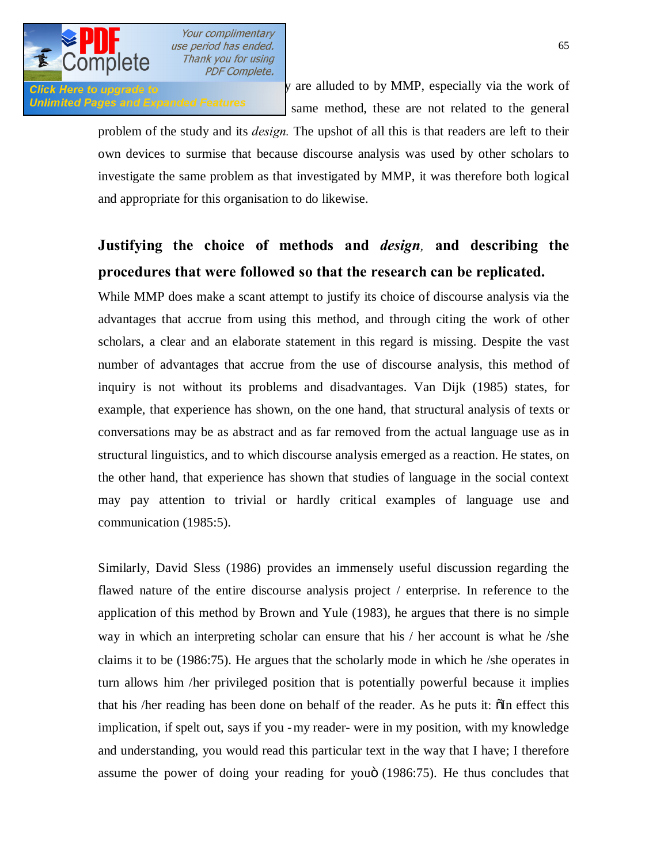

 $Citek$  Here to upgrade to  $\blacksquare$  is method of inquiry are alluded to by MMP, especially via the work of Unlimited Pages and Expanded Features same method, these are not related to the general

> problem of the study and its *design.* The upshot of all this is that readers are left to their own devices to surmise that because discourse analysis was used by other scholars to investigate the same problem as that investigated by MMP, it was therefore both logical and appropriate for this organisation to do likewise.

# **Justifying the choice of methods and** *design,* **and describing the procedures that were followed so that the research can be replicated.**

While MMP does make a scant attempt to justify its choice of discourse analysis via the advantages that accrue from using this method, and through citing the work of other scholars, a clear and an elaborate statement in this regard is missing. Despite the vast number of advantages that accrue from the use of discourse analysis, this method of inquiry is not without its problems and disadvantages. Van Dijk (1985) states, for example, that experience has shown, on the one hand, that structural analysis of texts or conversations may be as abstract and as far removed from the actual language use as in structural linguistics, and to which discourse analysis emerged as a reaction. He states, on the other hand, that experience has shown that studies of language in the social context may pay attention to trivial or hardly critical examples of language use and communication (1985:5).

Similarly, David Sless (1986) provides an immensely useful discussion regarding the flawed nature of the entire discourse analysis project / enterprise. In reference to the application of this method by Brown and Yule (1983), he argues that there is no simple way in which an interpreting scholar can ensure that his / her account is what he /she claims it to be (1986:75). He argues that the scholarly mode in which he /she operates in turn allows him /her privileged position that is potentially powerful because it implies that his /her reading has been done on behalf of the reader. As he puts it:  $\delta$ In effect this implication, if spelt out, says if you -my reader- were in my position, with my knowledge and understanding, you would read this particular text in the way that I have; I therefore assume the power of doing your reading for youö (1986:75). He thus concludes that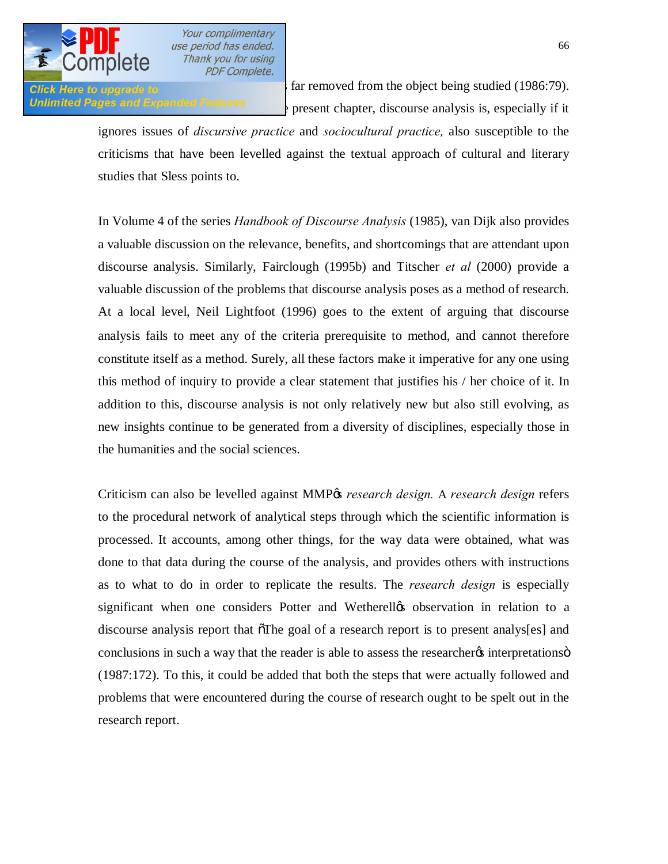

Glick Here to upgrade to  $\epsilon$  far removed from the object being studied (1986:79). **Unlimited Pages and Expanded Features**  $\rightarrow$  present chapter, discourse analysis is, especially if it

> ignores issues of *discursive practice* and *sociocultural practice,* also susceptible to the criticisms that have been levelled against the textual approach of cultural and literary studies that Sless points to.

> In Volume 4 of the series *Handbook of Discourse Analysis* (1985), van Dijk also provides a valuable discussion on the relevance, benefits, and shortcomings that are attendant upon discourse analysis. Similarly, Fairclough (1995b) and Titscher *et al* (2000) provide a valuable discussion of the problems that discourse analysis poses as a method of research. At a local level, Neil Lightfoot (1996) goes to the extent of arguing that discourse analysis fails to meet any of the criteria prerequisite to method, and cannot therefore constitute itself as a method. Surely, all these factors make it imperative for any one using this method of inquiry to provide a clear statement that justifies his / her choice of it. In addition to this, discourse analysis is not only relatively new but also still evolving, as new insights continue to be generated from a diversity of disciplines, especially those in the humanities and the social sciences.

> Criticism can also be levelled against MMP's *research design.* A *research design* refers to the procedural network of analytical steps through which the scientific information is processed. It accounts, among other things, for the way data were obtained, what was done to that data during the course of the analysis, and provides others with instructions as to what to do in order to replicate the results. The *research design* is especially significant when one considers Potter and Wetherell $\alpha$  observation in relation to a discourse analysis report that  $\tilde{\sigma}$ The goal of a research report is to present analys[es] and conclusions in such a way that the reader is able to assess the researcher interpretations  $\ddot{o}$ (1987:172). To this, it could be added that both the steps that were actually followed and problems that were encountered during the course of research ought to be spelt out in the research report.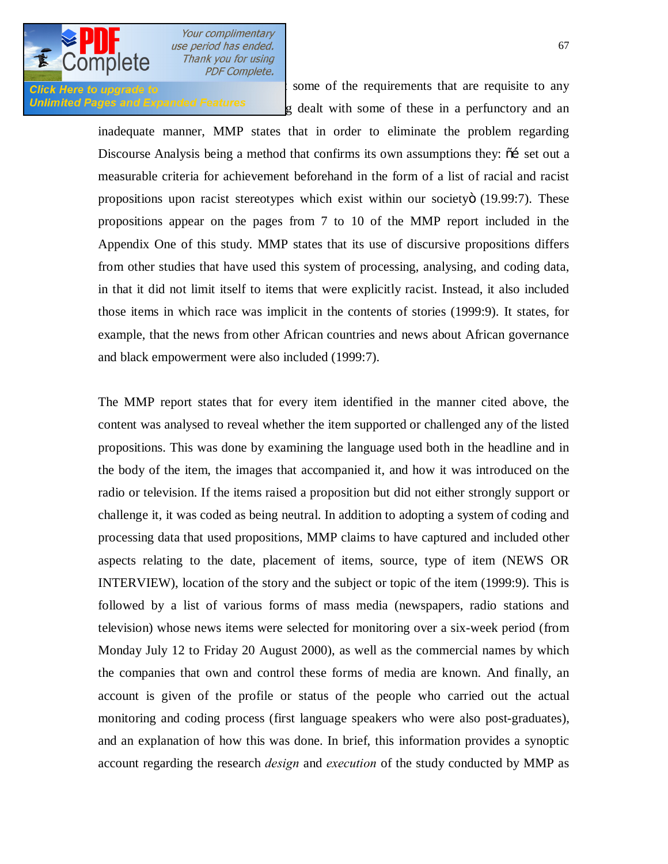

**Click Here to upgrade to** the some of the requirements that are requisite to any Unlimited Pages and Expanded Features  $\frac{g}{g}$  dealt with some of these in a perfunctory and an

> inadequate manner, MMP states that in order to eliminate the problem regarding Discourse Analysis being a method that confirms its own assumptions they:  $\tilde{o}$  set out a measurable criteria for achievement beforehand in the form of a list of racial and racist propositions upon racist stereotypes which exist within our society o  $(19.99:7)$ . These propositions appear on the pages from 7 to 10 of the MMP report included in the Appendix One of this study. MMP states that its use of discursive propositions differs from other studies that have used this system of processing, analysing, and coding data, in that it did not limit itself to items that were explicitly racist. Instead, it also included those items in which race was implicit in the contents of stories (1999:9). It states, for example, that the news from other African countries and news about African governance and black empowerment were also included (1999:7).

> The MMP report states that for every item identified in the manner cited above, the content was analysed to reveal whether the item supported or challenged any of the listed propositions. This was done by examining the language used both in the headline and in the body of the item, the images that accompanied it, and how it was introduced on the radio or television. If the items raised a proposition but did not either strongly support or challenge it, it was coded as being neutral. In addition to adopting a system of coding and processing data that used propositions, MMP claims to have captured and included other aspects relating to the date, placement of items, source, type of item (NEWS OR INTERVIEW), location of the story and the subject or topic of the item (1999:9). This is followed by a list of various forms of mass media (newspapers, radio stations and television) whose news items were selected for monitoring over a six-week period (from Monday July 12 to Friday 20 August 2000), as well as the commercial names by which the companies that own and control these forms of media are known. And finally, an account is given of the profile or status of the people who carried out the actual monitoring and coding process (first language speakers who were also post-graduates), and an explanation of how this was done. In brief, this information provides a synoptic account regarding the research *design* and *execution* of the study conducted by MMP as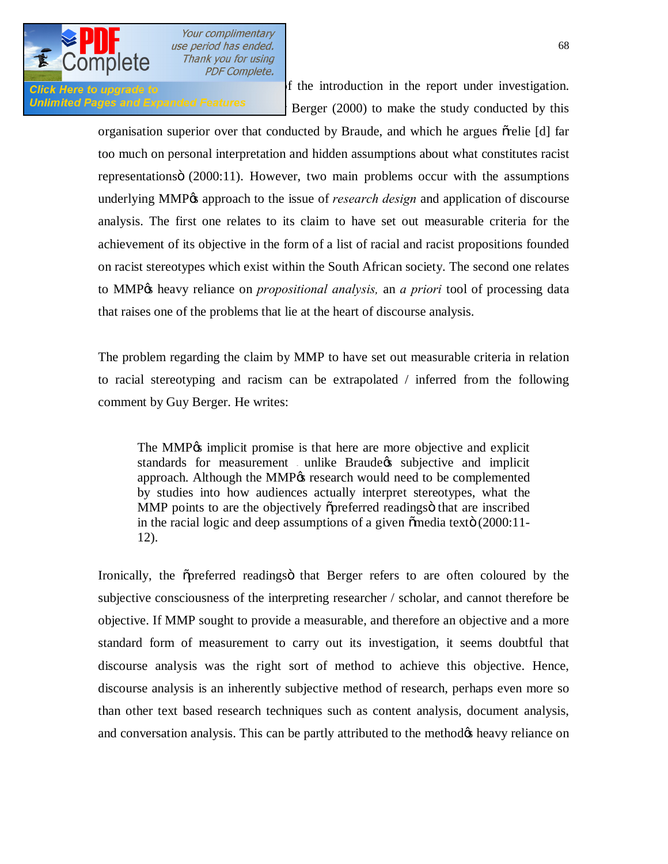

**Click Here to upgrade to provide 10** of the introduction in the report under investigation. Unlimited Pages and Expanded Features *Berger (2000)* to make the study conducted by this

> organisation superior over that conducted by Braude, and which he argues  $\delta$ relie [d] far too much on personal interpretation and hidden assumptions about what constitutes racist representations (2000:11). However, two main problems occur with the assumptions underlying MMP<sub>O</sub> approach to the issue of *research design* and application of discourse analysis. The first one relates to its claim to have set out measurable criteria for the achievement of its objective in the form of a list of racial and racist propositions founded on racist stereotypes which exist within the South African society. The second one relates to MMP's heavy reliance on *propositional analysis,* an *a priori* tool of processing data that raises one of the problems that lie at the heart of discourse analysis.

> The problem regarding the claim by MMP to have set out measurable criteria in relation to racial stereotyping and racism can be extrapolated / inferred from the following comment by Guy Berger. He writes:

The MMP<sub>%</sub> implicit promise is that here are more objective and explicit standards for measurement unlike Braude ts subjective and implicit approach. Although the MMP<sub>%</sub> research would need to be complemented by studies into how audiences actually interpret stereotypes, what the MMP points to are the objectively opreferred readings that are inscribed in the racial logic and deep assumptions of a given  $\tilde{\text{o}}$  media text $\ddot{\text{o}}$  (2000:11-12).

Ironically, the opreferred readings that Berger refers to are often coloured by the subjective consciousness of the interpreting researcher / scholar, and cannot therefore be objective. If MMP sought to provide a measurable, and therefore an objective and a more standard form of measurement to carry out its investigation, it seems doubtful that discourse analysis was the right sort of method to achieve this objective. Hence, discourse analysis is an inherently subjective method of research, perhaps even more so than other text based research techniques such as content analysis, document analysis, and conversation analysis. This can be partly attributed to the method the heavy reliance on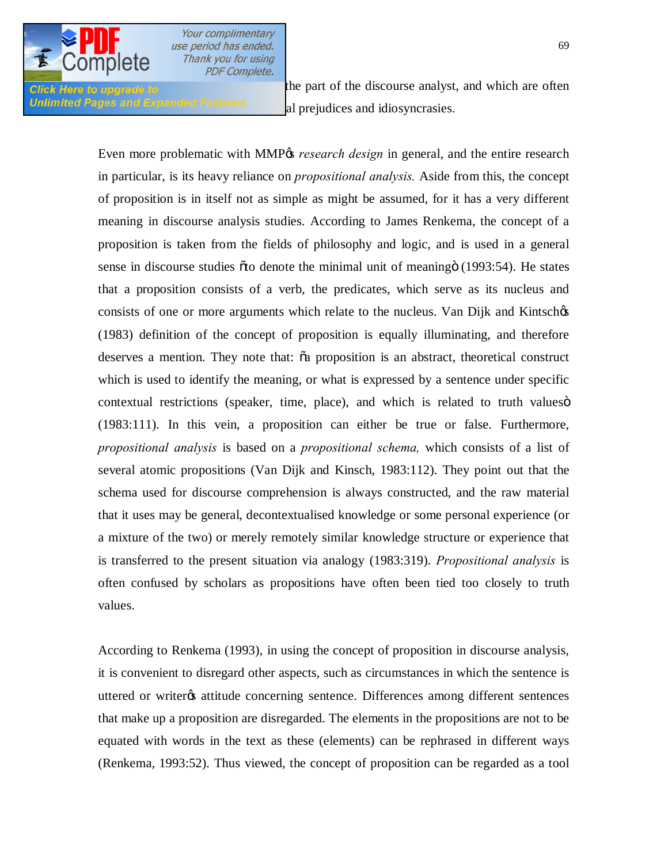

**Click Here to upgrade to** the part of the discourse analyst, and which are often Unlimited Pages and Expanded Features al prejudices and idiosyncrasies.

> Even more problematic with MMP<sub>%</sub> *research design* in general, and the entire research in particular, is its heavy reliance on *propositional analysis.* Aside from this, the concept of proposition is in itself not as simple as might be assumed, for it has a very different meaning in discourse analysis studies. According to James Renkema, the concept of a proposition is taken from the fields of philosophy and logic, and is used in a general sense in discourse studies õto denote the minimal unit of meaningö (1993:54). He states that a proposition consists of a verb, the predicates, which serve as its nucleus and consists of one or more arguments which relate to the nucleus. Van Dijk and Kintschøs (1983) definition of the concept of proposition is equally illuminating, and therefore deserves a mention. They note that:  $\tilde{o}a$  proposition is an abstract, theoretical construct which is used to identify the meaning, or what is expressed by a sentence under specific contextual restrictions (speaker, time, place), and which is related to truth values of (1983:111). In this vein, a proposition can either be true or false. Furthermore, *propositional analysis* is based on a *propositional schema,* which consists of a list of several atomic propositions (Van Dijk and Kinsch, 1983:112). They point out that the schema used for discourse comprehension is always constructed, and the raw material that it uses may be general, decontextualised knowledge or some personal experience (or a mixture of the two) or merely remotely similar knowledge structure or experience that is transferred to the present situation via analogy (1983:319). *Propositional analysis* is often confused by scholars as propositions have often been tied too closely to truth values.

> According to Renkema (1993), in using the concept of proposition in discourse analysis, it is convenient to disregard other aspects, such as circumstances in which the sentence is uttered or writer os attitude concerning sentence. Differences among different sentences that make up a proposition are disregarded. The elements in the propositions are not to be equated with words in the text as these (elements) can be rephrased in different ways (Renkema, 1993:52). Thus viewed, the concept of proposition can be regarded as a tool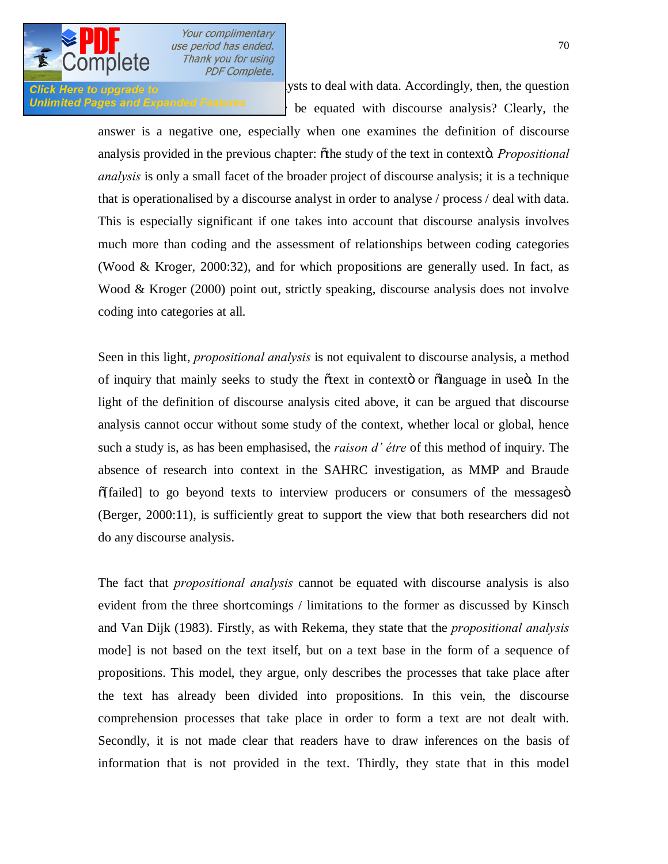

Click Here to upgrade to **interval analysts** to deal with data. Accordingly, then, the question **Unlimited Pages and Expanded Features** be equated with discourse analysis? Clearly, the

> answer is a negative one, especially when one examines the definition of discourse analysis provided in the previous chapter:  $\delta$ the study of the text in contexto. *Propositional analysis* is only a small facet of the broader project of discourse analysis; it is a technique that is operationalised by a discourse analyst in order to analyse / process / deal with data. This is especially significant if one takes into account that discourse analysis involves much more than coding and the assessment of relationships between coding categories (Wood & Kroger, 2000:32), and for which propositions are generally used. In fact, as Wood & Kroger (2000) point out, strictly speaking, discourse analysis does not involve coding into categories at all.

> Seen in this light, *propositional analysis* is not equivalent to discourse analysis, a method of inquiry that mainly seeks to study the  $\tilde{\alpha}$  text in contexto or  $\tilde{\alpha}$  language in use $\tilde{\alpha}$ . In the light of the definition of discourse analysis cited above, it can be argued that discourse analysis cannot occur without some study of the context, whether local or global, hence such a study is, as has been emphasised, the *raison d' étre* of this method of inquiry. The absence of research into context in the SAHRC investigation, as MMP and Braude  $\delta$ [failed] to go beyond texts to interview producers or consumers of the messages  $\delta$ (Berger, 2000:11), is sufficiently great to support the view that both researchers did not do any discourse analysis.

> The fact that *propositional analysis* cannot be equated with discourse analysis is also evident from the three shortcomings / limitations to the former as discussed by Kinsch and Van Dijk (1983). Firstly, as with Rekema, they state that the *propositional analysis*  mode] is not based on the text itself, but on a text base in the form of a sequence of propositions. This model, they argue, only describes the processes that take place after the text has already been divided into propositions. In this vein, the discourse comprehension processes that take place in order to form a text are not dealt with. Secondly, it is not made clear that readers have to draw inferences on the basis of information that is not provided in the text. Thirdly, they state that in this model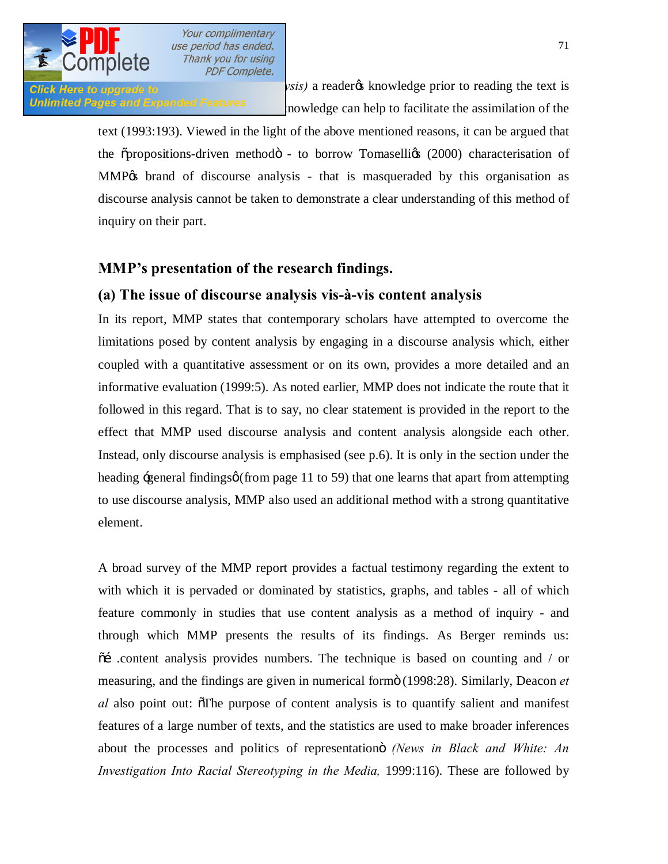Click Here to upgrade to **propositional analysis**) a reader to knowledge prior to reading the text is Unlimited Pages and Expanded Features mowledge can help to facilitate the assimilation of the

> text (1993:193). Viewed in the light of the above mentioned reasons, it can be argued that the  $\sigma$ propositions-driven methodo - to borrow Tomaselligs (2000) characterisation of MMP% brand of discourse analysis - that is masqueraded by this organisation as discourse analysis cannot be taken to demonstrate a clear understanding of this method of inquiry on their part.

# **MMP's presentation of the research findings.**

### **(a) The issue of discourse analysis vis-à-vis content analysis**

In its report, MMP states that contemporary scholars have attempted to overcome the limitations posed by content analysis by engaging in a discourse analysis which, either coupled with a quantitative assessment or on its own, provides a more detailed and an informative evaluation (1999:5). As noted earlier, MMP does not indicate the route that it followed in this regard. That is to say, no clear statement is provided in the report to the effect that MMP used discourse analysis and content analysis alongside each other. Instead, only discourse analysis is emphasised (see p.6). It is only in the section under the heading  $\div$ general findings $\varphi$  (from page 11 to 59) that one learns that apart from attempting to use discourse analysis, MMP also used an additional method with a strong quantitative element.

A broad survey of the MMP report provides a factual testimony regarding the extent to with which it is pervaded or dominated by statistics, graphs, and tables - all of which feature commonly in studies that use content analysis as a method of inquiry - and through which MMP presents the results of its findings. As Berger reminds us:  $\tilde{\sigma}$  content analysis provides numbers. The technique is based on counting and / or measuring, and the findings are given in numerical formö (1998:28). Similarly, Deacon *et al* also point out: The purpose of content analysis is to quantify salient and manifest features of a large number of texts, and the statistics are used to make broader inferences about the processes and politics of representation *(News in Black and White: An Investigation Into Racial Stereotyping in the Media, 1999:116). These are followed by*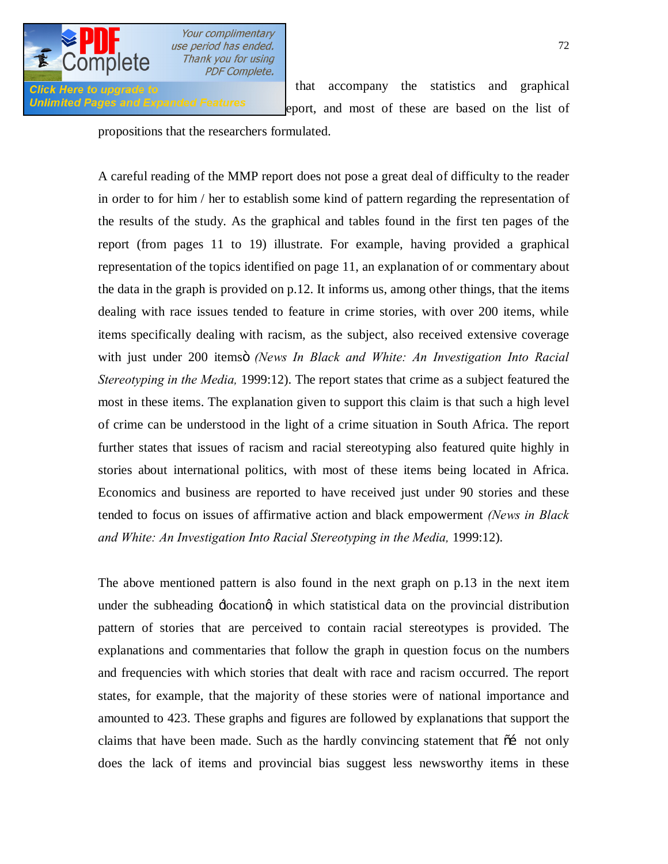

Unlimited Pages and Expanded Features eport, and most of these are based on the list of

**Click Here to upgrade to commentary** that accompany the statistics and graphical

propositions that the researchers formulated.

A careful reading of the MMP report does not pose a great deal of difficulty to the reader in order to for him / her to establish some kind of pattern regarding the representation of the results of the study. As the graphical and tables found in the first ten pages of the report (from pages 11 to 19) illustrate. For example, having provided a graphical representation of the topics identified on page 11, an explanation of or commentary about the data in the graph is provided on p.12. It informs us, among other things, that the items dealing with race issues tended to feature in crime stories, with over 200 items, while items specifically dealing with racism, as the subject, also received extensive coverage with just under 200 itemsö *(News In Black and White: An Investigation Into Racial Stereotyping in the Media,* 1999:12). The report states that crime as a subject featured the most in these items. The explanation given to support this claim is that such a high level of crime can be understood in the light of a crime situation in South Africa. The report further states that issues of racism and racial stereotyping also featured quite highly in stories about international politics, with most of these items being located in Africa. Economics and business are reported to have received just under 90 stories and these tended to focus on issues of affirmative action and black empowerment *(News in Black*  and White: An Investigation Into Racial Stereotyping in the Media, 1999:12).

The above mentioned pattern is also found in the next graph on p.13 in the next item under the subheading  $\exists$ ocationg in which statistical data on the provincial distribution pattern of stories that are perceived to contain racial stereotypes is provided. The explanations and commentaries that follow the graph in question focus on the numbers and frequencies with which stories that dealt with race and racism occurred. The report states, for example, that the majority of these stories were of national importance and amounted to 423. These graphs and figures are followed by explanations that support the claims that have been made. Such as the hardly convincing statement that  $\tilde{\alpha}$  not only does the lack of items and provincial bias suggest less newsworthy items in these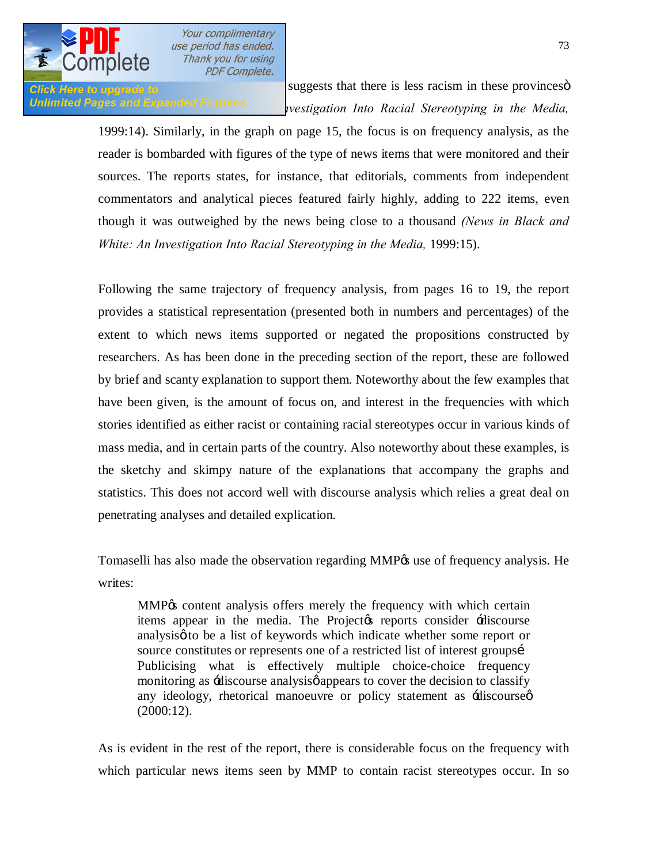

**Click Here to upgrade to** suggests that there is less racism in these provinces in Unlimited Pages and Expanded Features<br> *(vestigation Into Racial Stereotyping in the Media,* 

> 1999:14). Similarly, in the graph on page 15, the focus is on frequency analysis, as the reader is bombarded with figures of the type of news items that were monitored and their sources. The reports states, for instance, that editorials, comments from independent commentators and analytical pieces featured fairly highly, adding to 222 items, even though it was outweighed by the news being close to a thousand *(News in Black and White: An Investigation Into Racial Stereotyping in the Media, 1999:15).*

> Following the same trajectory of frequency analysis, from pages 16 to 19, the report provides a statistical representation (presented both in numbers and percentages) of the extent to which news items supported or negated the propositions constructed by researchers. As has been done in the preceding section of the report, these are followed by brief and scanty explanation to support them. Noteworthy about the few examples that have been given, is the amount of focus on, and interest in the frequencies with which stories identified as either racist or containing racial stereotypes occur in various kinds of mass media, and in certain parts of the country. Also noteworthy about these examples, is the sketchy and skimpy nature of the explanations that accompany the graphs and statistics. This does not accord well with discourse analysis which relies a great deal on penetrating analyses and detailed explication.

> Tomaselli has also made the observation regarding MMP $\alpha$  use of frequency analysis. He writes:

MMP% content analysis offers merely the frequency with which certain items appear in the media. The Project the reports consider  $\pm$ discourse analysis to be a list of keywords which indicate whether some report or source constitutes or represents one of a restricted list of interest groupsi Publicising what is effectively multiple choice-choice frequency monitoring as -discourse analysis pappears to cover the decision to classify any ideology, rhetorical manoeuvre or policy statement as -discourse  $\phi$ (2000:12).

As is evident in the rest of the report, there is considerable focus on the frequency with which particular news items seen by MMP to contain racist stereotypes occur. In so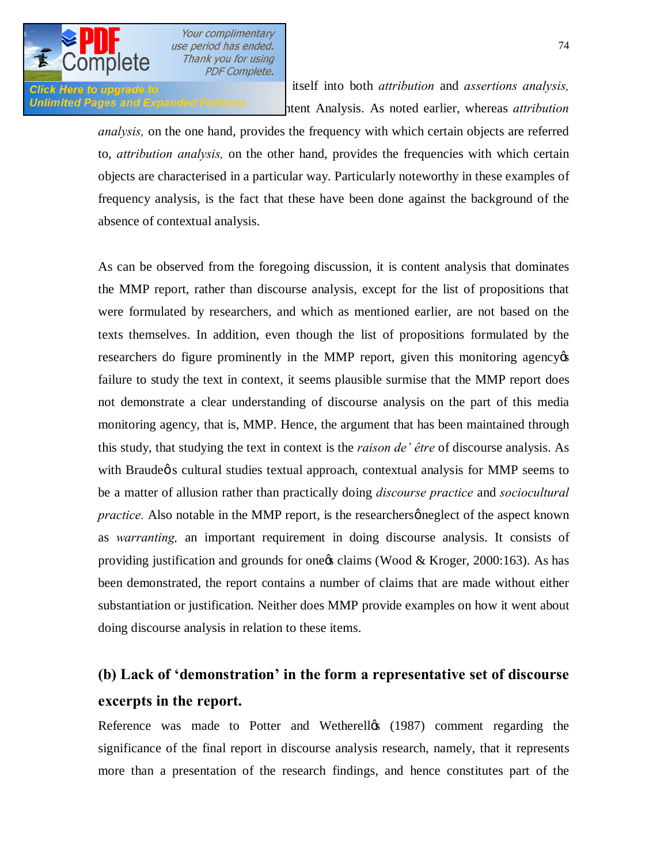

**dollar or**  $\overline{a}$  itself into both *attribution* and *assertions analysis,*  $\overline{b}$ Unlimited Pages and Expanded Features entert Analysis. As noted earlier, whereas *attribution* 

> *analysis,* on the one hand, provides the frequency with which certain objects are referred to, *attribution analysis,* on the other hand, provides the frequencies with which certain objects are characterised in a particular way. Particularly noteworthy in these examples of frequency analysis, is the fact that these have been done against the background of the absence of contextual analysis.

> As can be observed from the foregoing discussion, it is content analysis that dominates the MMP report, rather than discourse analysis, except for the list of propositions that were formulated by researchers, and which as mentioned earlier, are not based on the texts themselves. In addition, even though the list of propositions formulated by the researchers do figure prominently in the MMP report, given this monitoring agency  $\alpha$ failure to study the text in context, it seems plausible surmise that the MMP report does not demonstrate a clear understanding of discourse analysis on the part of this media monitoring agency, that is, MMP. Hence, the argument that has been maintained through this study, that studying the text in context is the *raison de' être* of discourse analysis. As with Braude $\phi$  s cultural studies textual approach, contextual analysis for MMP seems to be a matter of allusion rather than practically doing *discourse practice* and *sociocultural practice.* Also notable in the MMP report, is the researchers gneglect of the aspect known as *warranting,* an important requirement in doing discourse analysis. It consists of providing justification and grounds for one  $\alpha$  claims (Wood & Kroger, 2000:163). As has been demonstrated, the report contains a number of claims that are made without either substantiation or justification. Neither does MMP provide examples on how it went about doing discourse analysis in relation to these items.

# **(b) Lack of 'demonstration' in the form a representative set of discourse excerpts in the report.**

Reference was made to Potter and Wetherelløs (1987) comment regarding the significance of the final report in discourse analysis research, namely, that it represents more than a presentation of the research findings, and hence constitutes part of the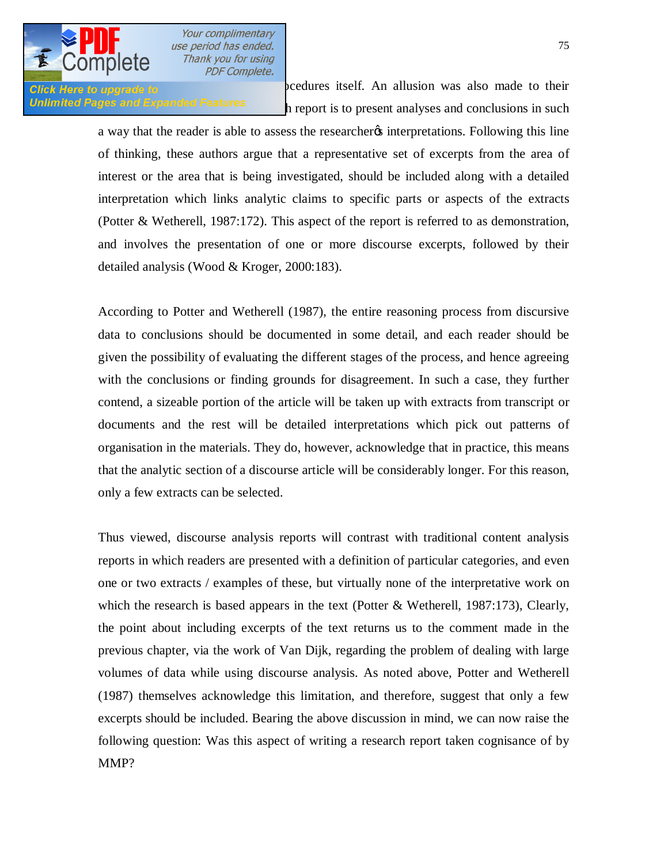

**Click Here to upgrade to**<br>Click Here to upgrade to Unlimited Pages and Expanded Features hereort is to present analyses and conclusions in such

> a way that the reader is able to assess the researcher interpretations. Following this line of thinking, these authors argue that a representative set of excerpts from the area of interest or the area that is being investigated, should be included along with a detailed interpretation which links analytic claims to specific parts or aspects of the extracts (Potter & Wetherell, 1987:172). This aspect of the report is referred to as demonstration, and involves the presentation of one or more discourse excerpts, followed by their detailed analysis (Wood & Kroger, 2000:183).

> According to Potter and Wetherell (1987), the entire reasoning process from discursive data to conclusions should be documented in some detail, and each reader should be given the possibility of evaluating the different stages of the process, and hence agreeing with the conclusions or finding grounds for disagreement. In such a case, they further contend, a sizeable portion of the article will be taken up with extracts from transcript or documents and the rest will be detailed interpretations which pick out patterns of organisation in the materials. They do, however, acknowledge that in practice, this means that the analytic section of a discourse article will be considerably longer. For this reason, only a few extracts can be selected.

> Thus viewed, discourse analysis reports will contrast with traditional content analysis reports in which readers are presented with a definition of particular categories, and even one or two extracts / examples of these, but virtually none of the interpretative work on which the research is based appears in the text (Potter & Wetherell, 1987:173), Clearly, the point about including excerpts of the text returns us to the comment made in the previous chapter, via the work of Van Dijk, regarding the problem of dealing with large volumes of data while using discourse analysis. As noted above, Potter and Wetherell (1987) themselves acknowledge this limitation, and therefore, suggest that only a few excerpts should be included. Bearing the above discussion in mind, we can now raise the following question: Was this aspect of writing a research report taken cognisance of by MMP?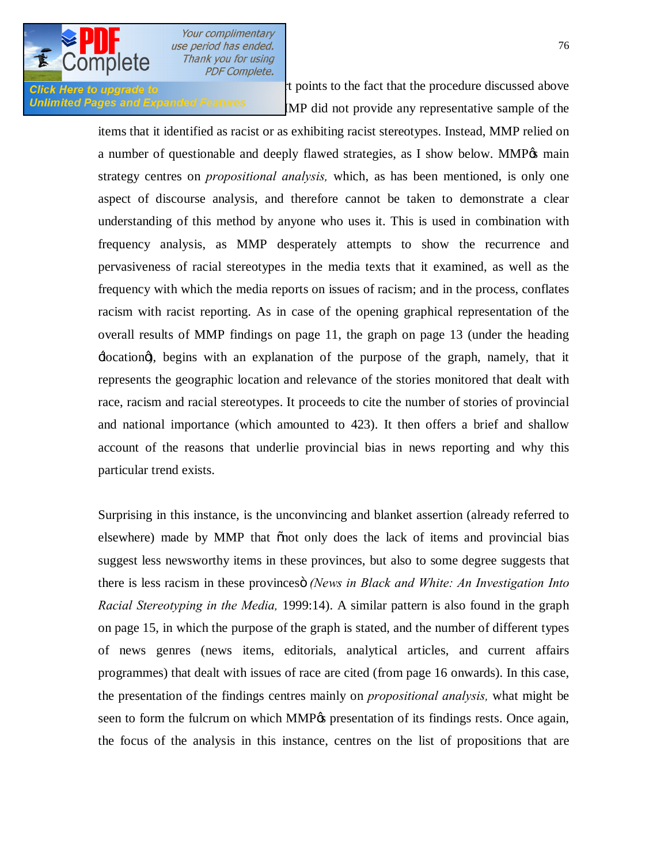

**Click Here to upgrade to a** careful reading to the MMP report points to the fact that the procedure discussed above Unlimited Pages and Expanded Features MP did not provide any representative sample of the

> items that it identified as racist or as exhibiting racist stereotypes. Instead, MMP relied on a number of questionable and deeply flawed strategies, as I show below. MMP% main strategy centres on *propositional analysis,* which, as has been mentioned, is only one aspect of discourse analysis, and therefore cannot be taken to demonstrate a clear understanding of this method by anyone who uses it. This is used in combination with frequency analysis, as MMP desperately attempts to show the recurrence and pervasiveness of racial stereotypes in the media texts that it examined, as well as the frequency with which the media reports on issues of racism; and in the process, conflates racism with racist reporting. As in case of the opening graphical representation of the overall results of MMP findings on page 11, the graph on page 13 (under the heading 'location'), begins with an explanation of the purpose of the graph, namely, that it represents the geographic location and relevance of the stories monitored that dealt with race, racism and racial stereotypes. It proceeds to cite the number of stories of provincial and national importance (which amounted to 423). It then offers a brief and shallow account of the reasons that underlie provincial bias in news reporting and why this particular trend exists.

> Surprising in this instance, is the unconvincing and blanket assertion (already referred to elsewhere) made by MMP that onot only does the lack of items and provincial bias suggest less newsworthy items in these provinces, but also to some degree suggests that there is less racism in these provincesö *(News in Black and White: An Investigation Into Racial Stereotyping in the Media,* 1999:14). A similar pattern is also found in the graph on page 15, in which the purpose of the graph is stated, and the number of different types of news genres (news items, editorials, analytical articles, and current affairs programmes) that dealt with issues of race are cited (from page 16 onwards). In this case, the presentation of the findings centres mainly on *propositional analysis,* what might be seen to form the fulcrum on which MMP<sub>%</sub> presentation of its findings rests. Once again, the focus of the analysis in this instance, centres on the list of propositions that are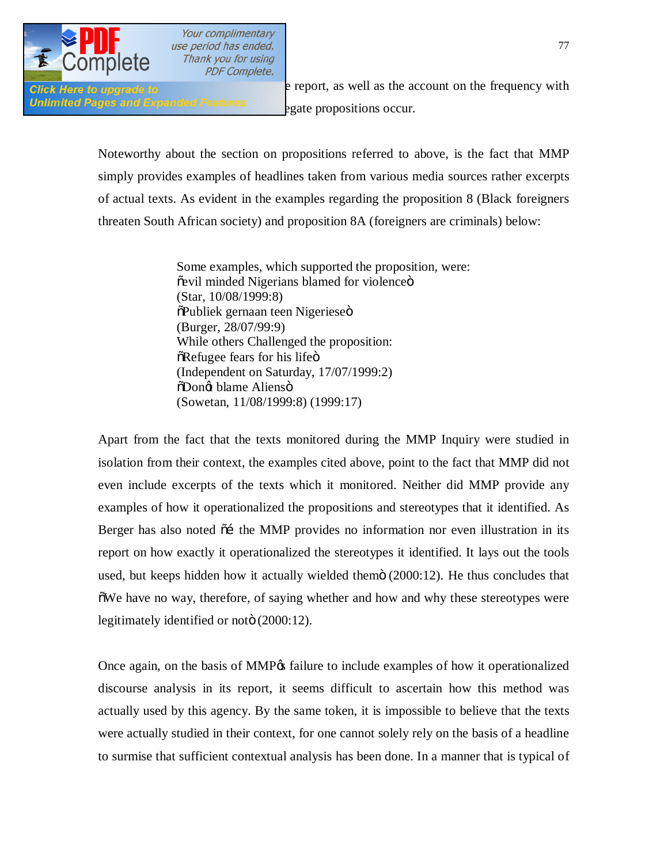

Unlimited Pages and Expanded Features<br>
egate propositions occur.

**Click Here to upgrade to b e** report, as well as the account on the frequency with

Noteworthy about the section on propositions referred to above, is the fact that MMP simply provides examples of headlines taken from various media sources rather excerpts of actual texts. As evident in the examples regarding the proposition 8 (Black foreigners threaten South African society) and proposition 8A (foreigners are criminals) below:

> Some examples, which supported the proposition, were: õevil minded Nigerians blamed for violenceö (Star, 10/08/1999:8)  $\delta$ Publiek gernaan teen Nigerieseö (Burger, 28/07/99:9) While others Challenged the proposition:  $\delta$ Refugee fears for his life $\ddot{\rm o}$ (Independent on Saturday, 17/07/1999:2)  $\delta$ Dongt blame Aliensö (Sowetan, 11/08/1999:8) (1999:17)

Apart from the fact that the texts monitored during the MMP Inquiry were studied in isolation from their context, the examples cited above, point to the fact that MMP did not even include excerpts of the texts which it monitored. Neither did MMP provide any examples of how it operationalized the propositions and stereotypes that it identified. As Berger has also noted  $\tilde{o}$  the MMP provides no information nor even illustration in its report on how exactly it operationalized the stereotypes it identified. It lays out the tools used, but keeps hidden how it actually wielded them $\ddot{o}$  (2000:12). He thus concludes that "We have no way, therefore, of saying whether and how and why these stereotypes were legitimately identified or noto (2000:12).

Once again, on the basis of MMP% failure to include examples of how it operationalized discourse analysis in its report, it seems difficult to ascertain how this method was actually used by this agency. By the same token, it is impossible to believe that the texts were actually studied in their context, for one cannot solely rely on the basis of a headline to surmise that sufficient contextual analysis has been done. In a manner that is typical of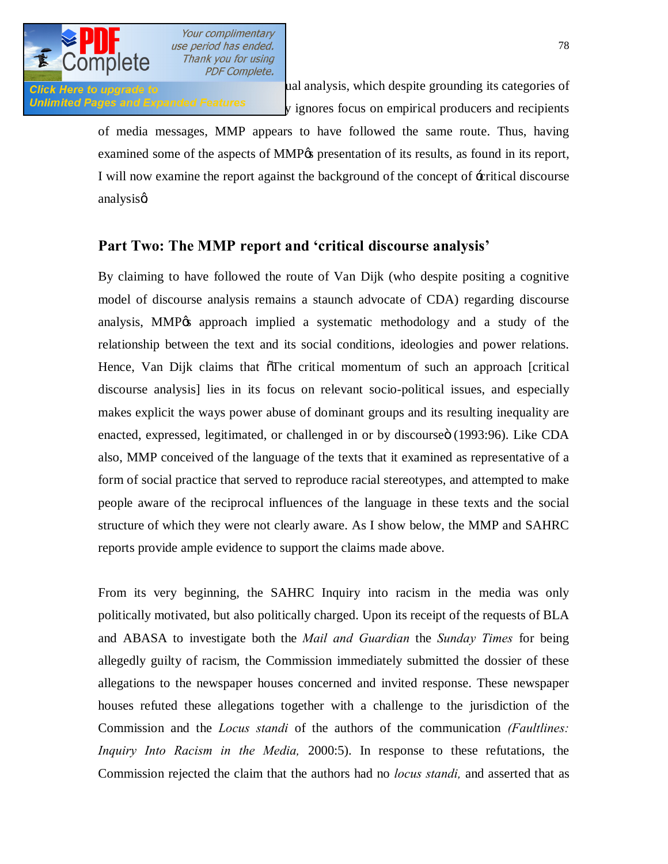

Click Here to upgrade to the cultural studies analysis, which despite grounding its categories of Unlimited Pages and Expanded Features  $\frac{y}{y}$  ignores focus on empirical producers and recipients

> of media messages, MMP appears to have followed the same route. Thus, having examined some of the aspects of MMP<sub>OS</sub> presentation of its results, as found in its report, I will now examine the report against the background of the concept of -eritical discourse analysisø

#### **Part Two: The MMP report and 'critical discourse analysis'**

By claiming to have followed the route of Van Dijk (who despite positing a cognitive model of discourse analysis remains a staunch advocate of CDA) regarding discourse analysis, MMP<sub>O</sub> approach implied a systematic methodology and a study of the relationship between the text and its social conditions, ideologies and power relations. Hence, Van Dijk claims that  $\delta$ The critical momentum of such an approach [critical] discourse analysis] lies in its focus on relevant socio-political issues, and especially makes explicit the ways power abuse of dominant groups and its resulting inequality are enacted, expressed, legitimated, or challenged in or by discourse i (1993:96). Like CDA also, MMP conceived of the language of the texts that it examined as representative of a form of social practice that served to reproduce racial stereotypes, and attempted to make people aware of the reciprocal influences of the language in these texts and the social structure of which they were not clearly aware. As I show below, the MMP and SAHRC reports provide ample evidence to support the claims made above.

From its very beginning, the SAHRC Inquiry into racism in the media was only politically motivated, but also politically charged. Upon its receipt of the requests of BLA and ABASA to investigate both the *Mail and Guardian* the *Sunday Times* for being allegedly guilty of racism, the Commission immediately submitted the dossier of these allegations to the newspaper houses concerned and invited response. These newspaper houses refuted these allegations together with a challenge to the jurisdiction of the Commission and the *Locus standi* of the authors of the communication *(Faultlines: Inquiry Into Racism in the Media,* 2000:5). In response to these refutations, the Commission rejected the claim that the authors had no *locus standi,* and asserted that as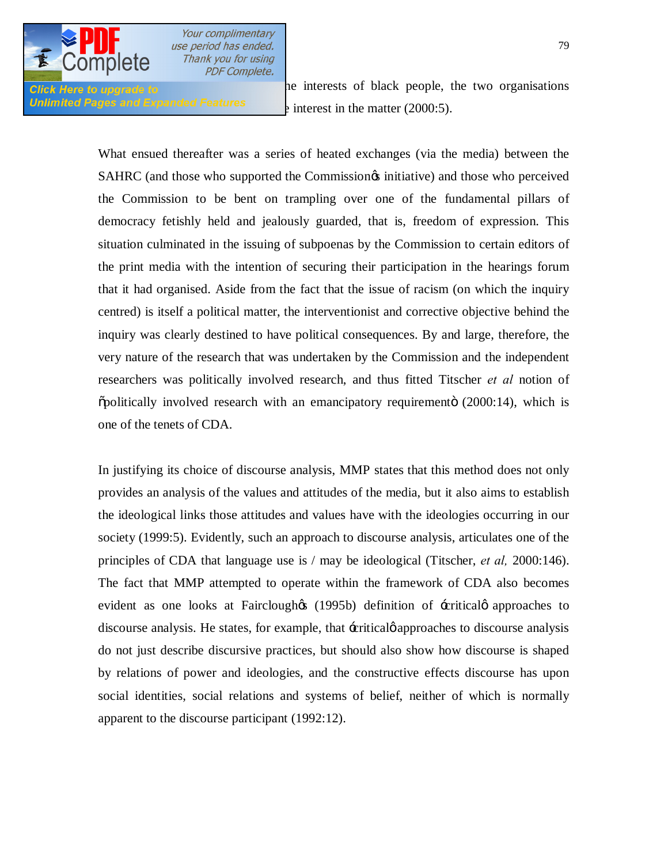

**Click Here to upgrade to** Unlimited Pages and Expanded Features  $\frac{1}{2}$  interest in the matter (2000:5).

> What ensued thereafter was a series of heated exchanges (via the media) between the SAHRC (and those who supported the Commission<sub>of</sub> initiative) and those who perceived the Commission to be bent on trampling over one of the fundamental pillars of democracy fetishly held and jealously guarded, that is, freedom of expression. This situation culminated in the issuing of subpoenas by the Commission to certain editors of the print media with the intention of securing their participation in the hearings forum that it had organised. Aside from the fact that the issue of racism (on which the inquiry centred) is itself a political matter, the interventionist and corrective objective behind the inquiry was clearly destined to have political consequences. By and large, therefore, the very nature of the research that was undertaken by the Commission and the independent researchers was politically involved research, and thus fitted Titscher *et al* notion of  $\delta$ politically involved research with an emancipatory requiremento (2000:14), which is one of the tenets of CDA.

> In justifying its choice of discourse analysis, MMP states that this method does not only provides an analysis of the values and attitudes of the media, but it also aims to establish the ideological links those attitudes and values have with the ideologies occurring in our society (1999:5). Evidently, such an approach to discourse analysis, articulates one of the principles of CDA that language use is / may be ideological (Titscher, *et al,* 2000:146). The fact that MMP attempted to operate within the framework of CDA also becomes evident as one looks at Fairclough  $(1995b)$  definition of  $\pm$ critical  $\phi$  approaches to discourse analysis. He states, for example, that -eritical papproaches to discourse analysis do not just describe discursive practices, but should also show how discourse is shaped by relations of power and ideologies, and the constructive effects discourse has upon social identities, social relations and systems of belief, neither of which is normally apparent to the discourse participant (1992:12).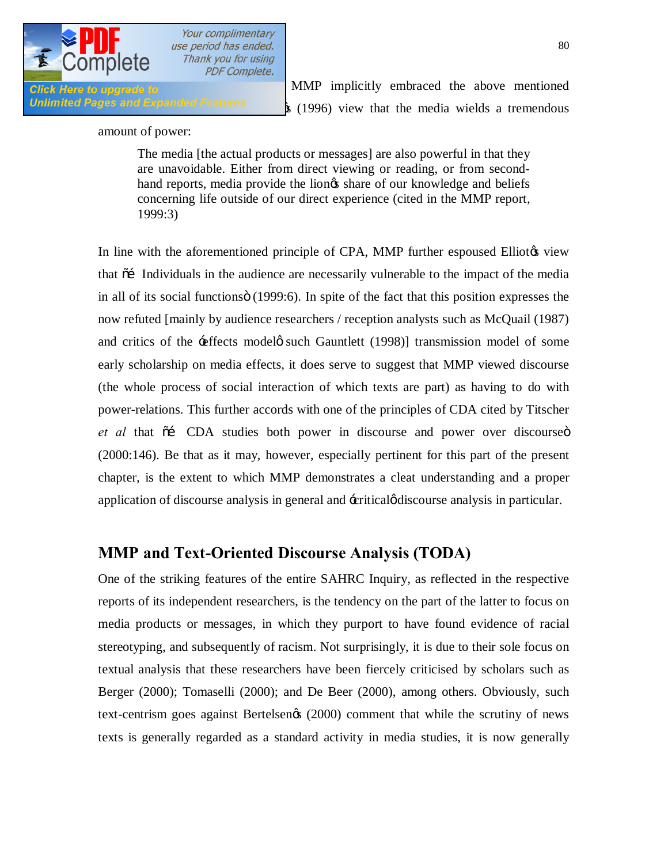

Click Here to upgrade to **International Click** MMP implicitly embraced the above mentioned Unlimited Pages and Expanded Features  $\frac{1}{8}$  (1996) view that the media wields a tremendous

#### amount of power:

The media [the actual products or messages] are also powerful in that they are unavoidable. Either from direct viewing or reading, or from secondhand reports, media provide the liongs share of our knowledge and beliefs concerning life outside of our direct experience (cited in the MMP report, 1999:3)

In line with the aforementioned principle of CPA, MMP further espoused Elliotos view that  $\tilde{a}$  Individuals in the audience are necessarily vulnerable to the impact of the media in all of its social functions (1999:6). In spite of the fact that this position expresses the now refuted [mainly by audience researchers / reception analysts such as McQuail (1987) and critics of the  $\pm$  effects modelø such Gauntlett (1998)] transmission model of some early scholarship on media effects, it does serve to suggest that MMP viewed discourse (the whole process of social interaction of which texts are part) as having to do with power-relations. This further accords with one of the principles of CDA cited by Titscher et al that  $\tilde{p}$  CDA studies both power in discourse and power over discourse  $\tilde{p}$ (2000:146). Be that as it may, however, especially pertinent for this part of the present chapter, is the extent to which MMP demonstrates a cleat understanding and a proper application of discourse analysis in general and  $\pm$ critical *g* discourse analysis in particular.

### **MMP and Text-Oriented Discourse Analysis (TODA)**

One of the striking features of the entire SAHRC Inquiry, as reflected in the respective reports of its independent researchers, is the tendency on the part of the latter to focus on media products or messages, in which they purport to have found evidence of racial stereotyping, and subsequently of racism. Not surprisingly, it is due to their sole focus on textual analysis that these researchers have been fiercely criticised by scholars such as Berger (2000); Tomaselli (2000); and De Beer (2000), among others. Obviously, such text-centrism goes against Bertelsenøs (2000) comment that while the scrutiny of news texts is generally regarded as a standard activity in media studies, it is now generally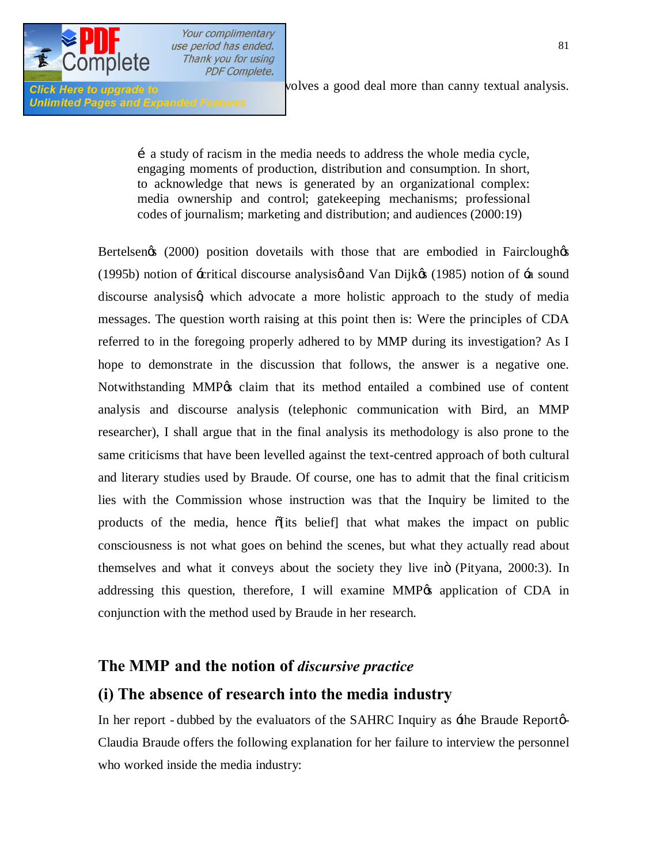

**Unlimited Pages and Expanded Features** 

**Click Here to upgrade to analysis. of news** volves a good deal more than canny textual analysis.

…a study of racism in the media needs to address the whole media cycle, engaging moments of production, distribution and consumption. In short, to acknowledge that news is generated by an organizational complex: media ownership and control; gatekeeping mechanisms; professional codes of journalism; marketing and distribution; and audiences (2000:19)

Bertelsen $\&$  (2000) position dovetails with those that are embodied in Fairclough $\&$ (1995b) notion of -critical discourse analysise and Van Dijke  $(1985)$  notion of -a sound discourse analysisg which advocate a more holistic approach to the study of media messages. The question worth raising at this point then is: Were the principles of CDA referred to in the foregoing properly adhered to by MMP during its investigation? As I hope to demonstrate in the discussion that follows, the answer is a negative one. Notwithstanding MMP% claim that its method entailed a combined use of content analysis and discourse analysis (telephonic communication with Bird, an MMP researcher), I shall argue that in the final analysis its methodology is also prone to the same criticisms that have been levelled against the text-centred approach of both cultural and literary studies used by Braude. Of course, one has to admit that the final criticism lies with the Commission whose instruction was that the Inquiry be limited to the products of the media, hence  $\delta$  its belief that what makes the impact on public consciousness is not what goes on behind the scenes, but what they actually read about themselves and what it conveys about the society they live ino (Pityana, 2000:3). In addressing this question, therefore, I will examine  $MMP$ % application of CDA in conjunction with the method used by Braude in her research.

#### **The MMP and the notion of** *discursive practice*

### **(i) The absence of research into the media industry**

In her report - dubbed by the evaluators of the SAHRC Inquiry as  $\pm$  he Braude Reporto-Claudia Braude offers the following explanation for her failure to interview the personnel who worked inside the media industry: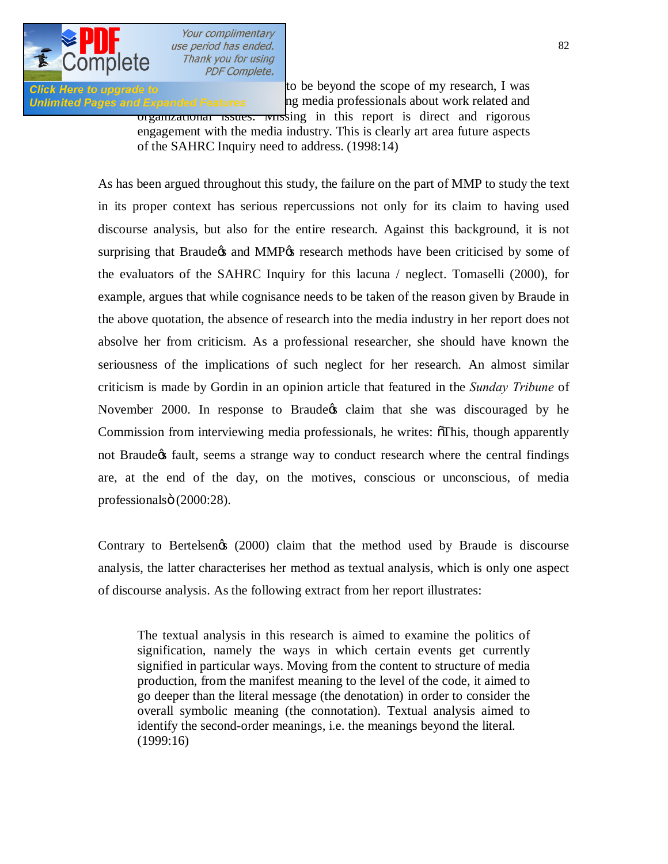

Click Here to upgrade to **EXAMPLE 1999** to be beyond the scope of my research, I was Unlimited Pages and Expanded Features has media professionals about work related and

organizational issues. Missing in this report is direct and rigorous engagement with the media industry. This is clearly art area future aspects of the SAHRC Inquiry need to address. (1998:14)

As has been argued throughout this study, the failure on the part of MMP to study the text in its proper context has serious repercussions not only for its claim to having used discourse analysis, but also for the entire research. Against this background, it is not surprising that Braude & and MMP& research methods have been criticised by some of the evaluators of the SAHRC Inquiry for this lacuna / neglect. Tomaselli (2000), for example, argues that while cognisance needs to be taken of the reason given by Braude in the above quotation, the absence of research into the media industry in her report does not absolve her from criticism. As a professional researcher, she should have known the seriousness of the implications of such neglect for her research. An almost similar criticism is made by Gordin in an opinion article that featured in the *Sunday Tribune* of November 2000. In response to Braude ts claim that she was discouraged by he Commission from interviewing media professionals, he writes:  $\delta$ This, though apparently not Braude ts fault, seems a strange way to conduct research where the central findings are, at the end of the day, on the motives, conscious or unconscious, of media professionalsö (2000:28).

Contrary to Bertelsen $\infty$  (2000) claim that the method used by Braude is discourse analysis, the latter characterises her method as textual analysis, which is only one aspect of discourse analysis. As the following extract from her report illustrates:

The textual analysis in this research is aimed to examine the politics of signification, namely the ways in which certain events get currently signified in particular ways. Moving from the content to structure of media production, from the manifest meaning to the level of the code, it aimed to go deeper than the literal message (the denotation) in order to consider the overall symbolic meaning (the connotation). Textual analysis aimed to identify the second-order meanings, i.e. the meanings beyond the literal. (1999:16)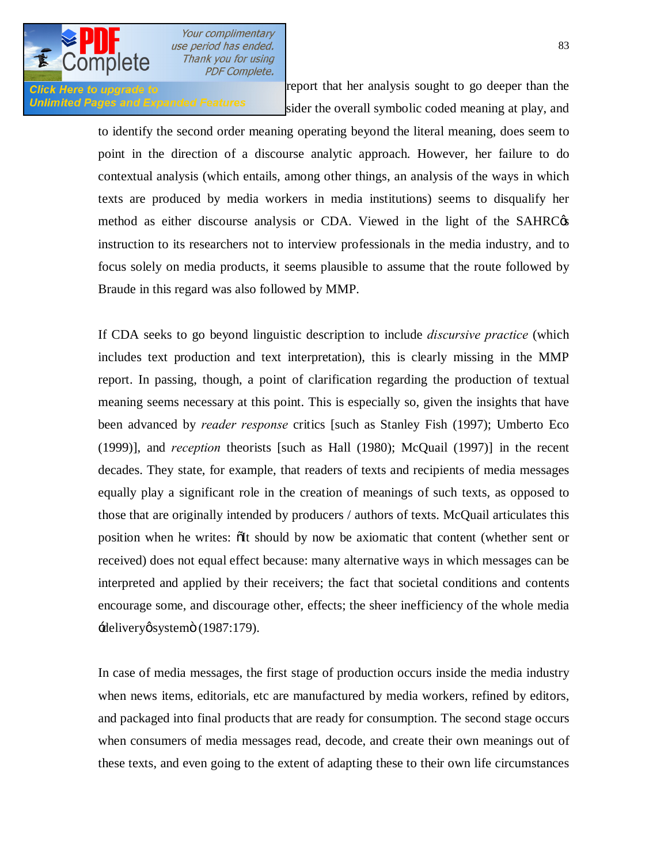

**Click Here to upgrade to in the report that her analysis sought to go deeper than the** Unlimited Pages and Expanded Features sider the overall symbolic coded meaning at play, and

> to identify the second order meaning operating beyond the literal meaning, does seem to point in the direction of a discourse analytic approach. However, her failure to do contextual analysis (which entails, among other things, an analysis of the ways in which texts are produced by media workers in media institutions) seems to disqualify her method as either discourse analysis or CDA. Viewed in the light of the SAHRC $\&$ instruction to its researchers not to interview professionals in the media industry, and to focus solely on media products, it seems plausible to assume that the route followed by Braude in this regard was also followed by MMP.

> If CDA seeks to go beyond linguistic description to include *discursive practice* (which includes text production and text interpretation), this is clearly missing in the MMP report. In passing, though, a point of clarification regarding the production of textual meaning seems necessary at this point. This is especially so, given the insights that have been advanced by *reader response* critics [such as Stanley Fish (1997); Umberto Eco (1999)], and *reception* theorists [such as Hall (1980); McQuail (1997)] in the recent decades. They state, for example, that readers of texts and recipients of media messages equally play a significant role in the creation of meanings of such texts, as opposed to those that are originally intended by producers / authors of texts. McQuail articulates this position when he writes:  $\delta$ It should by now be axiomatic that content (whether sent or received) does not equal effect because: many alternative ways in which messages can be interpreted and applied by their receivers; the fact that societal conditions and contents encourage some, and discourage other, effects; the sheer inefficiency of the whole media  $\div$ deliveryø systemö (1987:179).

> In case of media messages, the first stage of production occurs inside the media industry when news items, editorials, etc are manufactured by media workers, refined by editors, and packaged into final products that are ready for consumption. The second stage occurs when consumers of media messages read, decode, and create their own meanings out of these texts, and even going to the extent of adapting these to their own life circumstances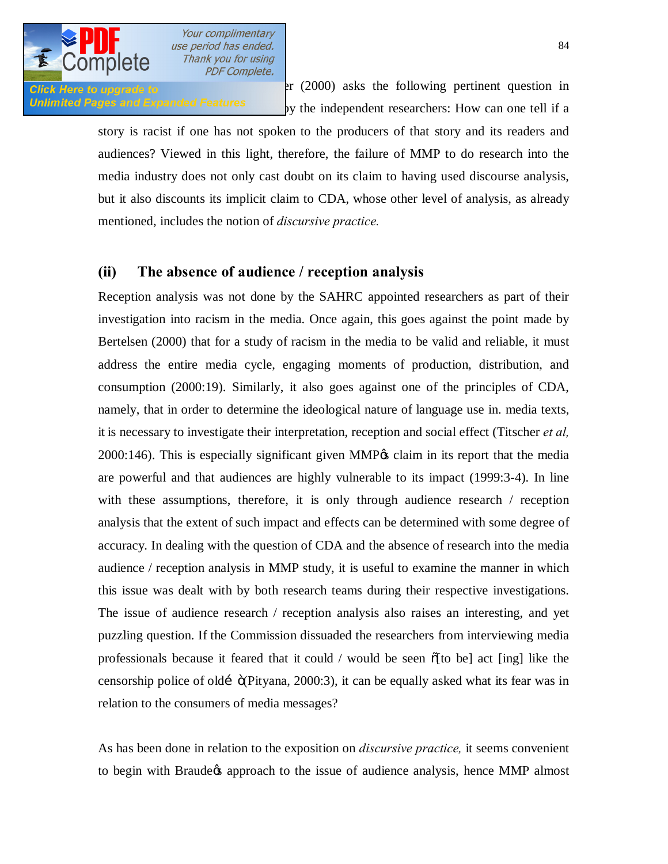

Click Here to upgrade to  $\text{er} (2000)$  asks the following pertinent question in **Unlimited Pages and Expanded Features**  $\frac{dy}{dx}$  by the independent researchers: How can one tell if a

> story is racist if one has not spoken to the producers of that story and its readers and audiences? Viewed in this light, therefore, the failure of MMP to do research into the media industry does not only cast doubt on its claim to having used discourse analysis, but it also discounts its implicit claim to CDA, whose other level of analysis, as already mentioned, includes the notion of *discursive practice.*

#### **(ii) The absence of audience / reception analysis**

Reception analysis was not done by the SAHRC appointed researchers as part of their investigation into racism in the media. Once again, this goes against the point made by Bertelsen (2000) that for a study of racism in the media to be valid and reliable, it must address the entire media cycle, engaging moments of production, distribution, and consumption (2000:19). Similarly, it also goes against one of the principles of CDA, namely, that in order to determine the ideological nature of language use in. media texts, it is necessary to investigate their interpretation, reception and social effect (Titscher *et al,*   $2000:146$ . This is especially significant given MMP $\alpha$  claim in its report that the media are powerful and that audiences are highly vulnerable to its impact (1999:3-4). In line with these assumptions, therefore, it is only through audience research / reception analysis that the extent of such impact and effects can be determined with some degree of accuracy. In dealing with the question of CDA and the absence of research into the media audience / reception analysis in MMP study, it is useful to examine the manner in which this issue was dealt with by both research teams during their respective investigations. The issue of audience research / reception analysis also raises an interesting, and yet puzzling question. If the Commission dissuaded the researchers from interviewing media professionals because it feared that it could  $\ell$  would be seen  $\delta$  [to be] act [ing] like the censorship police of old…"(Pityana, 2000:3), it can be equally asked what its fear was in relation to the consumers of media messages?

As has been done in relation to the exposition on *discursive practice,* it seems convenient to begin with Braude ts approach to the issue of audience analysis, hence MMP almost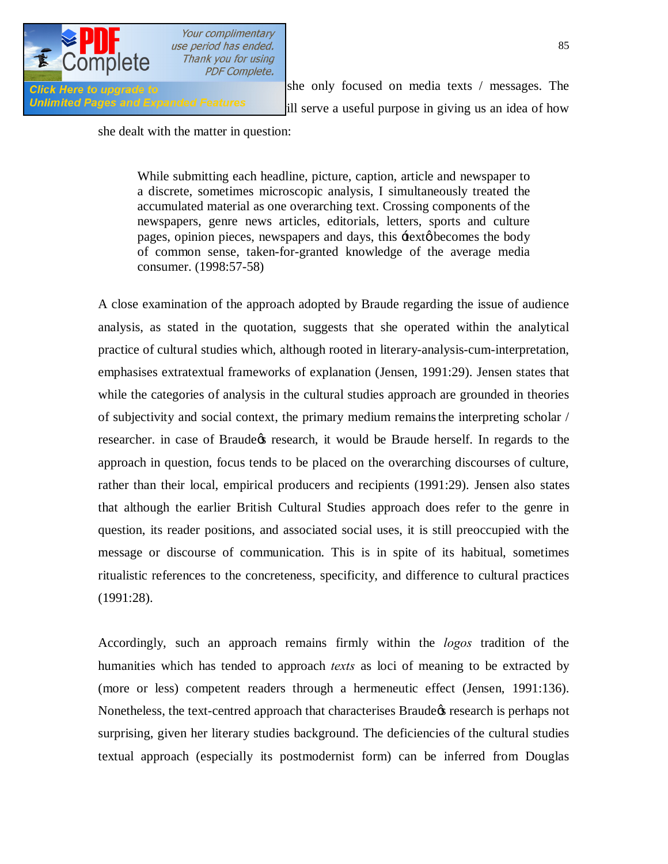

**Click Here to upgrade to here is a sheart sheart of the sheart on media texts** / messages. The Unlimited Pages and Expanded Features ill serve a useful purpose in giving us an idea of how

she dealt with the matter in question:

While submitting each headline, picture, caption, article and newspaper to a discrete, sometimes microscopic analysis, I simultaneously treated the accumulated material as one overarching text. Crossing components of the newspapers, genre news articles, editorials, letters, sports and culture pages, opinion pieces, newspapers and days, this  $\pm$ ext  $\phi$  becomes the body of common sense, taken-for-granted knowledge of the average media consumer. (1998:57-58)

A close examination of the approach adopted by Braude regarding the issue of audience analysis, as stated in the quotation, suggests that she operated within the analytical practice of cultural studies which, although rooted in literary-analysis-cum-interpretation, emphasises extratextual frameworks of explanation (Jensen, 1991:29). Jensen states that while the categories of analysis in the cultural studies approach are grounded in theories of subjectivity and social context, the primary medium remainsthe interpreting scholar / researcher. in case of Braude the research, it would be Braude herself. In regards to the approach in question, focus tends to be placed on the overarching discourses of culture, rather than their local, empirical producers and recipients (1991:29). Jensen also states that although the earlier British Cultural Studies approach does refer to the genre in question, its reader positions, and associated social uses, it is still preoccupied with the message or discourse of communication. This is in spite of its habitual, sometimes ritualistic references to the concreteness, specificity, and difference to cultural practices (1991:28).

Accordingly, such an approach remains firmly within the *logos* tradition of the humanities which has tended to approach *texts* as loci of meaning to be extracted by (more or less) competent readers through a hermeneutic effect (Jensen, 1991:136). Nonetheless, the text-centred approach that characterises Braude  $\alpha$  research is perhaps not surprising, given her literary studies background. The deficiencies of the cultural studies textual approach (especially its postmodernist form) can be inferred from Douglas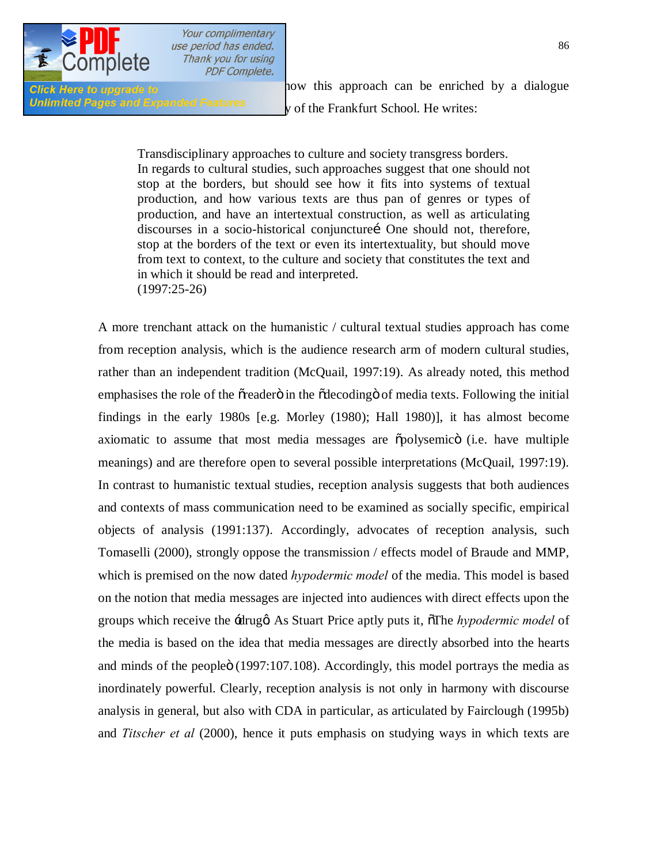

Click Here to upgrade to **1997** suggestions on this approach can be enriched by a dialogue Unlimited Pages and Expanded Features v of the Frankfurt School. He writes:

> Transdisciplinary approaches to culture and society transgress borders. In regards to cultural studies, such approaches suggest that one should not stop at the borders, but should see how it fits into systems of textual production, and how various texts are thus pan of genres or types of production, and have an intertextual construction, as well as articulating discourses in a socio-historical conjuncturei One should not, therefore, stop at the borders of the text or even its intertextuality, but should move from text to context, to the culture and society that constitutes the text and in which it should be read and interpreted. (1997:25-26)

A more trenchant attack on the humanistic / cultural textual studies approach has come from reception analysis, which is the audience research arm of modern cultural studies, rather than an independent tradition (McQuail, 1997:19). As already noted, this method emphasises the role of the oreadero in the odecoding of media texts. Following the initial findings in the early 1980s [e.g. Morley (1980); Hall 1980)], it has almost become axiomatic to assume that most media messages are  $\tilde{\text{opolysemicö}}$  (i.e. have multiple meanings) and are therefore open to several possible interpretations (McQuail, 1997:19). In contrast to humanistic textual studies, reception analysis suggests that both audiences and contexts of mass communication need to be examined as socially specific, empirical objects of analysis (1991:137). Accordingly, advocates of reception analysis, such Tomaselli (2000), strongly oppose the transmission / effects model of Braude and MMP, which is premised on the now dated *hypodermic model* of the media. This model is based on the notion that media messages are injected into audiences with direct effects upon the groups which receive the  $\pm$ drugg As Stuart Price aptly puts it,  $\overline{\sigma}$ The *hypodermic model* of the media is based on the idea that media messages are directly absorbed into the hearts and minds of the people $\ddot{o}$  (1997:107.108). Accordingly, this model portrays the media as inordinately powerful. Clearly, reception analysis is not only in harmony with discourse analysis in general, but also with CDA in particular, as articulated by Fairclough (1995b) and *Titscher et al* (2000), hence it puts emphasis on studying ways in which texts are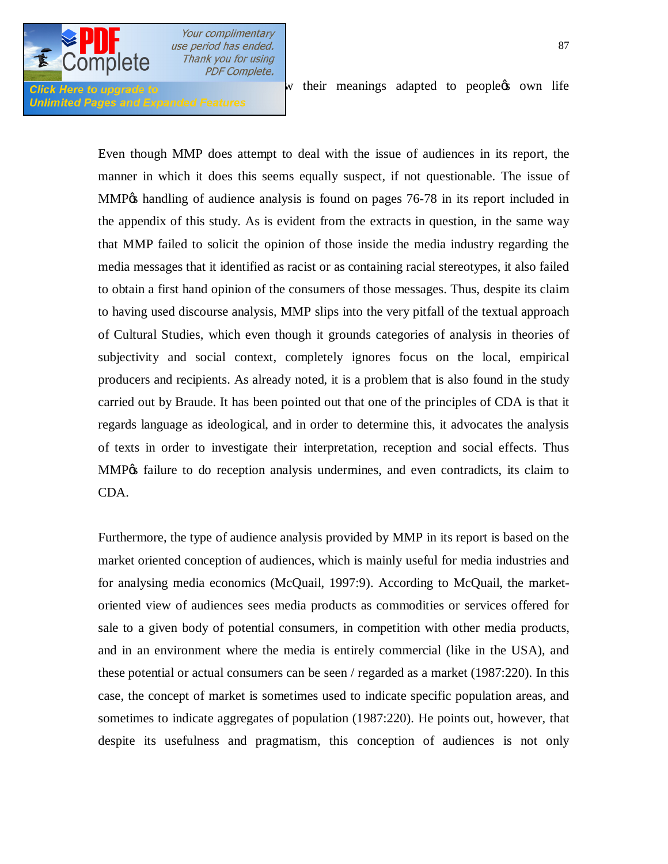

**Unlimited Pages and Expanded Features** 

 $C$ lick Here to upgrade to

Even though MMP does attempt to deal with the issue of audiences in its report, the manner in which it does this seems equally suspect, if not questionable. The issue of MMP% handling of audience analysis is found on pages 76-78 in its report included in the appendix of this study. As is evident from the extracts in question, in the same way that MMP failed to solicit the opinion of those inside the media industry regarding the media messages that it identified as racist or as containing racial stereotypes, it also failed to obtain a first hand opinion of the consumers of those messages. Thus, despite its claim to having used discourse analysis, MMP slips into the very pitfall of the textual approach of Cultural Studies, which even though it grounds categories of analysis in theories of subjectivity and social context, completely ignores focus on the local, empirical producers and recipients. As already noted, it is a problem that is also found in the study carried out by Braude. It has been pointed out that one of the principles of CDA is that it regards language as ideological, and in order to determine this, it advocates the analysis of texts in order to investigate their interpretation, reception and social effects. Thus MMP $\alpha$  failure to do reception analysis undermines, and even contradicts, its claim to CDA.

Furthermore, the type of audience analysis provided by MMP in its report is based on the market oriented conception of audiences, which is mainly useful for media industries and for analysing media economics (McQuail, 1997:9). According to McQuail, the marketoriented view of audiences sees media products as commodities or services offered for sale to a given body of potential consumers, in competition with other media products, and in an environment where the media is entirely commercial (like in the USA), and these potential or actual consumers can be seen / regarded as a market (1987:220). In this case, the concept of market is sometimes used to indicate specific population areas, and sometimes to indicate aggregates of population (1987:220). He points out, however, that despite its usefulness and pragmatism, this conception of audiences is not only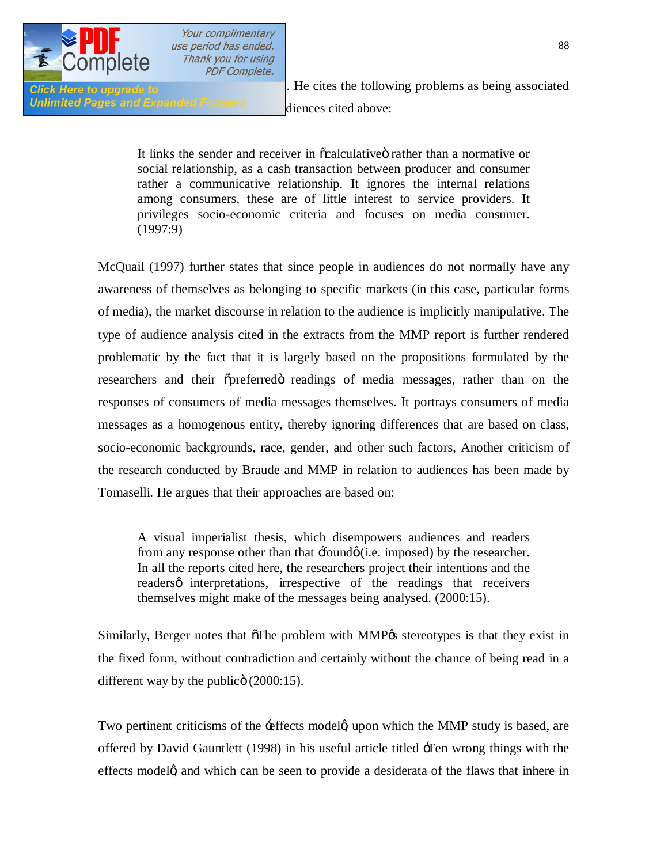

Unlimited Pages and Expanded Features diences cited above:

**Click Here to upgrade to**<br>**Recites the following problems as being associated** 

It links the sender and receiver in  $\ddot{\text{o}}$ calculative rather than a normative or social relationship, as a cash transaction between producer and consumer rather a communicative relationship. It ignores the internal relations among consumers, these are of little interest to service providers. It privileges socio-economic criteria and focuses on media consumer. (1997:9)

McQuail (1997) further states that since people in audiences do not normally have any awareness of themselves as belonging to specific markets (in this case, particular forms of media), the market discourse in relation to the audience is implicitly manipulative. The type of audience analysis cited in the extracts from the MMP report is further rendered problematic by the fact that it is largely based on the propositions formulated by the researchers and their  $\tilde{\text{opreferred}}$  readings of media messages, rather than on the responses of consumers of media messages themselves. It portrays consumers of media messages as a homogenous entity, thereby ignoring differences that are based on class, socio-economic backgrounds, race, gender, and other such factors, Another criticism of the research conducted by Braude and MMP in relation to audiences has been made by Tomaselli. He argues that their approaches are based on:

A visual imperialist thesis, which disempowers audiences and readers from any response other than that  $\pm$ found $\varphi$  (i.e. imposed) by the researcher. In all the reports cited here, the researchers project their intentions and the readersø interpretations, irrespective of the readings that receivers themselves might make of the messages being analysed. (2000:15).

Similarly, Berger notes that  $\delta$ The problem with MMP $\alpha$  stereotypes is that they exist in the fixed form, without contradiction and certainly without the chance of being read in a different way by the public $\ddot{\text{o}}$  (2000:15).

Two pertinent criticisms of the  $\pm$  effects modelg upon which the MMP study is based, are offered by David Gauntlett (1998) in his useful article titled 'Ten wrong things with the effects modelg and which can be seen to provide a desiderata of the flaws that inhere in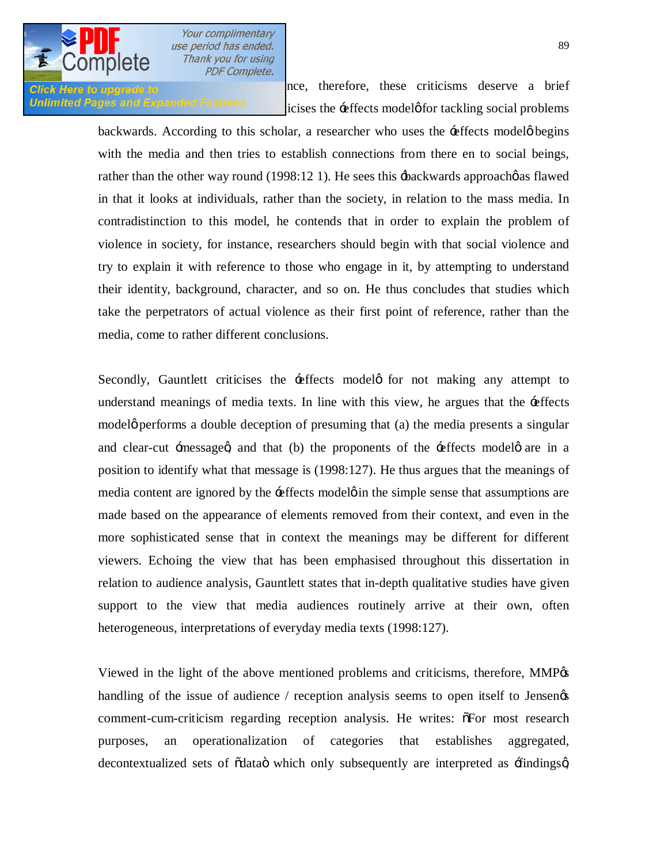

**Click Here to upgrade to therefore**, therefore, these criticisms deserve a brief Unlimited Pages and Expanded Features  $\frac{1}{10}$  icises the  $\div$ effects model of tackling social problems

> backwards. According to this scholar, a researcher who uses the -effects model  $\phi$  begins with the media and then tries to establish connections from there en to social beings, rather than the other way round  $(1998:12 1)$ . He sees this  $\pm$ backwards approach $\phi$  as flawed in that it looks at individuals, rather than the society, in relation to the mass media. In contradistinction to this model, he contends that in order to explain the problem of violence in society, for instance, researchers should begin with that social violence and try to explain it with reference to those who engage in it, by attempting to understand their identity, background, character, and so on. He thus concludes that studies which take the perpetrators of actual violence as their first point of reference, rather than the media, come to rather different conclusions.

> Secondly, Gauntlett criticises the effects models for not making any attempt to understand meanings of media texts. In line with this view, he argues that the  $\pm$ effects modelø performs a double deception of presuming that (a) the media presents a singular and clear-cut  $\pm$  messaged, and that (b) the proponents of the  $\pm$  effects models are in a position to identify what that message is (1998:127). He thus argues that the meanings of media content are ignored by the -effects model on the simple sense that assumptions are made based on the appearance of elements removed from their context, and even in the more sophisticated sense that in context the meanings may be different for different viewers. Echoing the view that has been emphasised throughout this dissertation in relation to audience analysis, Gauntlett states that in-depth qualitative studies have given support to the view that media audiences routinely arrive at their own, often heterogeneous, interpretations of everyday media texts (1998:127).

> Viewed in the light of the above mentioned problems and criticisms, therefore, MMP $\alpha$ handling of the issue of audience  $/$  reception analysis seems to open itself to Jensen $\alpha$ comment-cum-criticism regarding reception analysis. He writes:  $\tilde{\sigma}$ For most research purposes, an operationalization of categories that establishes aggregated, decontextualized sets of  $\ddot{\text{o}}$ data $\ddot{\text{o}}$  which only subsequently are interpreted as  $\ddot{\text{f}}$ indingsq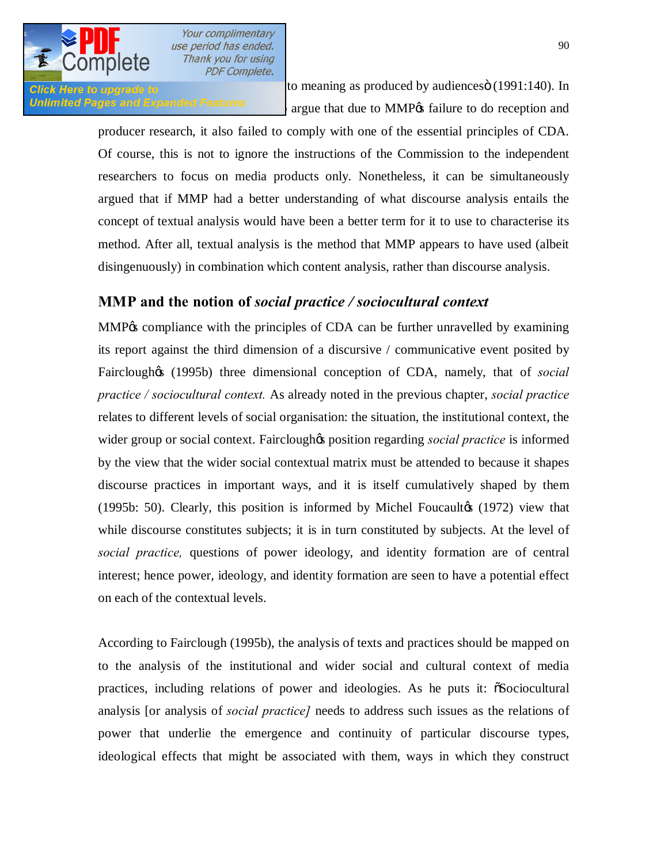

Click Here to upgrade to  $\frac{1}{2}$  to meaning as produced by audiences  $\ddot{o}$  (1991:140). In Unlimited Pages and Expanded Features argue that due to MMP% failure to do reception and

> producer research, it also failed to comply with one of the essential principles of CDA. Of course, this is not to ignore the instructions of the Commission to the independent researchers to focus on media products only. Nonetheless, it can be simultaneously argued that if MMP had a better understanding of what discourse analysis entails the concept of textual analysis would have been a better term for it to use to characterise its method. After all, textual analysis is the method that MMP appears to have used (albeit disingenuously) in combination which content analysis, rather than discourse analysis.

### **MMP and the notion of** *social practice / sociocultural context*

MMP% compliance with the principles of CDA can be further unravelled by examining its report against the third dimension of a discursive / communicative event posited by Fairclough<sub><sup>(8)</sup></sub> (1995b) three dimensional conception of CDA, namely, that of *social practice / sociocultural context.* As already noted in the previous chapter, *social practice* relates to different levels of social organisation: the situation, the institutional context, the wider group or social context. Fairclough to position regarding *social practice* is informed by the view that the wider social contextual matrix must be attended to because it shapes discourse practices in important ways, and it is itself cumulatively shaped by them  $(1995b: 50)$ . Clearly, this position is informed by Michel Foucaulto  $(1972)$  view that while discourse constitutes subjects; it is in turn constituted by subjects. At the level of *social practice,* questions of power ideology, and identity formation are of central interest; hence power, ideology, and identity formation are seen to have a potential effect on each of the contextual levels.

According to Fairclough (1995b), the analysis of texts and practices should be mapped on to the analysis of the institutional and wider social and cultural context of media practices, including relations of power and ideologies. As he puts it: "Sociocultural analysis [or analysis of *social practice]* needs to address such issues as the relations of power that underlie the emergence and continuity of particular discourse types, ideological effects that might be associated with them, ways in which they construct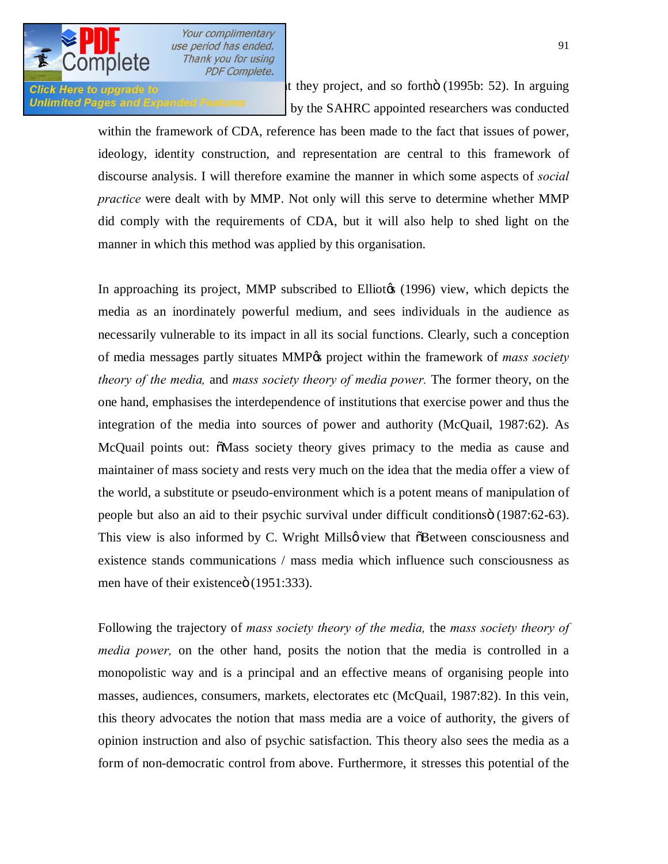

**Click Here to upgrade to** they project, and so fortho (1995b: 52). In arguing Unlimited Pages and Expanded Features by the SAHRC appointed researchers was conducted

> within the framework of CDA, reference has been made to the fact that issues of power, ideology, identity construction, and representation are central to this framework of discourse analysis. I will therefore examine the manner in which some aspects of *social practice* were dealt with by MMP. Not only will this serve to determine whether MMP did comply with the requirements of CDA, but it will also help to shed light on the manner in which this method was applied by this organisation.

> In approaching its project, MMP subscribed to Elliotos (1996) view, which depicts the media as an inordinately powerful medium, and sees individuals in the audience as necessarily vulnerable to its impact in all its social functions. Clearly, such a conception of media messages partly situates MMP<sub>%</sub> project within the framework of *mass society theory of the media,* and *mass society theory of media power.* The former theory, on the one hand, emphasises the interdependence of institutions that exercise power and thus the integration of the media into sources of power and authority (McQuail, 1987:62). As McQuail points out:  $\delta$ Mass society theory gives primacy to the media as cause and maintainer of mass society and rests very much on the idea that the media offer a view of the world, a substitute or pseudo-environment which is a potent means of manipulation of people but also an aid to their psychic survival under difficult conditions o (1987:62-63). This view is also informed by C. Wright Millsø view that  $\delta$ Between consciousness and existence stands communications / mass media which influence such consciousness as men have of their existence (1951:333).

> Following the trajectory of *mass society theory of the media,* the *mass society theory of media power,* on the other hand, posits the notion that the media is controlled in a monopolistic way and is a principal and an effective means of organising people into masses, audiences, consumers, markets, electorates etc (McQuail, 1987:82). In this vein, this theory advocates the notion that mass media are a voice of authority, the givers of opinion instruction and also of psychic satisfaction. This theory also sees the media as a form of non-democratic control from above. Furthermore, it stresses this potential of the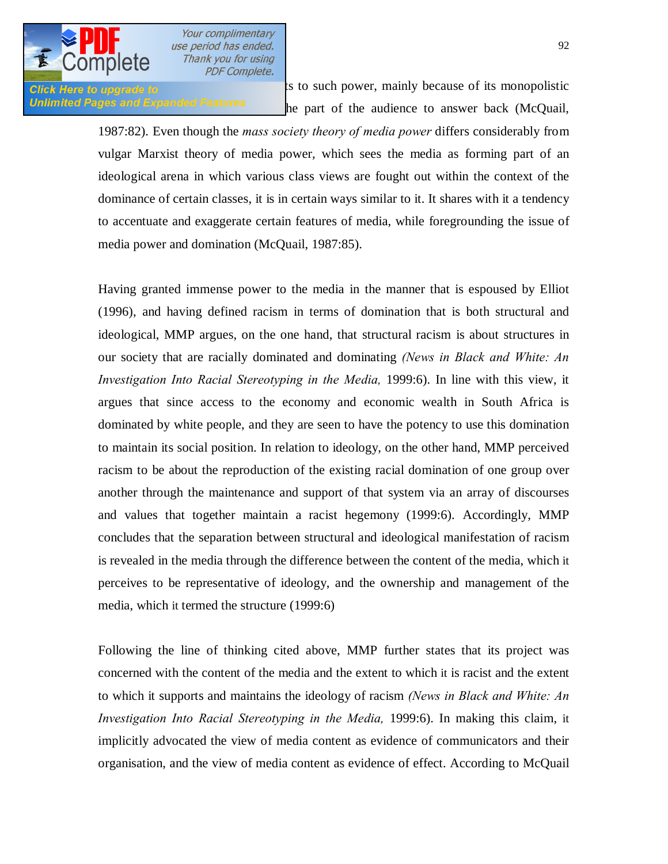

**Click Here to upgrade to the limits to such power, mainly because of its monopolistic** Unlimited Pages and Expanded Features he part of the audience to answer back (McQuail,

> 1987:82). Even though the *mass society theory of media power* differs considerably from vulgar Marxist theory of media power, which sees the media as forming part of an ideological arena in which various class views are fought out within the context of the dominance of certain classes, it is in certain ways similar to it. It shares with it a tendency to accentuate and exaggerate certain features of media, while foregrounding the issue of media power and domination (McQuail, 1987:85).

> Having granted immense power to the media in the manner that is espoused by Elliot (1996), and having defined racism in terms of domination that is both structural and ideological, MMP argues, on the one hand, that structural racism is about structures in our society that are racially dominated and dominating *(News in Black and White: An Investigation Into Racial Stereotyping in the Media, 1999:6).* In line with this view, it argues that since access to the economy and economic wealth in South Africa is dominated by white people, and they are seen to have the potency to use this domination to maintain its social position. In relation to ideology, on the other hand, MMP perceived racism to be about the reproduction of the existing racial domination of one group over another through the maintenance and support of that system via an array of discourses and values that together maintain a racist hegemony (1999:6). Accordingly, MMP concludes that the separation between structural and ideological manifestation of racism is revealed in the media through the difference between the content of the media, which it perceives to be representative of ideology, and the ownership and management of the media, which it termed the structure (1999:6)

> Following the line of thinking cited above, MMP further states that its project was concerned with the content of the media and the extent to which it is racist and the extent to which it supports and maintains the ideology of racism *(News in Black and White: An Investigation Into Racial Stereotyping in the Media,* 1999:6). In making this claim, it implicitly advocated the view of media content as evidence of communicators and their organisation, and the view of media content as evidence of effect. According to McQuail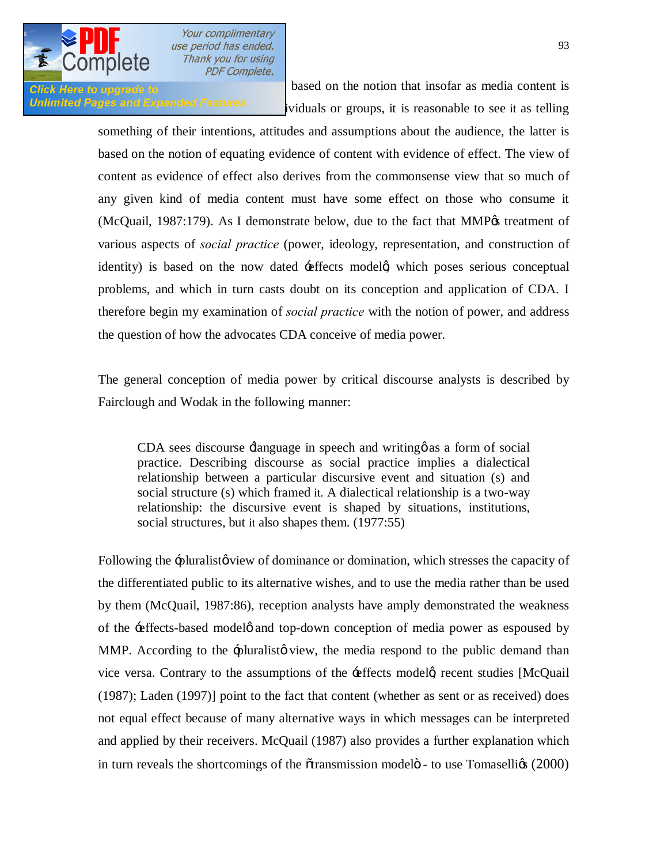

Click Here to upgrade to **1987** based on the notion that insofar as media content is Unlimited Pages and Expanded Features ividuals or groups, it is reasonable to see it as telling

> something of their intentions, attitudes and assumptions about the audience, the latter is based on the notion of equating evidence of content with evidence of effect. The view of content as evidence of effect also derives from the commonsense view that so much of any given kind of media content must have some effect on those who consume it  $(McQuail, 1987:179)$ . As I demonstrate below, due to the fact that MMP $\alpha$  treatment of various aspects of *social practice* (power, ideology, representation, and construction of identity) is based on the now dated  $\pm$  effects modelg which poses serious conceptual problems, and which in turn casts doubt on its conception and application of CDA. I therefore begin my examination of *social practice* with the notion of power, and address the question of how the advocates CDA conceive of media power.

> The general conception of media power by critical discourse analysts is described by Fairclough and Wodak in the following manner:

CDA sees discourse  $\pm$ language in speech and writing as a form of social practice. Describing discourse as social practice implies a dialectical relationship between a particular discursive event and situation (s) and social structure (s) which framed it. A dialectical relationship is a two-way relationship: the discursive event is shaped by situations, institutions, social structures, but it also shapes them. (1977:55)

Following the -pluralisto view of dominance or domination, which stresses the capacity of the differentiated public to its alternative wishes, and to use the media rather than be used by them (McQuail, 1987:86), reception analysts have amply demonstrated the weakness of the -effects-based model of and top-down conception of media power as espoused by MMP. According to the -pluralisty view, the media respond to the public demand than vice versa. Contrary to the assumptions of the  $\pm$  effects model  $\alpha$  recent studies [McQuail] (1987); Laden (1997)] point to the fact that content (whether as sent or as received) does not equal effect because of many alternative ways in which messages can be interpreted and applied by their receivers. McQuail (1987) also provides a further explanation which in turn reveals the shortcomings of the  $\tilde{\alpha}$ transmission model $\ddot{\sigma}$  - to use Tomaselligs (2000)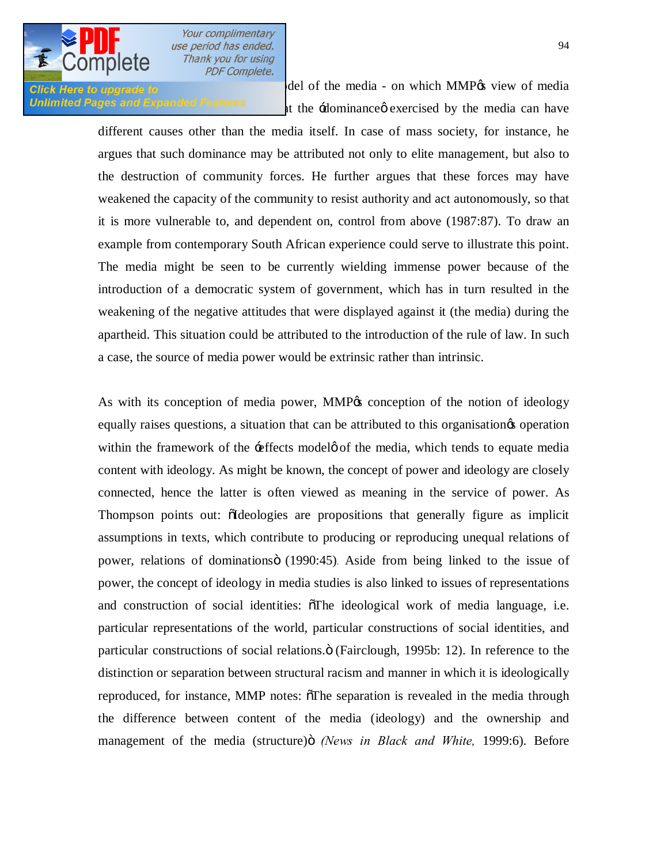

**Click Here to upgrade to**  $\blacksquare$  del of the media - on which MMP $\alpha$  view of media Unlimited Pages and Expanded Features  $\frac{1}{1}$  the  $\frac{1}{2}$ dominance exercised by the media can have

> different causes other than the media itself. In case of mass society, for instance, he argues that such dominance may be attributed not only to elite management, but also to the destruction of community forces. He further argues that these forces may have weakened the capacity of the community to resist authority and act autonomously, so that it is more vulnerable to, and dependent on, control from above (1987:87). To draw an example from contemporary South African experience could serve to illustrate this point. The media might be seen to be currently wielding immense power because of the introduction of a democratic system of government, which has in turn resulted in the weakening of the negative attitudes that were displayed against it (the media) during the apartheid. This situation could be attributed to the introduction of the rule of law. In such a case, the source of media power would be extrinsic rather than intrinsic.

> As with its conception of media power, MMP<sub>%</sub> conception of the notion of ideology equally raises questions, a situation that can be attributed to this organisation operation within the framework of the  $\div$  effects model  $\phi$  of the media, which tends to equate media content with ideology. As might be known, the concept of power and ideology are closely connected, hence the latter is often viewed as meaning in the service of power. As Thompson points out: oIdeologies are propositions that generally figure as implicit assumptions in texts, which contribute to producing or reproducing unequal relations of power, relations of dominations (1990:45). Aside from being linked to the issue of power, the concept of ideology in media studies is also linked to issues of representations and construction of social identities:  $\delta$ The ideological work of media language, i.e. particular representations of the world, particular constructions of social identities, and particular constructions of social relations. $\ddot{o}$  (Fairclough, 1995b: 12). In reference to the distinction or separation between structural racism and manner in which it is ideologically reproduced, for instance, MMP notes:  $\delta$ The separation is revealed in the media through the difference between content of the media (ideology) and the ownership and management of the media (structure) *i (News in Black and White, 1999:6)*. Before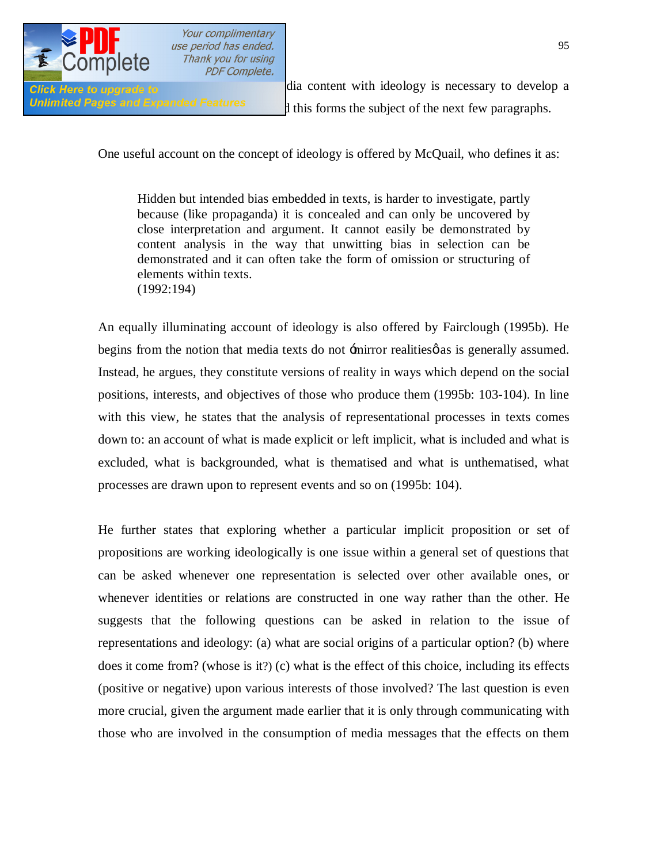

Glick Here to upgrade to  $\frac{d}{dx}$  and  $\frac{d}{dx}$  content with ideology is necessary to develop a Unlimited Pages and Expanded Features 1 this forms the subject of the next few paragraphs.

One useful account on the concept of ideology is offered by McQuail, who defines it as:

Hidden but intended bias embedded in texts, is harder to investigate, partly because (like propaganda) it is concealed and can only be uncovered by close interpretation and argument. It cannot easily be demonstrated by content analysis in the way that unwitting bias in selection can be demonstrated and it can often take the form of omission or structuring of elements within texts. (1992:194)

An equally illuminating account of ideology is also offered by Fairclough (1995b). He begins from the notion that media texts do not  $\pm$ mirror realities  $\phi$  as is generally assumed. Instead, he argues, they constitute versions of reality in ways which depend on the social positions, interests, and objectives of those who produce them (1995b: 103-104). In line with this view, he states that the analysis of representational processes in texts comes down to: an account of what is made explicit or left implicit, what is included and what is excluded, what is backgrounded, what is thematised and what is unthematised, what processes are drawn upon to represent events and so on (1995b: 104).

He further states that exploring whether a particular implicit proposition or set of propositions are working ideologically is one issue within a general set of questions that can be asked whenever one representation is selected over other available ones, or whenever identities or relations are constructed in one way rather than the other. He suggests that the following questions can be asked in relation to the issue of representations and ideology: (a) what are social origins of a particular option? (b) where does it come from? (whose is it?) (c) what is the effect of this choice, including its effects (positive or negative) upon various interests of those involved? The last question is even more crucial, given the argument made earlier that it is only through communicating with those who are involved in the consumption of media messages that the effects on them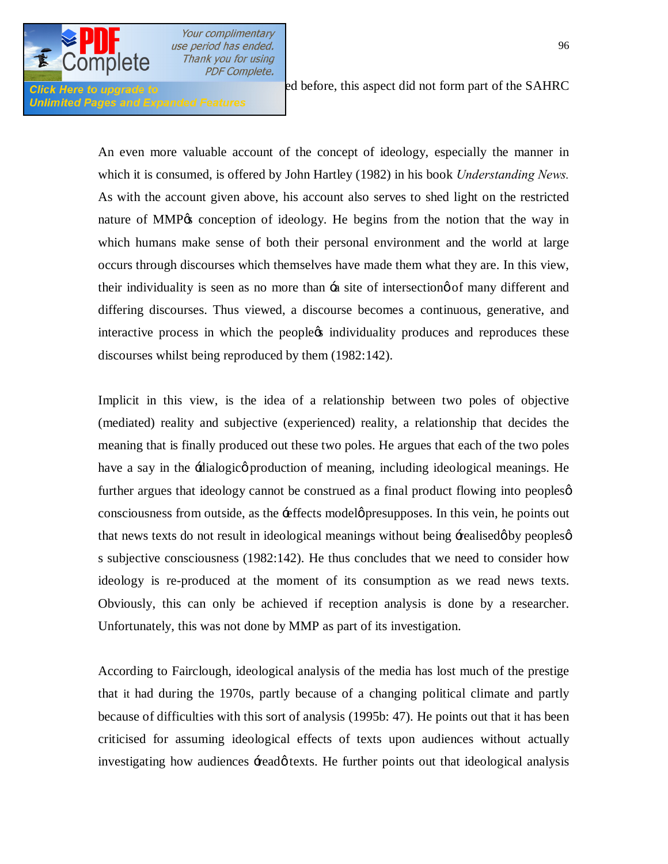

**Unlimited Pages and Expanded Features** 

**Click Here to upgrade to before**, this aspect did not form part of the SAHRC

An even more valuable account of the concept of ideology, especially the manner in which it is consumed, is offered by John Hartley (1982) in his book *Understanding News.*  As with the account given above, his account also serves to shed light on the restricted nature of MMP% conception of ideology. He begins from the notion that the way in which humans make sense of both their personal environment and the world at large occurs through discourses which themselves have made them what they are. In this view, their individuality is seen as no more than  $\div$  as ite of intersection  $\phi$  of many different and differing discourses. Thus viewed, a discourse becomes a continuous, generative, and interactive process in which the people ts individuality produces and reproduces these discourses whilst being reproduced by them (1982:142).

Implicit in this view, is the idea of a relationship between two poles of objective (mediated) reality and subjective (experienced) reality, a relationship that decides the meaning that is finally produced out these two poles. He argues that each of the two poles have a say in the -dialogico production of meaning, including ideological meanings. He further argues that ideology cannot be construed as a final product flowing into peoplesø consciousness from outside, as the -effects model presupposes. In this vein, he points out that news texts do not result in ideological meanings without being  $\pm$ ealised $\phi$  by peoples $\phi$ s subjective consciousness (1982:142). He thus concludes that we need to consider how ideology is re-produced at the moment of its consumption as we read news texts. Obviously, this can only be achieved if reception analysis is done by a researcher. Unfortunately, this was not done by MMP as part of its investigation.

According to Fairclough, ideological analysis of the media has lost much of the prestige that it had during the 1970s, partly because of a changing political climate and partly because of difficulties with this sort of analysis (1995b: 47). He points out that it has been criticised for assuming ideological effects of texts upon audiences without actually investigating how audiences +read texts. He further points out that ideological analysis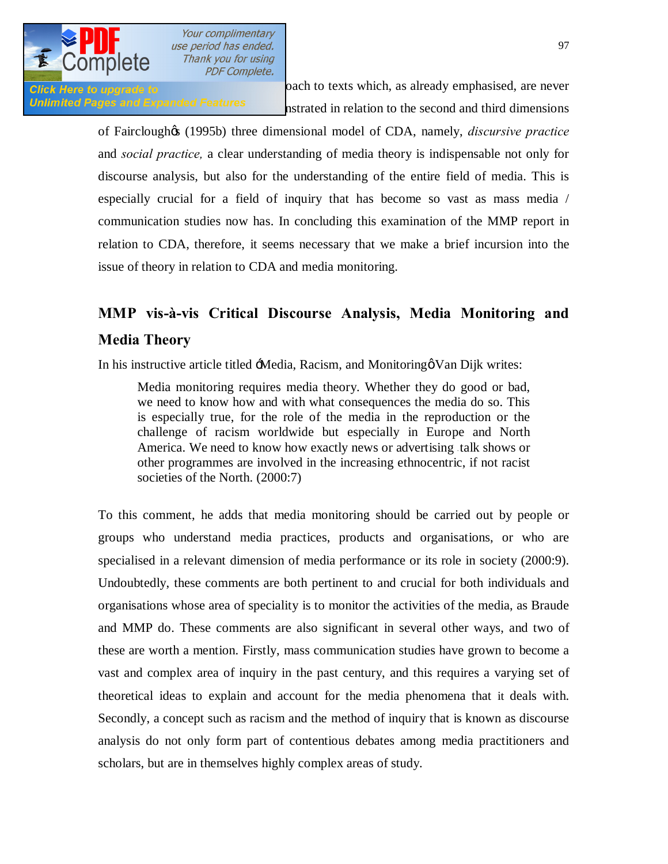

Click Here to upgrade to **be reduced to be reduced to be reduced** by oach to texts which, as already emphasised, are never Unlimited Pages and Expanded Features<br>nstrated in relation to the second and third dimensions

> of Fairclough's (1995b) three dimensional model of CDA, namely, *discursive practice*  and *social practice,* a clear understanding of media theory is indispensable not only for discourse analysis, but also for the understanding of the entire field of media. This is especially crucial for a field of inquiry that has become so vast as mass media / communication studies now has. In concluding this examination of the MMP report in relation to CDA, therefore, it seems necessary that we make a brief incursion into the issue of theory in relation to CDA and media monitoring.

# **MMP vis-à-vis Critical Discourse Analysis, Media Monitoring and Media Theory**

In his instructive article titled  $\pm$ Media, Racism, and Monitoring  $\alpha$  Van Dijk writes:

Media monitoring requires media theory. Whether they do good or bad, we need to know how and with what consequences the media do so. This is especially true, for the role of the media in the reproduction or the challenge of racism worldwide but especially in Europe and North America. We need to know how exactly news or advertising talk shows or other programmes are involved in the increasing ethnocentric, if not racist societies of the North. (2000:7)

To this comment, he adds that media monitoring should be carried out by people or groups who understand media practices, products and organisations, or who are specialised in a relevant dimension of media performance or its role in society (2000:9). Undoubtedly, these comments are both pertinent to and crucial for both individuals and organisations whose area of speciality is to monitor the activities of the media, as Braude and MMP do. These comments are also significant in several other ways, and two of these are worth a mention. Firstly, mass communication studies have grown to become a vast and complex area of inquiry in the past century, and this requires a varying set of theoretical ideas to explain and account for the media phenomena that it deals with. Secondly, a concept such as racism and the method of inquiry that is known as discourse analysis do not only form part of contentious debates among media practitioners and scholars, but are in themselves highly complex areas of study.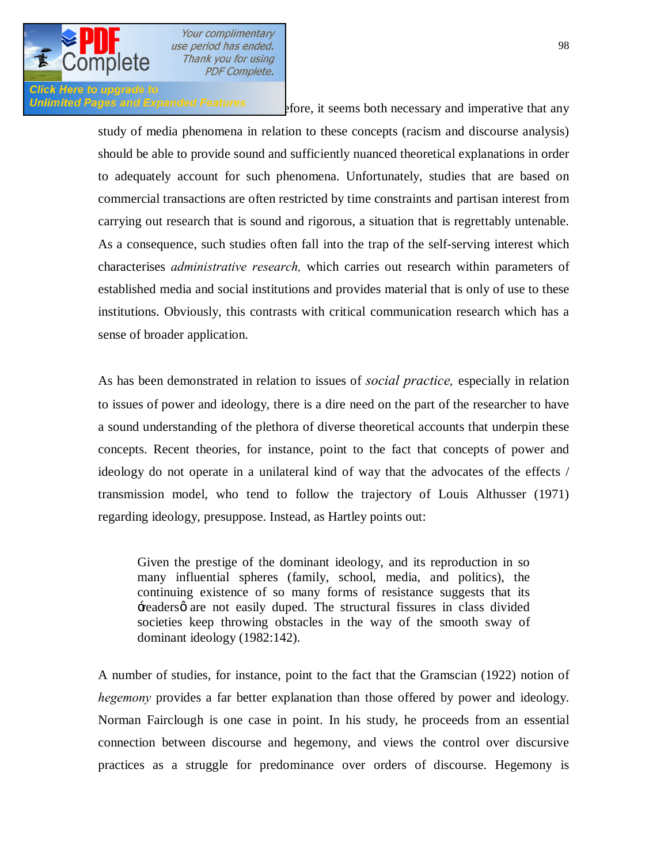

#### **Click Here to upgrade to** Unlimited Pages and Expanded Features store, it seems both necessary and imperative that any

study of media phenomena in relation to these concepts (racism and discourse analysis) should be able to provide sound and sufficiently nuanced theoretical explanations in order to adequately account for such phenomena. Unfortunately, studies that are based on commercial transactions are often restricted by time constraints and partisan interest from carrying out research that is sound and rigorous, a situation that is regrettably untenable. As a consequence, such studies often fall into the trap of the self-serving interest which characterises *administrative research,* which carries out research within parameters of established media and social institutions and provides material that is only of use to these institutions. Obviously, this contrasts with critical communication research which has a sense of broader application.

As has been demonstrated in relation to issues of *social practice,* especially in relation to issues of power and ideology, there is a dire need on the part of the researcher to have a sound understanding of the plethora of diverse theoretical accounts that underpin these concepts. Recent theories, for instance, point to the fact that concepts of power and ideology do not operate in a unilateral kind of way that the advocates of the effects / transmission model, who tend to follow the trajectory of Louis Althusser (1971) regarding ideology, presuppose. Instead, as Hartley points out:

Given the prestige of the dominant ideology, and its reproduction in so many influential spheres (family, school, media, and politics), the continuing existence of so many forms of resistance suggests that its +readersø are not easily duped. The structural fissures in class divided societies keep throwing obstacles in the way of the smooth sway of dominant ideology (1982:142).

A number of studies, for instance, point to the fact that the Gramscian (1922) notion of *hegemony* provides a far better explanation than those offered by power and ideology. Norman Fairclough is one case in point. In his study, he proceeds from an essential connection between discourse and hegemony, and views the control over discursive practices as a struggle for predominance over orders of discourse. Hegemony is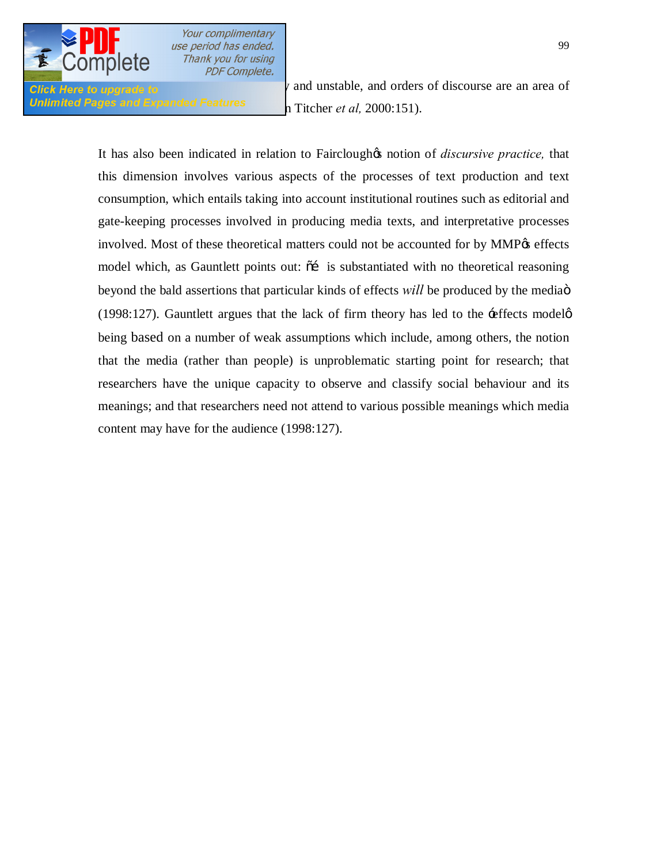

**Unlimited Pages and Expanded Features n** Titcher *et al*, 2000:151).

Click Here to upgrade to  $\ell$  and unstable, and orders of discourse are an area of

It has also been indicated in relation to Fairclough to notion of *discursive practice*, that this dimension involves various aspects of the processes of text production and text consumption, which entails taking into account institutional routines such as editorial and gate-keeping processes involved in producing media texts, and interpretative processes involved. Most of these theoretical matters could not be accounted for by MMP $\alpha$  effects model which, as Gauntlett points out:  $\tilde{o}$  is substantiated with no theoretical reasoning beyond the bald assertions that particular kinds of effects *will* be produced by the media<sub>0</sub> (1998:127). Gauntlett argues that the lack of firm theory has led to the  $\div$  effects model $\phi$ being based on a number of weak assumptions which include, among others, the notion that the media (rather than people) is unproblematic starting point for research; that researchers have the unique capacity to observe and classify social behaviour and its meanings; and that researchers need not attend to various possible meanings which media content may have for the audience (1998:127).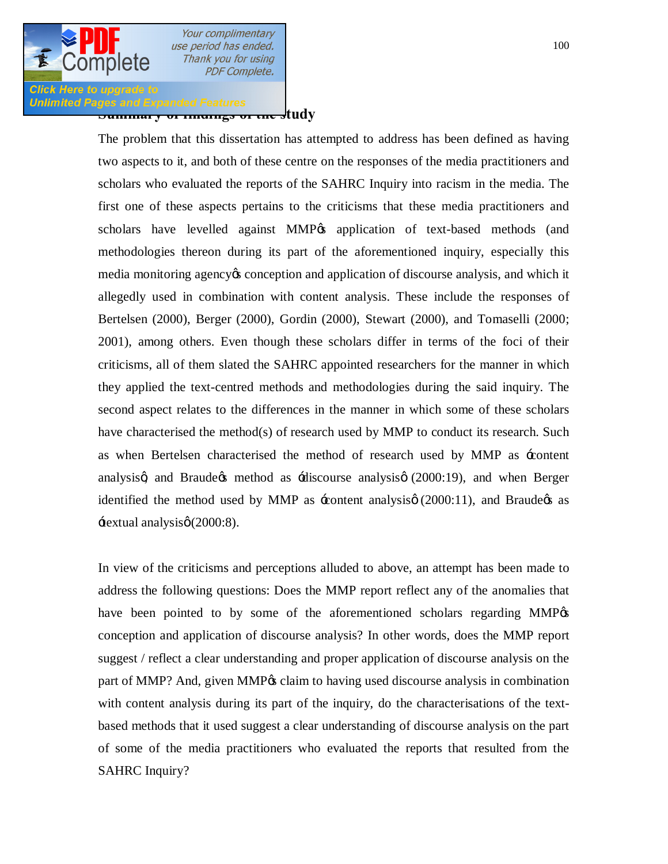

## **Click Here to upgrade to Summary of Findings and Expanded Features**<br>Summary of the manage of the study

The problem that this dissertation has attempted to address has been defined as having two aspects to it, and both of these centre on the responses of the media practitioners and scholars who evaluated the reports of the SAHRC Inquiry into racism in the media. The first one of these aspects pertains to the criticisms that these media practitioners and scholars have levelled against MMP% application of text-based methods (and methodologies thereon during its part of the aforementioned inquiry, especially this media monitoring agency is conception and application of discourse analysis, and which it allegedly used in combination with content analysis. These include the responses of Bertelsen (2000), Berger (2000), Gordin (2000), Stewart (2000), and Tomaselli (2000; 2001), among others. Even though these scholars differ in terms of the foci of their criticisms, all of them slated the SAHRC appointed researchers for the manner in which they applied the text-centred methods and methodologies during the said inquiry. The second aspect relates to the differences in the manner in which some of these scholars have characterised the method(s) of research used by MMP to conduct its research. Such as when Bertelsen characterised the method of research used by MMP as 'content analysisg and Braudegs method as  $\div$ discourse analysisg (2000:19), and when Berger identified the method used by MMP as  $\pm$ content analysis $\varphi$  (2000:11), and Braude $\varphi$ s as  $\pm$ extual analysis $\varphi$  (2000:8).

In view of the criticisms and perceptions alluded to above, an attempt has been made to address the following questions: Does the MMP report reflect any of the anomalies that have been pointed to by some of the aforementioned scholars regarding MMP% conception and application of discourse analysis? In other words, does the MMP report suggest / reflect a clear understanding and proper application of discourse analysis on the part of MMP? And, given MMP% claim to having used discourse analysis in combination with content analysis during its part of the inquiry, do the characterisations of the textbased methods that it used suggest a clear understanding of discourse analysis on the part of some of the media practitioners who evaluated the reports that resulted from the SAHRC Inquiry?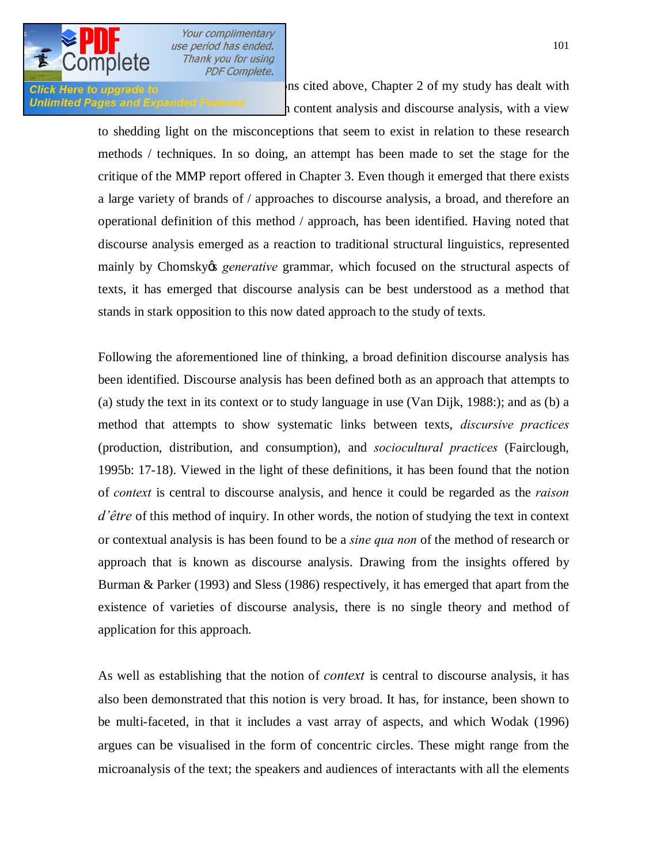

**Click Here to upgrade to Integral control of the property of my study has dealt with** Unlimited Pages and Expanded Features  $\frac{1}{1}$  content analysis and discourse analysis, with a view

> to shedding light on the misconceptions that seem to exist in relation to these research methods / techniques. In so doing, an attempt has been made to set the stage for the critique of the MMP report offered in Chapter 3. Even though it emerged that there exists a large variety of brands of / approaches to discourse analysis, a broad, and therefore an operational definition of this method / approach, has been identified. Having noted that discourse analysis emerged as a reaction to traditional structural linguistics, represented mainly by Chomsky<sub><sup>os</sub> *generative* grammar, which focused on the structural aspects of</sub></sup> texts, it has emerged that discourse analysis can be best understood as a method that stands in stark opposition to this now dated approach to the study of texts.

> Following the aforementioned line of thinking, a broad definition discourse analysis has been identified. Discourse analysis has been defined both as an approach that attempts to (a) study the text in its context or to study language in use (Van Dijk, 1988:); and as (b) a method that attempts to show systematic links between texts, *discursive practices*  (production, distribution, and consumption), and *sociocultural practices* (Fairclough, 1995b: 17-18). Viewed in the light of these definitions, it has been found that the notion of *context* is central to discourse analysis, and hence it could be regarded as the *raison d'être* of this method of inquiry. In other words, the notion of studying the text in context or contextual analysis is has been found to be a *sine qua non* of the method of research or approach that is known as discourse analysis. Drawing from the insights offered by Burman & Parker (1993) and Sless (1986) respectively, it has emerged that apart from the existence of varieties of discourse analysis, there is no single theory and method of application for this approach.

> As well as establishing that the notion of *context* is central to discourse analysis, it has also been demonstrated that this notion is very broad. It has, for instance, been shown to be multi-faceted, in that it includes a vast array of aspects, and which Wodak (1996) argues can be visualised in the form of concentric circles. These might range from the microanalysis of the text; the speakers and audiences of interactants with all the elements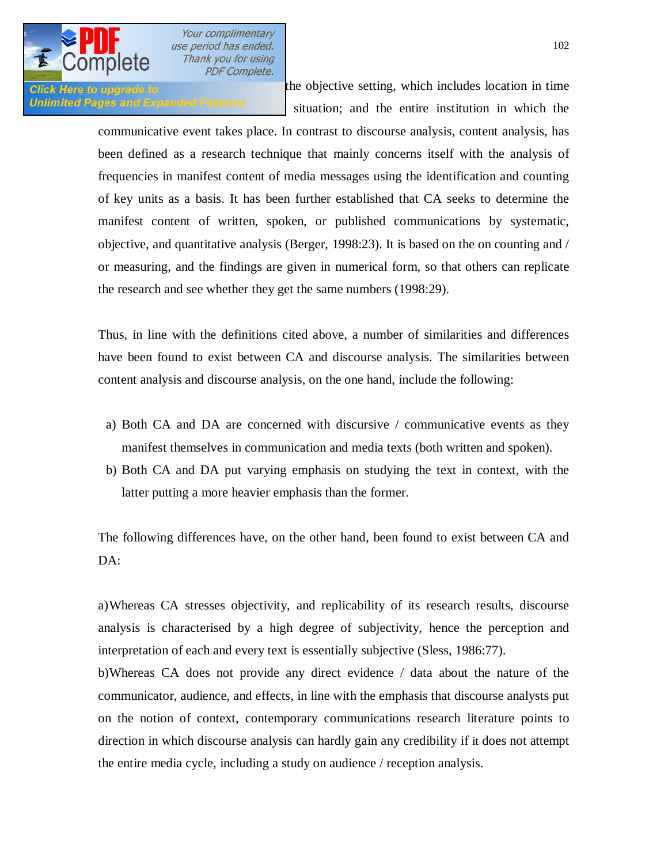

**Click Here to upgrade to structures** the objective setting, which includes location in time Unlimited Pages and Expanded Features situation; and the entire institution in which the

> communicative event takes place. In contrast to discourse analysis, content analysis, has been defined as a research technique that mainly concerns itself with the analysis of frequencies in manifest content of media messages using the identification and counting of key units as a basis. It has been further established that CA seeks to determine the manifest content of written, spoken, or published communications by systematic, objective, and quantitative analysis (Berger, 1998:23). It is based on the on counting and / or measuring, and the findings are given in numerical form, so that others can replicate the research and see whether they get the same numbers (1998:29).

> Thus, in line with the definitions cited above, a number of similarities and differences have been found to exist between CA and discourse analysis. The similarities between content analysis and discourse analysis, on the one hand, include the following:

- a) Both CA and DA are concerned with discursive / communicative events as they manifest themselves in communication and media texts (both written and spoken).
- b) Both CA and DA put varying emphasis on studying the text in context, with the latter putting a more heavier emphasis than the former.

The following differences have, on the other hand, been found to exist between CA and DA:

a)Whereas CA stresses objectivity, and replicability of its research results, discourse analysis is characterised by a high degree of subjectivity, hence the perception and interpretation of each and every text is essentially subjective (Sless, 1986:77).

b)Whereas CA does not provide any direct evidence / data about the nature of the communicator, audience, and effects, in line with the emphasis that discourse analysts put on the notion of context, contemporary communications research literature points to direction in which discourse analysis can hardly gain any credibility if it does not attempt the entire media cycle, including a study on audience / reception analysis.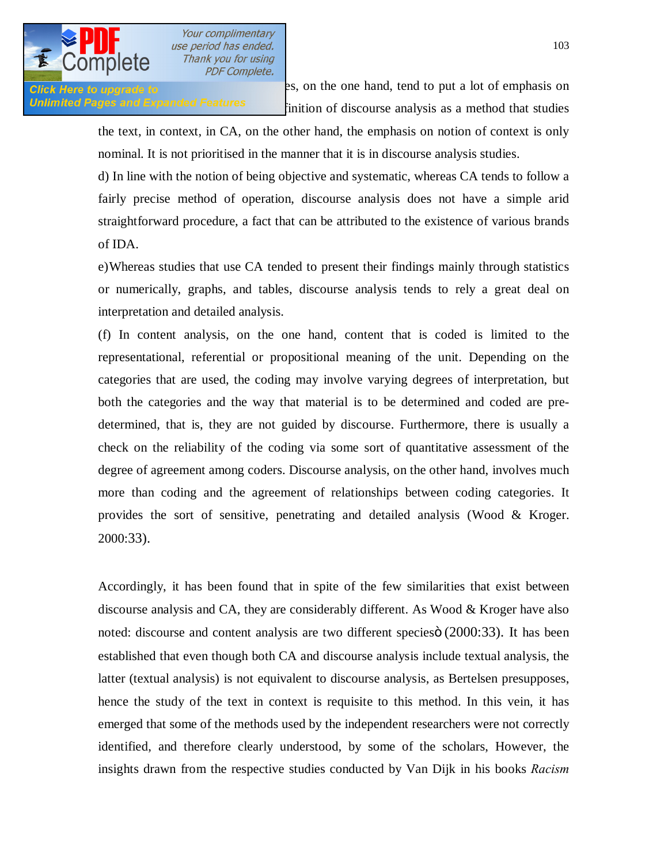

**Click Here to upgrade to** extend the studies on the one hand, tend to put a lot of emphasis on Unlimited Pages and Expanded Features **Expanded Features Expanditure to a intervelle** inition of discourse analysis as a method that studies

d) In line with the notion of being objective and systematic, whereas CA tends to follow a fairly precise method of operation, discourse analysis does not have a simple arid straightforward procedure, a fact that can be attributed to the existence of various brands of IDA.

e)Whereas studies that use CA tended to present their findings mainly through statistics or numerically, graphs, and tables, discourse analysis tends to rely a great deal on interpretation and detailed analysis.

(f) In content analysis, on the one hand, content that is coded is limited to the representational, referential or propositional meaning of the unit. Depending on the categories that are used, the coding may involve varying degrees of interpretation, but both the categories and the way that material is to be determined and coded are predetermined, that is, they are not guided by discourse. Furthermore, there is usually a check on the reliability of the coding via some sort of quantitative assessment of the degree of agreement among coders. Discourse analysis, on the other hand, involves much more than coding and the agreement of relationships between coding categories. It provides the sort of sensitive, penetrating and detailed analysis (Wood & Kroger. 2000:33).

Accordingly, it has been found that in spite of the few similarities that exist between discourse analysis and CA, they are considerably different. As Wood & Kroger have also noted: discourse and content analysis are two different species (2000:33). It has been established that even though both CA and discourse analysis include textual analysis, the latter (textual analysis) is not equivalent to discourse analysis, as Bertelsen presupposes, hence the study of the text in context is requisite to this method. In this vein, it has emerged that some of the methods used by the independent researchers were not correctly identified, and therefore clearly understood, by some of the scholars, However, the insights drawn from the respective studies conducted by Van Dijk in his books *Racism*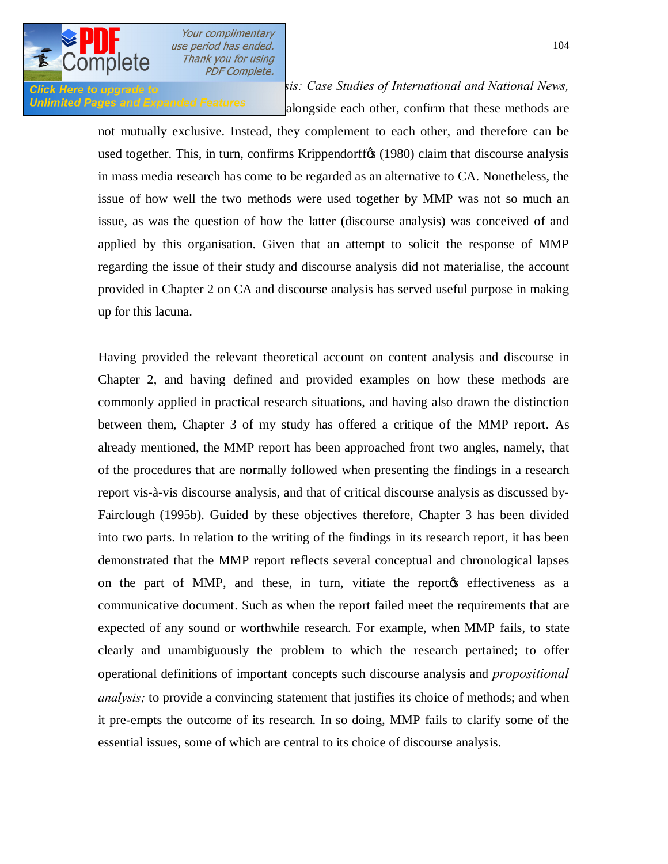

*<u>Click Here to upgrade to</u> <i>and <b>Press (1991b)* and *News, sis: Case Studies of International and National News,* Unlimited Pages and Expanded Features alongside each other, confirm that these methods are

> not mutually exclusive. Instead, they complement to each other, and therefore can be used together. This, in turn, confirms Krippendorff $\alpha$  (1980) claim that discourse analysis in mass media research has come to be regarded as an alternative to CA. Nonetheless, the issue of how well the two methods were used together by MMP was not so much an issue, as was the question of how the latter (discourse analysis) was conceived of and applied by this organisation. Given that an attempt to solicit the response of MMP regarding the issue of their study and discourse analysis did not materialise, the account provided in Chapter 2 on CA and discourse analysis has served useful purpose in making up for this lacuna.

> Having provided the relevant theoretical account on content analysis and discourse in Chapter 2, and having defined and provided examples on how these methods are commonly applied in practical research situations, and having also drawn the distinction between them, Chapter 3 of my study has offered a critique of the MMP report. As already mentioned, the MMP report has been approached front two angles, namely, that of the procedures that are normally followed when presenting the findings in a research report vis-à-vis discourse analysis, and that of critical discourse analysis as discussed by-Fairclough (1995b). Guided by these objectives therefore, Chapter 3 has been divided into two parts. In relation to the writing of the findings in its research report, it has been demonstrated that the MMP report reflects several conceptual and chronological lapses on the part of MMP, and these, in turn, vitiate the report the effectiveness as a communicative document. Such as when the report failed meet the requirements that are expected of any sound or worthwhile research. For example, when MMP fails, to state clearly and unambiguously the problem to which the research pertained; to offer operational definitions of important concepts such discourse analysis and *propositional analysis;* to provide a convincing statement that justifies its choice of methods; and when it pre-empts the outcome of its research. In so doing, MMP fails to clarify some of the essential issues, some of which are central to its choice of discourse analysis.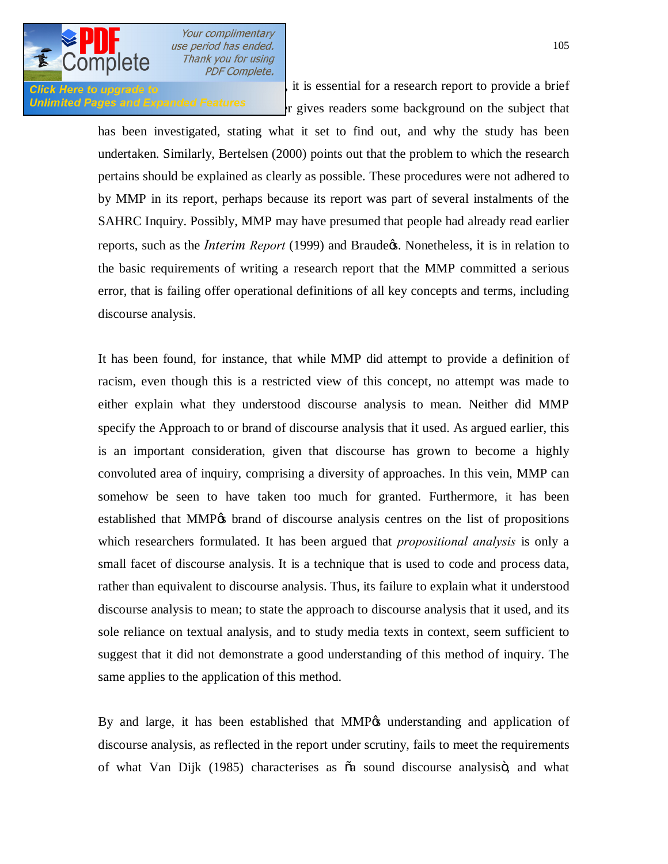

Click Here to upgrade to Arthur Berger (1998), it is essential for a research report to provide a brief **Unlimited Pages and Expanded Features**  $\cdot$  r gives readers some background on the subject that

> has been investigated, stating what it set to find out, and why the study has been undertaken. Similarly, Bertelsen (2000) points out that the problem to which the research pertains should be explained as clearly as possible. These procedures were not adhered to by MMP in its report, perhaps because its report was part of several instalments of the SAHRC Inquiry. Possibly, MMP may have presumed that people had already read earlier reports, such as the *Interim Report* (1999) and Braude<sub>(s</sub>. Nonetheless, it is in relation to the basic requirements of writing a research report that the MMP committed a serious error, that is failing offer operational definitions of all key concepts and terms, including discourse analysis.

> It has been found, for instance, that while MMP did attempt to provide a definition of racism, even though this is a restricted view of this concept, no attempt was made to either explain what they understood discourse analysis to mean. Neither did MMP specify the Approach to or brand of discourse analysis that it used. As argued earlier, this is an important consideration, given that discourse has grown to become a highly convoluted area of inquiry, comprising a diversity of approaches. In this vein, MMP can somehow be seen to have taken too much for granted. Furthermore, it has been established that MMP<sub>O</sub>'s brand of discourse analysis centres on the list of propositions which researchers formulated. It has been argued that *propositional analysis* is only a small facet of discourse analysis. It is a technique that is used to code and process data, rather than equivalent to discourse analysis. Thus, its failure to explain what it understood discourse analysis to mean; to state the approach to discourse analysis that it used, and its sole reliance on textual analysis, and to study media texts in context, seem sufficient to suggest that it did not demonstrate a good understanding of this method of inquiry. The same applies to the application of this method.

> By and large, it has been established that MMP<sub> $\&$ </sub> understanding and application of discourse analysis, as reflected in the report under scrutiny, fails to meet the requirements of what Van Dijk (1985) characterises as  $\tilde{o}a$  sound discourse analysiso, and what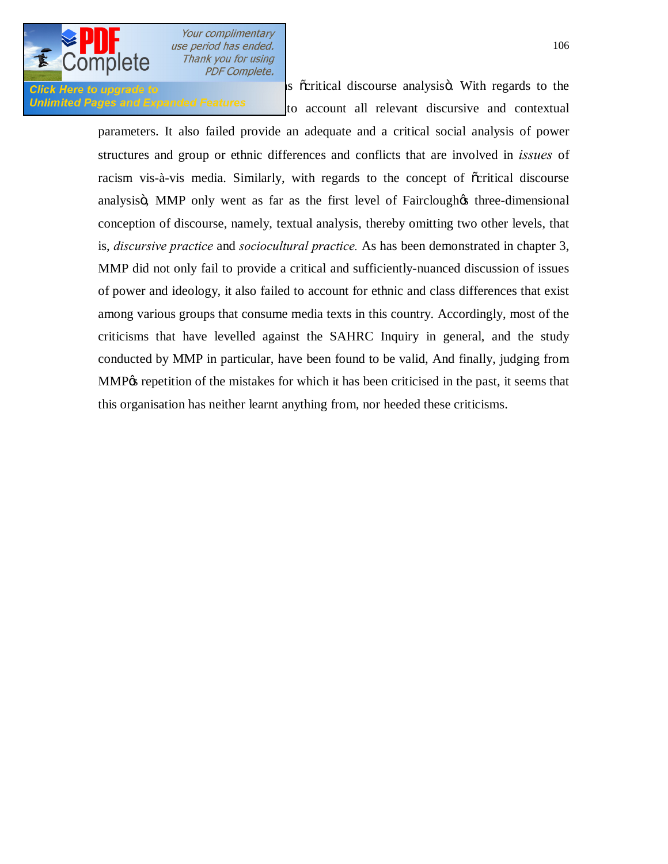

**Click Here to upgrade to Exercise 2006** is  $\tilde{c}$  critical discourse analysis . With regards to the Unlimited Pages and Expanded Features to account all relevant discursive and contextual

> parameters. It also failed provide an adequate and a critical social analysis of power structures and group or ethnic differences and conflicts that are involved in *issues* of racism vis-à-vis media. Similarly, with regards to the concept of  $\tilde{\text{c}}$  critical discourse analysis in MMP only went as far as the first level of Fairclough three-dimensional conception of discourse, namely, textual analysis, thereby omitting two other levels, that is, *discursive practice* and *sociocultural practice.* As has been demonstrated in chapter 3, MMP did not only fail to provide a critical and sufficiently-nuanced discussion of issues of power and ideology, it also failed to account for ethnic and class differences that exist among various groups that consume media texts in this country. Accordingly, most of the criticisms that have levelled against the SAHRC Inquiry in general, and the study conducted by MMP in particular, have been found to be valid, And finally, judging from MMP% repetition of the mistakes for which it has been criticised in the past, it seems that this organisation has neither learnt anything from, nor heeded these criticisms.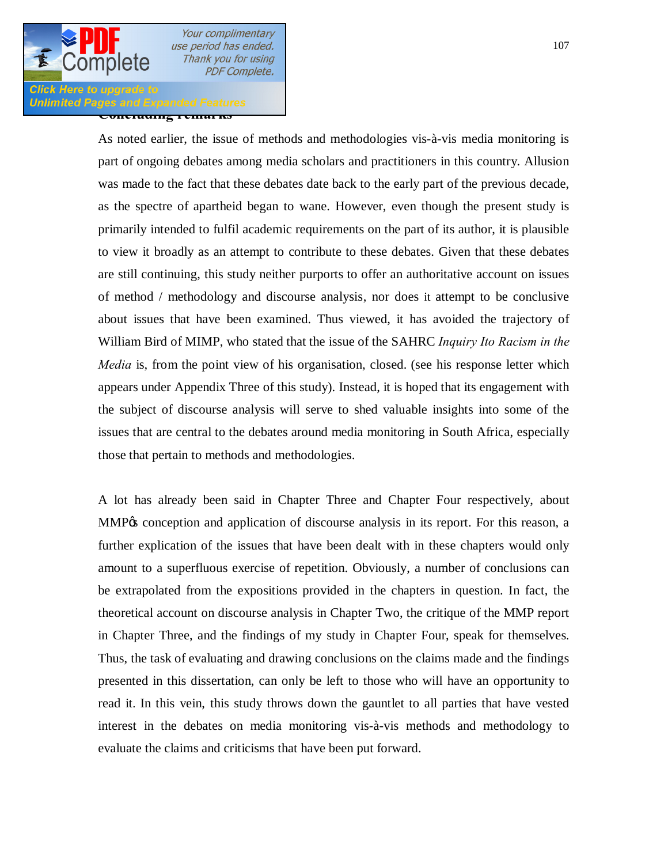## **Click Here to upgrade Conced Fages and Expanded Featury**<br>حمایت به علم حسین برای میکند به حسین برای می

As noted earlier, the issue of methods and methodologies vis-à-vis media monitoring is part of ongoing debates among media scholars and practitioners in this country. Allusion was made to the fact that these debates date back to the early part of the previous decade, as the spectre of apartheid began to wane. However, even though the present study is primarily intended to fulfil academic requirements on the part of its author, it is plausible to view it broadly as an attempt to contribute to these debates. Given that these debates are still continuing, this study neither purports to offer an authoritative account on issues of method / methodology and discourse analysis, nor does it attempt to be conclusive about issues that have been examined. Thus viewed, it has avoided the trajectory of William Bird of MIMP, who stated that the issue of the SAHRC *Inquiry Ito Racism in the Media* is, from the point view of his organisation, closed. (see his response letter which appears under Appendix Three of this study). Instead, it is hoped that its engagement with the subject of discourse analysis will serve to shed valuable insights into some of the issues that are central to the debates around media monitoring in South Africa, especially those that pertain to methods and methodologies.

A lot has already been said in Chapter Three and Chapter Four respectively, about MMP% conception and application of discourse analysis in its report. For this reason, a further explication of the issues that have been dealt with in these chapters would only amount to a superfluous exercise of repetition. Obviously, a number of conclusions can be extrapolated from the expositions provided in the chapters in question. In fact, the theoretical account on discourse analysis in Chapter Two, the critique of the MMP report in Chapter Three, and the findings of my study in Chapter Four, speak for themselves. Thus, the task of evaluating and drawing conclusions on the claims made and the findings presented in this dissertation, can only be left to those who will have an opportunity to read it. In this vein, this study throws down the gauntlet to all parties that have vested interest in the debates on media monitoring vis-à-vis methods and methodology to evaluate the claims and criticisms that have been put forward.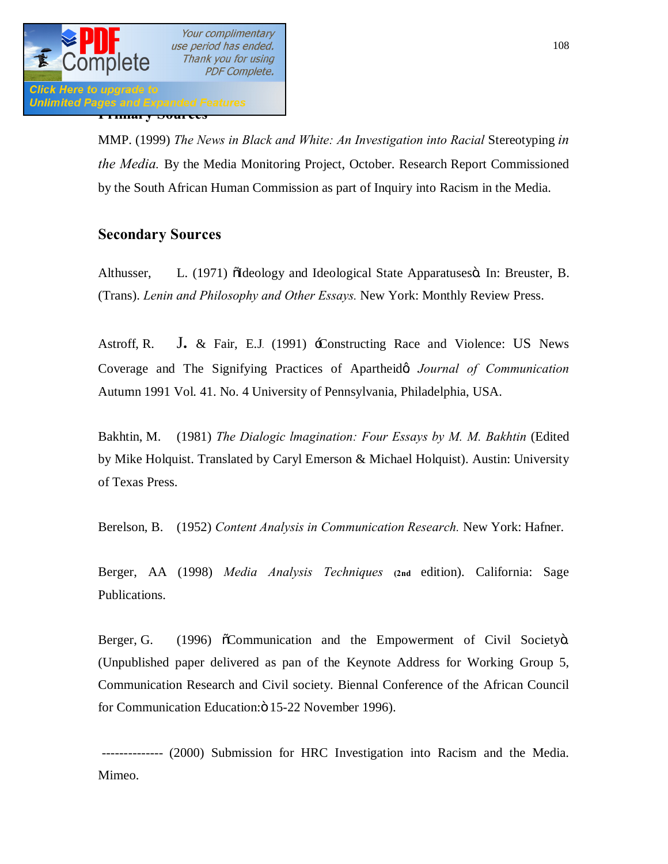

MMP. (1999) *The News in Black and White: An Investigation into Racial* Stereotyping *in the Media.* By the Media Monitoring Project, October. Research Report Commissioned by the South African Human Commission as part of Inquiry into Racism in the Media.

### **Secondary Sources**

Althusser, L. (1971)  $\delta$ Ideology and Ideological State Apparatuses i. In: Breuster, B. (Trans). *Lenin and Philosophy and Other Essays.* New York: Monthly Review Press.

Astroff, R. J**.** & Fair, E.J*.* (1991) 'Constructing Race and Violence: US News Coverage and The Signifying Practices of Apartheida *Journal of Communication* Autumn 1991 Vol. 41. No. 4 University of Pennsylvania, Philadelphia, USA.

Bakhtin, M. (1981) *The Dialogic Imagination: Four Essays by M. M. Bakhtin* (Edited by Mike Holquist. Translated by Caryl Emerson & Michael Holquist). Austin: University of Texas Press.

Berelson, B. (1952) *Content Analysis in Communication Research.* New York: Hafner.

Berger, AA (1998) *Media Analysis Techniques* **(2nd** edition). California: Sage Publications.

Berger, G. (1996)  $\delta$ Communication and the Empowerment of Civil Society o. (Unpublished paper delivered as pan of the Keynote Address for Working Group 5, Communication Research and Civil society. Biennal Conference of the African Council for Communication Education: ö 15-22 November 1996).

 -------------- (2000) Submission for HRC Investigation into Racism and the Media. Mimeo.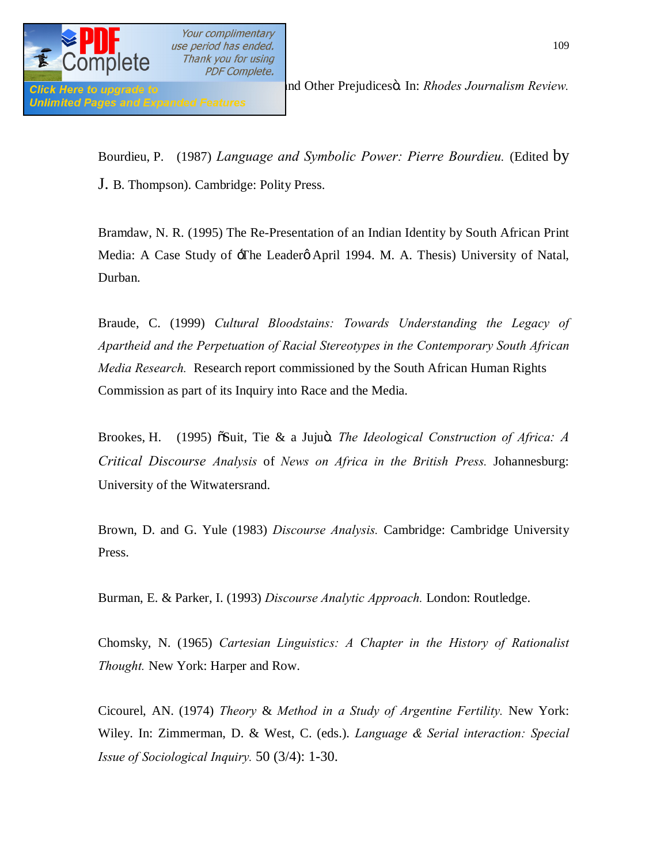

Bourdieu, P. (1987) *Language and Symbolic Power: Pierre Bourdieu.* (Edited by J. B. Thompson). Cambridge: Polity Press.

**PDF Complete.** 

Bramdaw, N. R. (1995) The Re-Presentation of an Indian Identity by South African Print Media: A Case Study of  $\exists$ The Leaderø April 1994. M. A. Thesis) University of Natal, Durban.

Braude, C. (1999) *Cultural Bloodstains: Towards Understanding the Legacy of Apartheid and the Perpetuation of Racial Stereotypes in the Contemporary South African Media Research.* Research report commissioned by the South African Human Rights Commission as part of its Inquiry into Race and the Media.

Brookes, H. (1995)  $\delta$ Suit, Tie & a Jujuö. *The Ideological Construction of Africa: A Critical Discourse Analysis* of *News on Africa in the British Press.* Johannesburg: University of the Witwatersrand.

Brown, D. and G. Yule (1983) *Discourse Analysis.* Cambridge: Cambridge University Press.

Burman, E. & Parker, I. (1993) *Discourse Analytic Approach.* London: Routledge.

Chomsky, N. (1965) *Cartesian Linguistics: A Chapter in the History of Rationalist Thought.* New York: Harper and Row.

Cicourel, AN. (1974) *Theory* & *Method in a Study of Argentine Fertility.* New York: Wiley. In: Zimmerman, D. & West, C. (eds.). *Language & Serial interaction: Special Issue of Sociological Inquiry.* 50 (3/4): 1-30.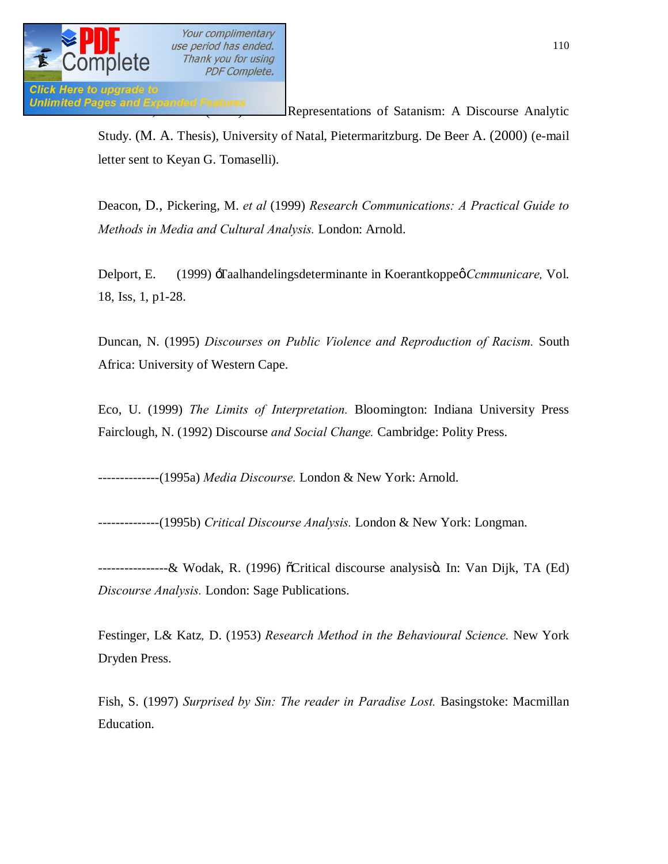

Unlimited Pages and Expanded Features<br>Representations of Satanism: A Discourse Analytic

Study. (M. A. Thesis), University of Natal, Pietermaritzburg. De Beer A. (2000) (e-mail letter sent to Keyan G. Tomaselli).

Deacon, D., Pickering, M. *et al* (1999) *Research Communications: A Practical Guide to Methods in Media and Cultural Analysis.* London: Arnold.

Delport, E. (1999) -Taalhandelingsdeterminante in Koerantkoppeø *Ccmmunicare*, Vol. 18, Iss, 1, p1-28.

Duncan, N. (1995) *Discourses on Public Violence and Reproduction of Racism.* South Africa: University of Western Cape.

Eco, U. (1999) *The Limits of Interpretation.* Bloomington: Indiana University Press Fairclough, N. (1992) Discourse *and Social Change.* Cambridge: Polity Press.

--------------(1995a) *Media Discourse.* London & New York: Arnold.

--------------(1995b) *Critical Discourse Analysis.* London & New York: Longman.

-------------------& Wodak, R. (1996) õCritical discourse analysisö. In: Van Dijk, TA (Ed) *Discourse Analysis.* London: Sage Publications.

Festinger, L& Katz*,* D. (1953) *Research Method in the Behavioural Science.* New York Dryden Press.

Fish, S. (1997) *Surprised by Sin: The reader in Paradise Lost.* Basingstoke: Macmillan Education.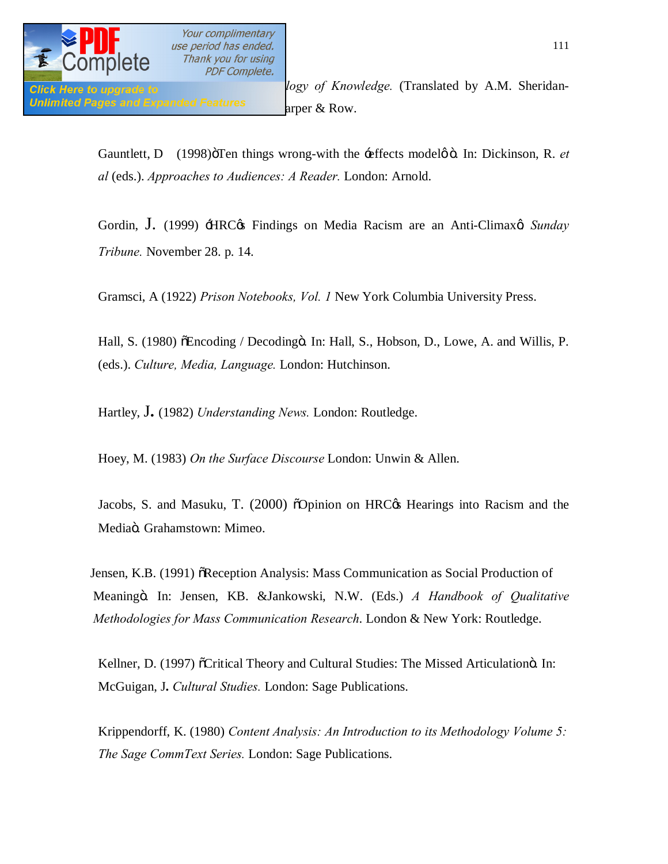

Gauntlett, D (1998) öTen things wrong-with the  $\div$  effects model  $\phi$  o . In: Dickinson, R. *et al* (eds.). *Approaches to Audiences: A Reader.* London: Arnold.

Gordin, J. (1999) *HRC i*s Findings on Media Racism are an Anti-Climax *Sunday Tribune.* November 28. p. 14.

Gramsci, A (1922) *Prison Notebooks, Vol. 1* New York Columbia University Press.

Hall, S. (1980) õEncoding / Decodingö. In: Hall, S., Hobson, D., Lowe, A. and Willis, P. (eds.). *Culture, Media, Language.* London: Hutchinson.

Hartley, J**.** (1982) *Understanding News.* London: Routledge.

Hoey, M. (1983) *On the Surface Discourse* London: Unwin & Allen.

Jacobs, S. and Masuku, T. (2000)  $\delta$ Opinion on HRC $\alpha$  Hearings into Racism and the Mediaö. Grahamstown: Mimeo.

Jensen, K.B. (1991)  $\delta$ Reception Analysis: Mass Communication as Social Production of Meaning". In: Jensen, KB. &Jankowski, N.W. (Eds.) *A Handbook of Qualitative Methodologies for Mass Communication Research*. London & New York: Routledge.

Kellner, D. (1997) öCritical Theory and Cultural Studies: The Missed Articulationö. In: McGuigan, J**.** *Cultural Studies.* London: Sage Publications.

Krippendorff, K. (1980) *Content Analysis: An Introduction to its Methodology Volume 5: The Sage CommText Series.* London: Sage Publications.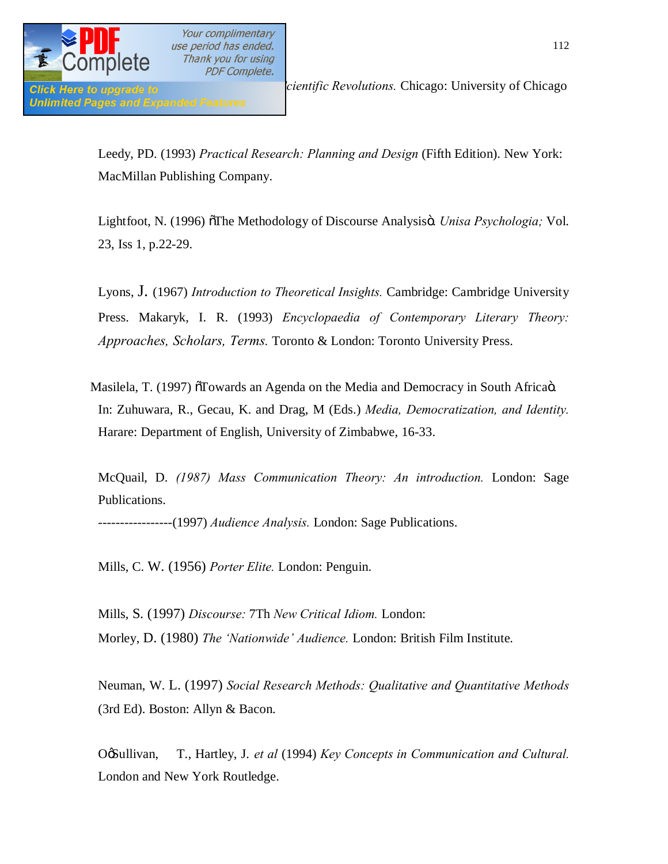

Leedy, PD. (1993) *Practical Research: Planning and Design* (Fifth Edition). New York: MacMillan Publishing Company.

Lightfoot, N. (1996) <sup>The</sup> Methodology of Discourse Analysisö. *Unisa Psychologia*; Vol. 23, Iss 1, p.22-29.

Lyons, J. (1967) *Introduction to Theoretical Insights.* Cambridge: Cambridge University Press. Makaryk, I. R. (1993) *Encyclopaedia of Contemporary Literary Theory: Approaches, Scholars, Terms.* Toronto & London: Toronto University Press.

Masilela, T. (1997)  $\delta$ Towards an Agenda on the Media and Democracy in South Africa $\ddot{\rm o}$ . In: Zuhuwara, R., Gecau, K. and Drag, M (Eds.) *Media, Democratization, and Identity.*  Harare: Department of English, University of Zimbabwe, 16-33.

McQuail, D. *(1987) Mass Communication Theory: An introduction.* London: Sage Publications.

-----------------(1997) *Audience Analysis.* London: Sage Publications.

Mills, C. W. (1956) *Porter Elite.* London: Penguin.

Mills, S. (1997) *Discourse:* 7Th *New Critical Idiom.* London: Morley, D. (1980) *The 'Nationwide' Audience.* London: British Film Institute.

Neuman, W. L. (1997) *Social Research Methods: Qualitative and Quantitative Methods*  (3rd Ed). Boston: Allyn & Bacon.

O $\delta$ **Sullivan,** T., Hartley, J. *et al* (1994) *Key Concepts in Communication and Cultural.* London and New York Routledge.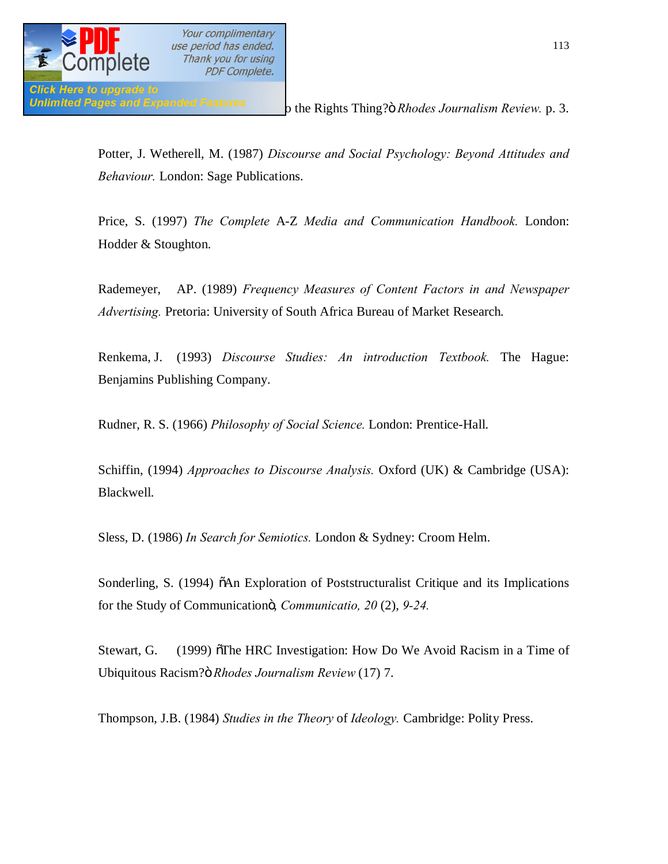

**Unlimited Pages and Expanded Features**  $\sigma$  the Rights Thing?" *Rhodes Journalism Review.* p. 3.

Potter, J. Wetherell, M. (1987) *Discourse and Social Psychology: Beyond Attitudes and Behaviour.* London: Sage Publications.

Price, S. (1997) *The Complete* A-Z *Media and Communication Handbook.* London: Hodder & Stoughton.

Rademeyer, AP. (1989) *Frequency Measures of Content Factors in and Newspaper Advertising.* Pretoria: University of South Africa Bureau of Market Research.

Renkema, J. (1993) *Discourse Studies: An introduction Textbook.* The Hague: Benjamins Publishing Company.

Rudner, R. S. (1966) *Philosophy of Social Science.* London: Prentice-Hall.

Schiffin, (1994) *Approaches to Discourse Analysis.* Oxford (UK) & Cambridge (USA): Blackwell.

Sless, D. (1986) *In Search for Semiotics.* London & Sydney: Croom Helm.

Sonderling, S. (1994)  $\delta$ An Exploration of Poststructuralist Critique and its Implications for the Study of Communication", *Communicatio, 20* (2), *9-24.*

Stewart, G. (1999)  $\delta$ The HRC Investigation: How Do We Avoid Racism in a Time of Ubiquitous Racism?" *Rhodes Journalism Review* (17) 7.

Thompson, J.B. (1984) *Studies in the Theory* of *Ideology.* Cambridge: Polity Press.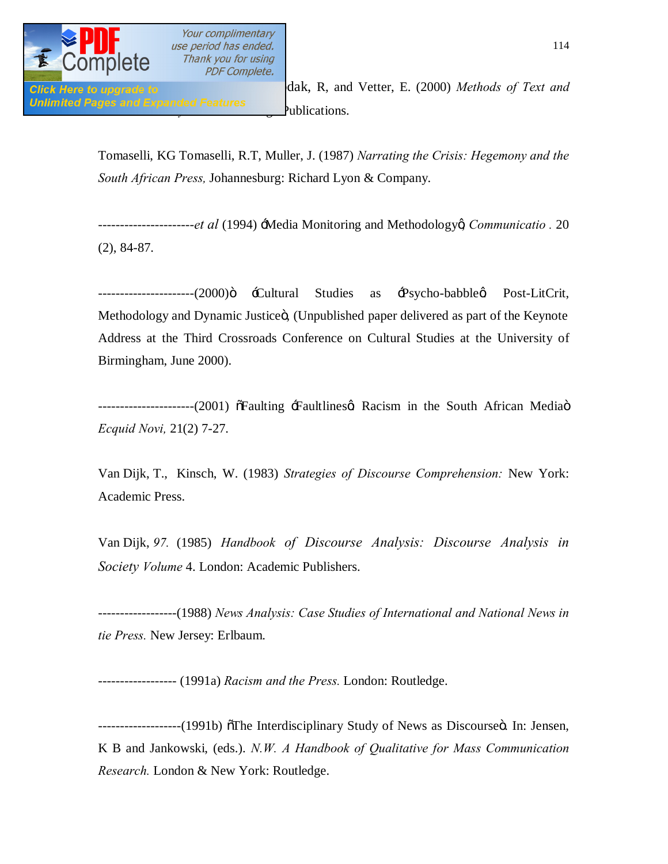

**Click Here to upgrade to The State of Text and Vetter, E.** (2000) *Methods of Text and* **Click** *Unlimited Pages and Expanded Features* 

> Tomaselli, KG Tomaselli, R.T, Muller, J. (1987) *Narrating the Crisis: Hegemony and the South African Press,* Johannesburg: Richard Lyon & Company.

> ----------------------*et al* (1994) 'Media Monitoring and Methodology', *Communicatio .* 20 (2), 84-87.

> --------------(2000)ö -Cultural Studies as -Psycho-babbleg Post-LitCrit, Methodology and Dynamic Justiceö, (Unpublished paper delivered as part of the Keynote Address at the Third Crossroads Conference on Cultural Studies at the University of Birmingham, June 2000).

> ----------------------(2001)  $\delta$ Faulting  $\pm$ Faultlines $\alpha$  Racism in the South African Mediaö *Ecquid Novi,* 21(2) 7-27.

> Van Dijk, T., Kinsch, W. (1983) *Strategies of Discourse Comprehension:* New York: Academic Press.

> Van Dijk, *97.* (1985) *Handbook of Discourse Analysis: Discourse Analysis in Society Volume* 4. London: Academic Publishers.

> ------------------(1988) *News Analysis: Case Studies of International and National News in tie Press.* New Jersey: Erlbaum.

------------------ (1991a) *Racism and the Press.* London: Routledge.

-----------(1991b) othe Interdisciplinary Study of News as Discourseö. In: Jensen, K B and Jankowski, (eds.). *N.W. A Handbook of Qualitative for Mass Communication Research.* London & New York: Routledge.